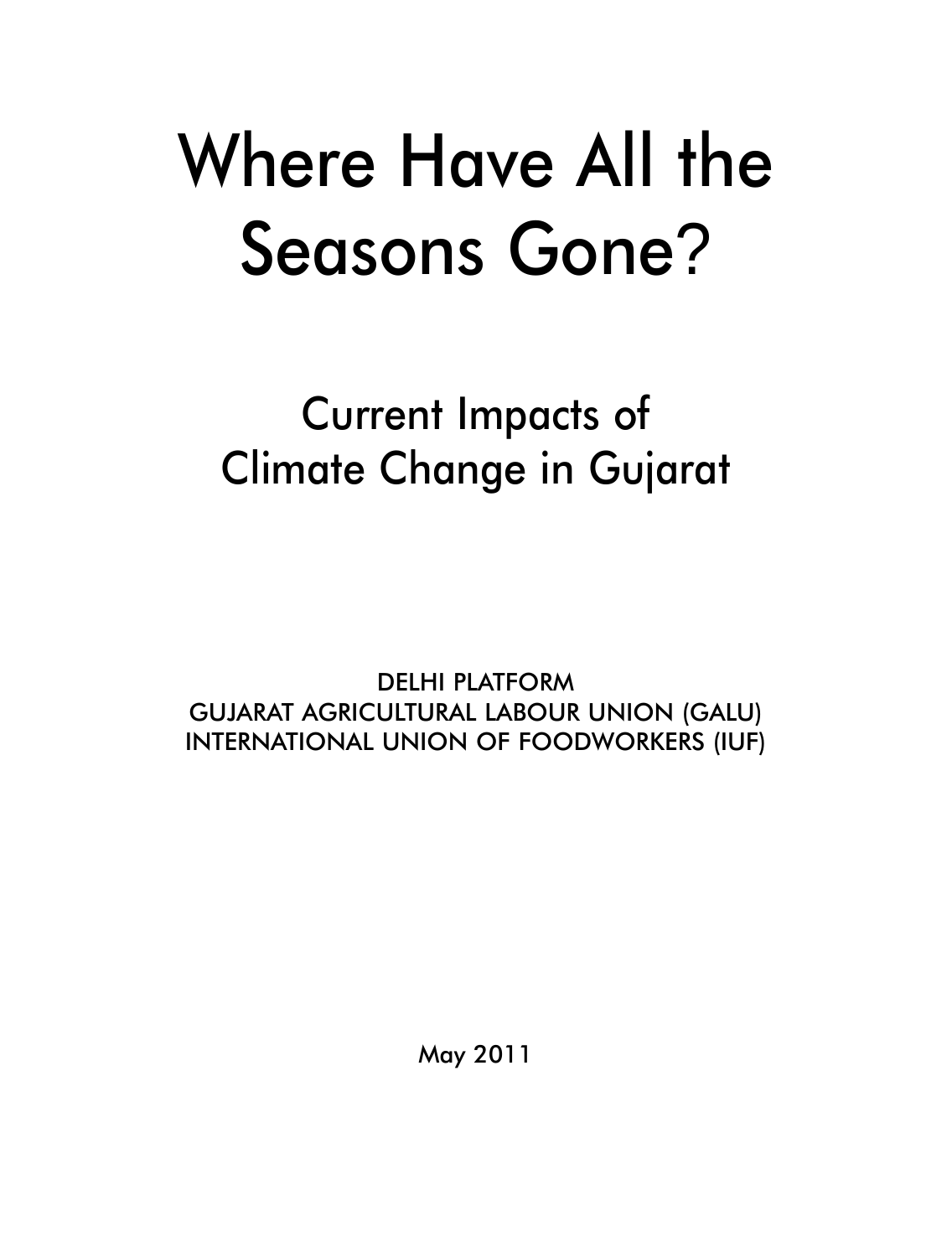# Where Have All the Seasons Gone?

Current Impacts of Climate Change in Gujarat

DELHI PLATFORM GUJARAT AGRICULTURAL LABOUR UNION (GALU) INTERNATIONAL UNION OF FOODWORKERS (IUF)

May 2011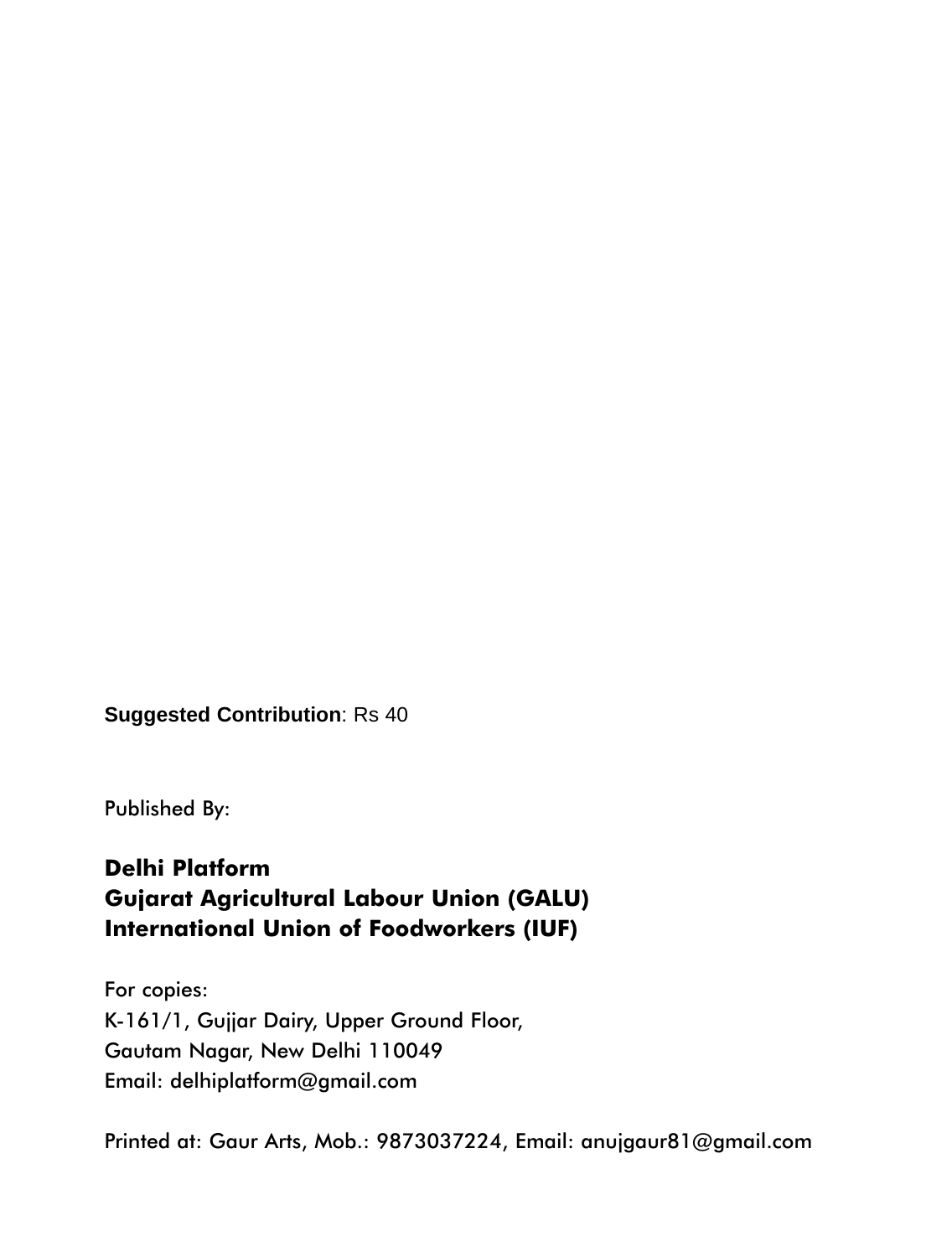**Suggested Contribution**: Rs 40

Published By:

#### **Delhi Platform Gujarat Agricultural Labour Union (GALU) International Union of Foodworkers (IUF)**

For copies: K-161/1, Gujjar Dairy, Upper Ground Floor, Gautam Nagar, New Delhi 110049 Email: delhiplatform@gmail.com

Printed at: Gaur Arts, Mob.: 9873037224, Email: anujgaur81@gmail.com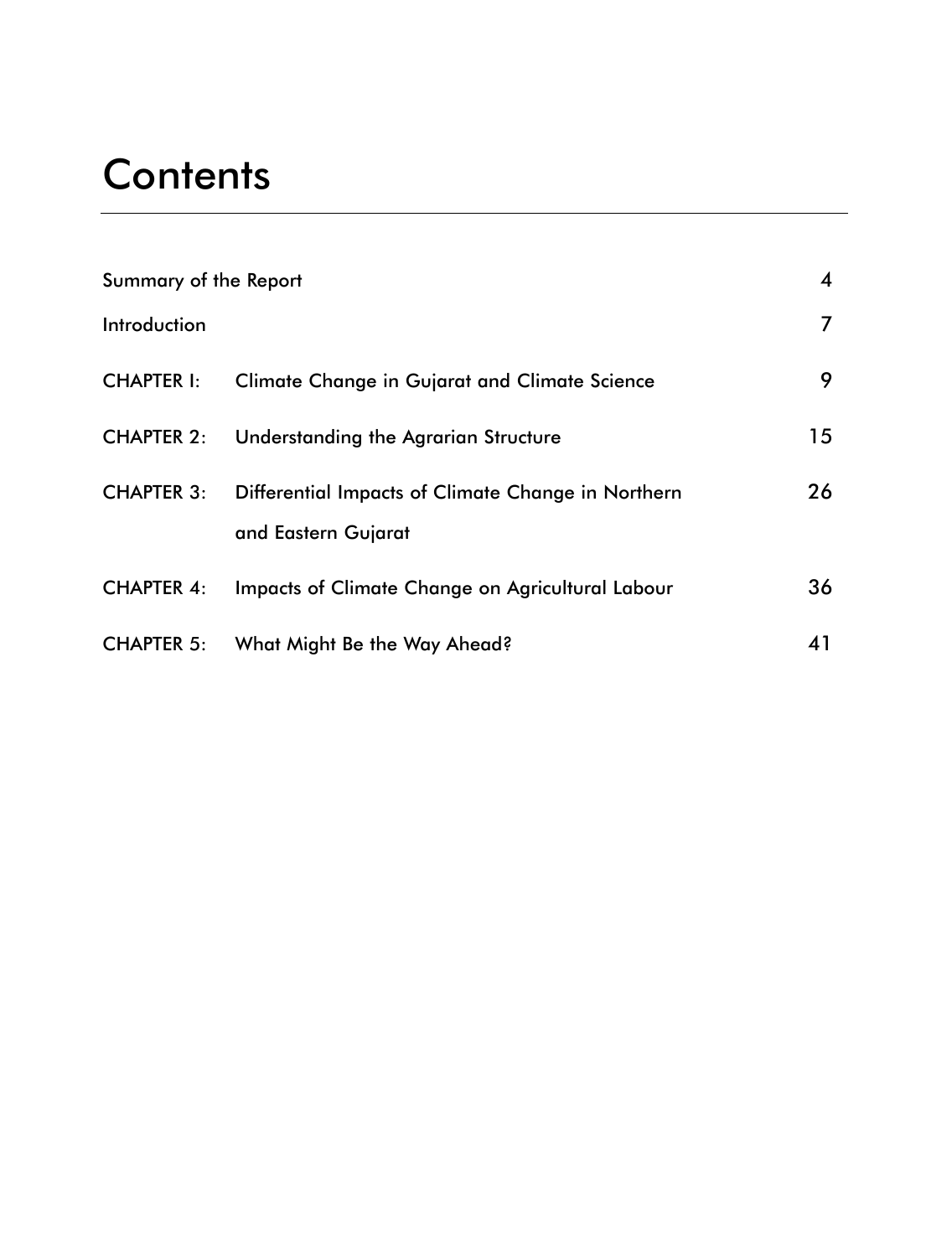### **Contents**

| Summary of the Report |                                                                           | 4  |
|-----------------------|---------------------------------------------------------------------------|----|
| Introduction          |                                                                           | 7  |
| <b>CHAPTER I:</b>     | Climate Change in Gujarat and Climate Science                             | 9  |
| <b>CHAPTER 2:</b>     | Understanding the Agrarian Structure                                      | 15 |
| <b>CHAPTER 3:</b>     | Differential Impacts of Climate Change in Northern<br>and Eastern Gujarat | 26 |
| <b>CHAPTER 4:</b>     | Impacts of Climate Change on Agricultural Labour                          | 36 |
| <b>CHAPTER 5:</b>     | What Might Be the Way Ahead?                                              | 41 |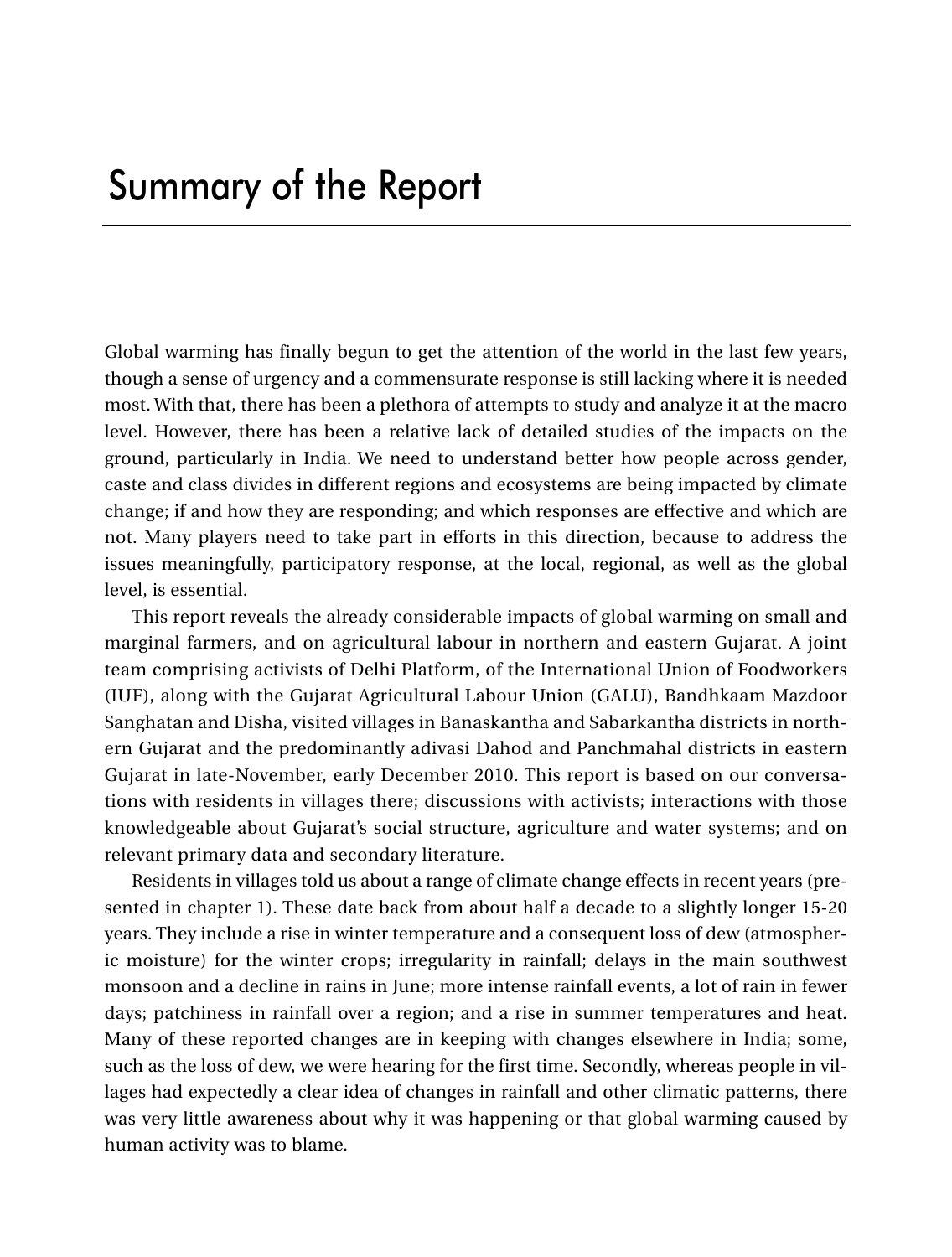Global warming has finally begun to get the attention of the world in the last few years, though a sense of urgency and a commensurate response is still lacking where it is needed most. With that, there has been a plethora of attempts to study and analyze it at the macro level. However, there has been a relative lack of detailed studies of the impacts on the ground, particularly in India. We need to understand better how people across gender, caste and class divides in different regions and ecosystems are being impacted by climate change; if and how they are responding; and which responses are effective and which are not. Many players need to take part in efforts in this direction, because to address the issues meaningfully, participatory response, at the local, regional, as well as the global level, is essential.

This report reveals the already considerable impacts of global warming on small and marginal farmers, and on agricultural labour in northern and eastern Gujarat. A joint team comprising activists of Delhi Platform, of the International Union of Foodworkers (IUF), along with the Gujarat Agricultural Labour Union (GALU), Bandhkaam Mazdoor Sanghatan and Disha, visited villages in Banaskantha and Sabarkantha districts in northern Gujarat and the predominantly adivasi Dahod and Panchmahal districts in eastern Gujarat in late-November, early December 2010. This report is based on our conversations with residents in villages there; discussions with activists; interactions with those knowledgeable about Gujarat's social structure, agriculture and water systems; and on relevant primary data and secondary literature.

Residents in villages told us about a range of climate change effects in recent years (presented in chapter 1). These date back from about half a decade to a slightly longer 15-20 years. They include a rise in winter temperature and a consequent loss of dew (atmospheric moisture) for the winter crops; irregularity in rainfall; delays in the main southwest monsoon and a decline in rains in June; more intense rainfall events, a lot of rain in fewer days; patchiness in rainfall over a region; and a rise in summer temperatures and heat. Many of these reported changes are in keeping with changes elsewhere in India; some, such as the loss of dew, we were hearing for the first time. Secondly, whereas people in villages had expectedly a clear idea of changes in rainfall and other climatic patterns, there was very little awareness about why it was happening or that global warming caused by human activity was to blame.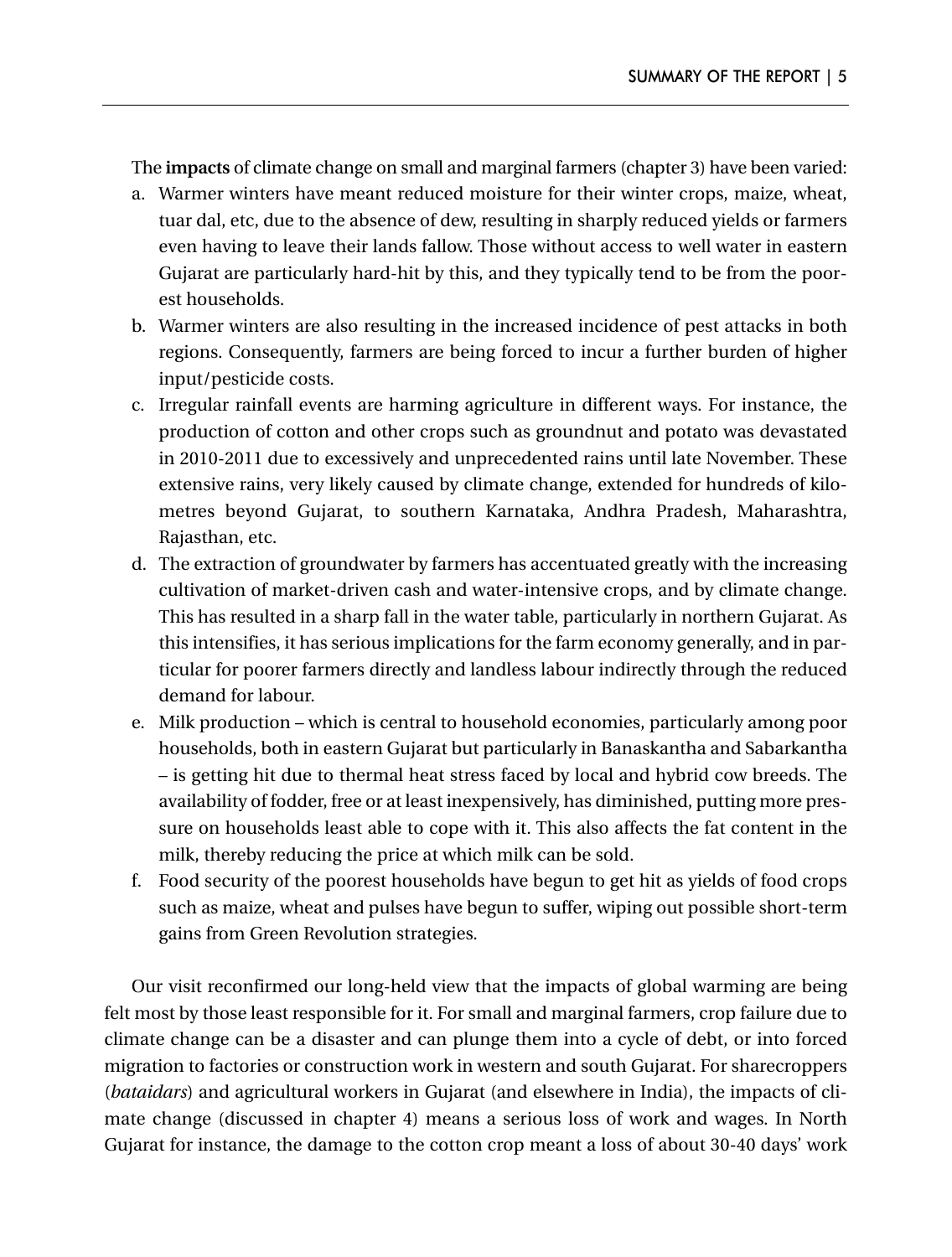The **impacts** of climate change on small and marginal farmers (chapter 3) have been varied:

- a. Warmer winters have meant reduced moisture for their winter crops, maize, wheat, tuar dal, etc, due to the absence of dew, resulting in sharply reduced yields or farmers even having to leave their lands fallow. Those without access to well water in eastern Gujarat are particularly hard-hit by this, and they typically tend to be from the poorest households.
- b. Warmer winters are also resulting in the increased incidence of pest attacks in both regions. Consequently, farmers are being forced to incur a further burden of higher input/pesticide costs.
- c. Irregular rainfall events are harming agriculture in different ways. For instance, the production of cotton and other crops such as groundnut and potato was devastated in 2010-2011 due to excessively and unprecedented rains until late November. These extensive rains, very likely caused by climate change, extended for hundreds of kilometres beyond Gujarat, to southern Karnataka, Andhra Pradesh, Maharashtra, Rajasthan, etc.
- d. The extraction of groundwater by farmers has accentuated greatly with the increasing cultivation of market-driven cash and water-intensive crops, and by climate change. This has resulted in a sharp fall in the water table, particularly in northern Gujarat. As this intensifies, it has serious implications for the farm economy generally, and in particular for poorer farmers directly and landless labour indirectly through the reduced demand for labour.
- e. Milk production which is central to household economies, particularly among poor households, both in eastern Gujarat but particularly in Banaskantha and Sabarkantha – is getting hit due to thermal heat stress faced by local and hybrid cow breeds. The availability of fodder, free or at least inexpensively, has diminished, putting more pressure on households least able to cope with it. This also affects the fat content in the milk, thereby reducing the price at which milk can be sold.
- f. Food security of the poorest households have begun to get hit as yields of food crops such as maize, wheat and pulses have begun to suffer, wiping out possible short-term gains from Green Revolution strategies.

Our visit reconfirmed our long-held view that the impacts of global warming are being felt most by those least responsible for it. For small and marginal farmers, crop failure due to climate change can be a disaster and can plunge them into a cycle of debt, or into forced migration to factories or construction work in western and south Gujarat. For sharecroppers (*bataidars*) and agricultural workers in Gujarat (and elsewhere in India), the impacts of climate change (discussed in chapter 4) means a serious loss of work and wages. In North Gujarat for instance, the damage to the cotton crop meant a loss of about 30-40 days' work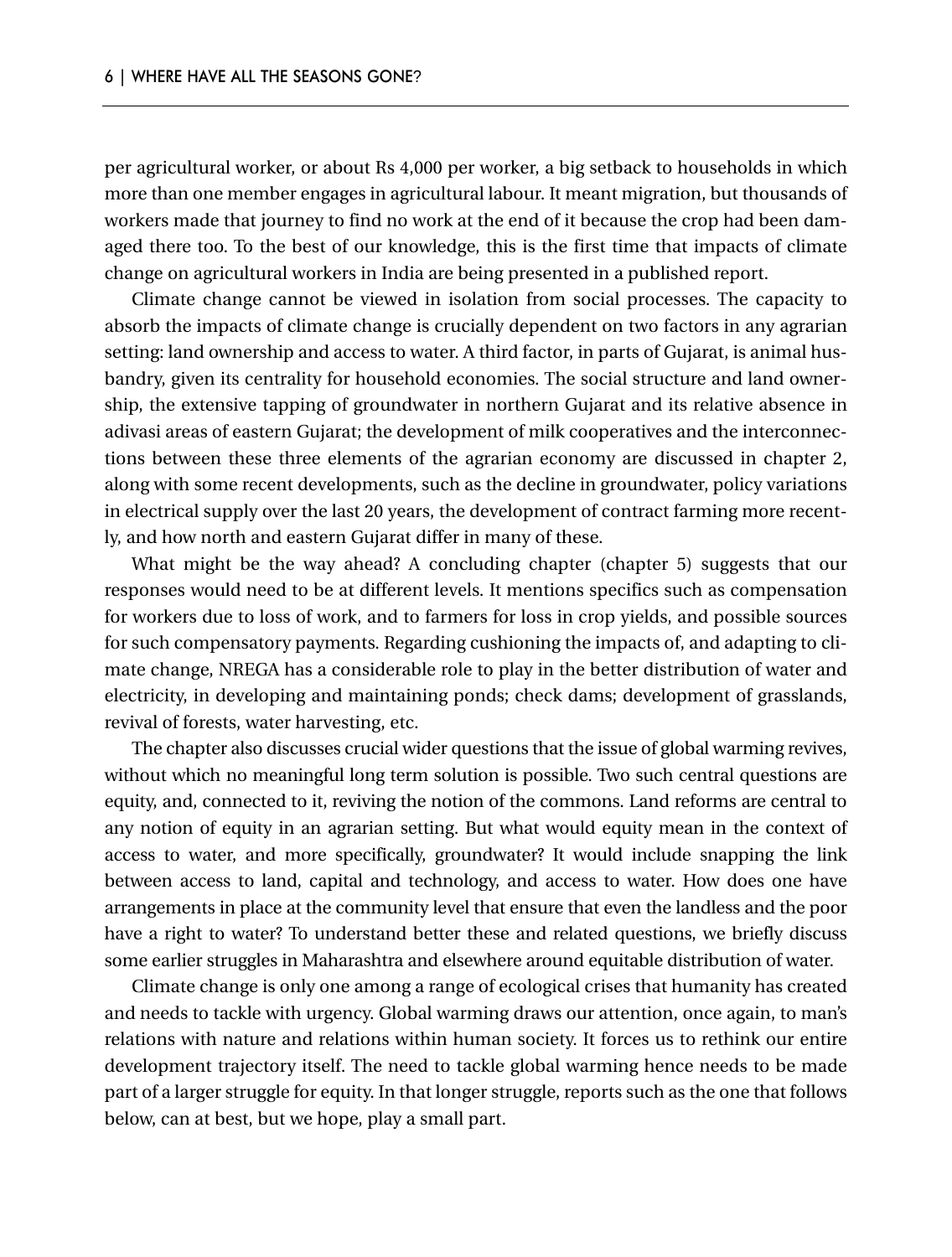per agricultural worker, or about Rs 4,000 per worker, a big setback to households in which more than one member engages in agricultural labour. It meant migration, but thousands of workers made that journey to find no work at the end of it because the crop had been damaged there too. To the best of our knowledge, this is the first time that impacts of climate change on agricultural workers in India are being presented in a published report.

Climate change cannot be viewed in isolation from social processes. The capacity to absorb the impacts of climate change is crucially dependent on two factors in any agrarian setting: land ownership and access to water. A third factor, in parts of Gujarat, is animal husbandry, given its centrality for household economies. The social structure and land ownership, the extensive tapping of groundwater in northern Gujarat and its relative absence in adivasi areas of eastern Gujarat; the development of milk cooperatives and the interconnections between these three elements of the agrarian economy are discussed in chapter 2, along with some recent developments, such as the decline in groundwater, policy variations in electrical supply over the last 20 years, the development of contract farming more recently, and how north and eastern Gujarat differ in many of these.

What might be the way ahead? A concluding chapter (chapter 5) suggests that our responses would need to be at different levels. It mentions specifics such as compensation for workers due to loss of work, and to farmers for loss in crop yields, and possible sources for such compensatory payments. Regarding cushioning the impacts of, and adapting to climate change, NREGA has a considerable role to play in the better distribution of water and electricity, in developing and maintaining ponds; check dams; development of grasslands, revival of forests, water harvesting, etc.

The chapter also discusses crucial wider questions that the issue of global warming revives, without which no meaningful long term solution is possible. Two such central questions are equity, and, connected to it, reviving the notion of the commons. Land reforms are central to any notion of equity in an agrarian setting. But what would equity mean in the context of access to water, and more specifically, groundwater? It would include snapping the link between access to land, capital and technology, and access to water. How does one have arrangements in place at the community level that ensure that even the landless and the poor have a right to water? To understand better these and related questions, we briefly discuss some earlier struggles in Maharashtra and elsewhere around equitable distribution of water.

Climate change is only one among a range of ecological crises that humanity has created and needs to tackle with urgency. Global warming draws our attention, once again, to man's relations with nature and relations within human society. It forces us to rethink our entire development trajectory itself. The need to tackle global warming hence needs to be made part of a larger struggle for equity. In that longer struggle, reports such as the one that follows below, can at best, but we hope, play a small part.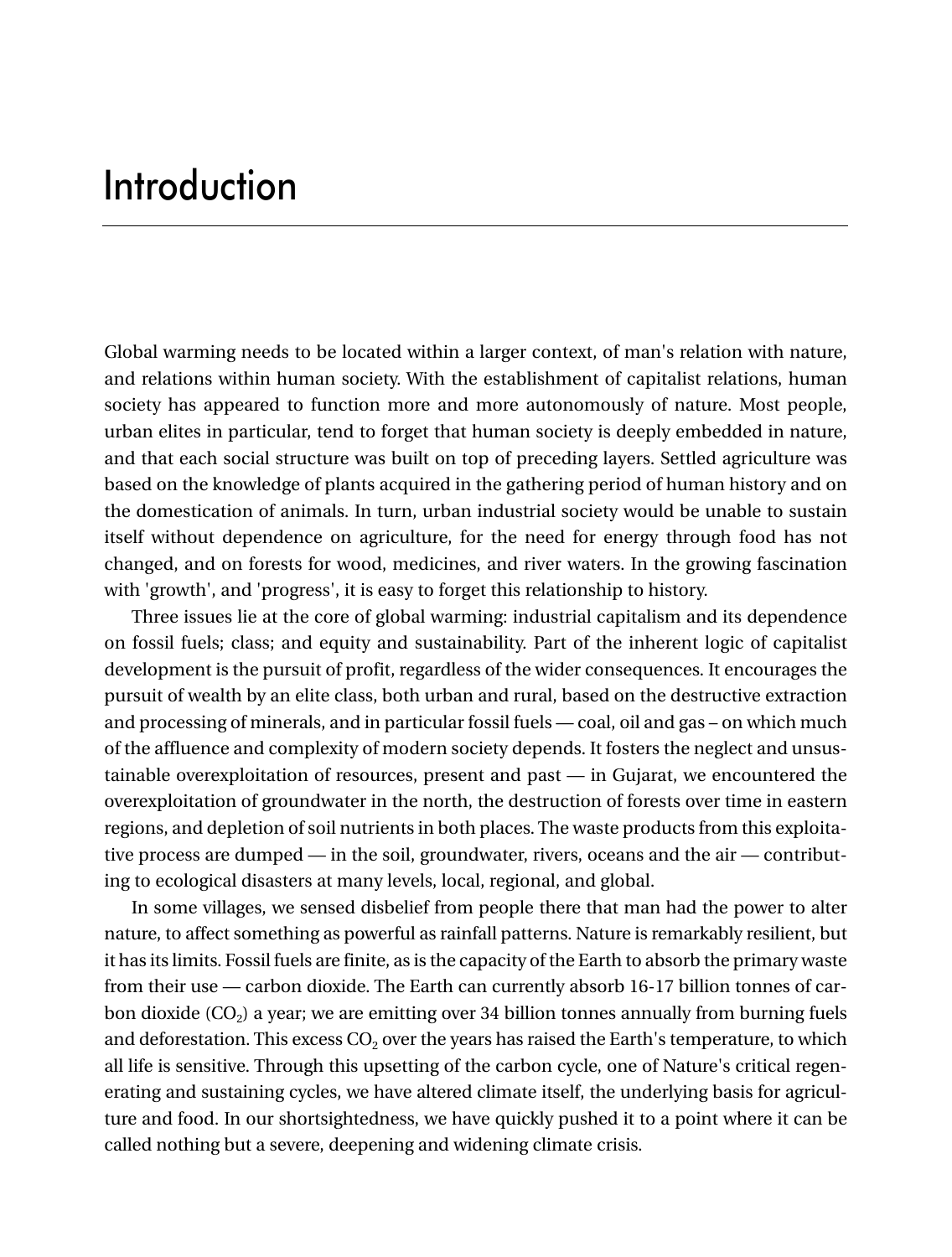### Introduction

Global warming needs to be located within a larger context, of man's relation with nature, and relations within human society. With the establishment of capitalist relations, human society has appeared to function more and more autonomously of nature. Most people, urban elites in particular, tend to forget that human society is deeply embedded in nature, and that each social structure was built on top of preceding layers. Settled agriculture was based on the knowledge of plants acquired in the gathering period of human history and on the domestication of animals. In turn, urban industrial society would be unable to sustain itself without dependence on agriculture, for the need for energy through food has not changed, and on forests for wood, medicines, and river waters. In the growing fascination with 'growth', and 'progress', it is easy to forget this relationship to history.

Three issues lie at the core of global warming: industrial capitalism and its dependence on fossil fuels; class; and equity and sustainability. Part of the inherent logic of capitalist development is the pursuit of profit, regardless of the wider consequences. It encourages the pursuit of wealth by an elite class, both urban and rural, based on the destructive extraction and processing of minerals, and in particular fossil fuels — coal, oil and gas – on which much of the affluence and complexity of modern society depends. It fosters the neglect and unsustainable overexploitation of resources, present and past — in Gujarat, we encountered the overexploitation of groundwater in the north, the destruction of forests over time in eastern regions, and depletion of soil nutrients in both places. The waste products from this exploitative process are dumped — in the soil, groundwater, rivers, oceans and the air — contributing to ecological disasters at many levels, local, regional, and global.

In some villages, we sensed disbelief from people there that man had the power to alter nature, to affect something as powerful as rainfall patterns. Nature is remarkably resilient, but it has its limits. Fossil fuels are finite, as is the capacity of the Earth to absorb the primary waste from their use — carbon dioxide. The Earth can currently absorb 16-17 billion tonnes of carbon dioxide  $(CO<sub>2</sub>)$  a year; we are emitting over 34 billion tonnes annually from burning fuels and deforestation. This excess  $CO<sub>2</sub>$  over the years has raised the Earth's temperature, to which all life is sensitive. Through this upsetting of the carbon cycle, one of Nature's critical regenerating and sustaining cycles, we have altered climate itself, the underlying basis for agriculture and food. In our shortsightedness, we have quickly pushed it to a point where it can be called nothing but a severe, deepening and widening climate crisis.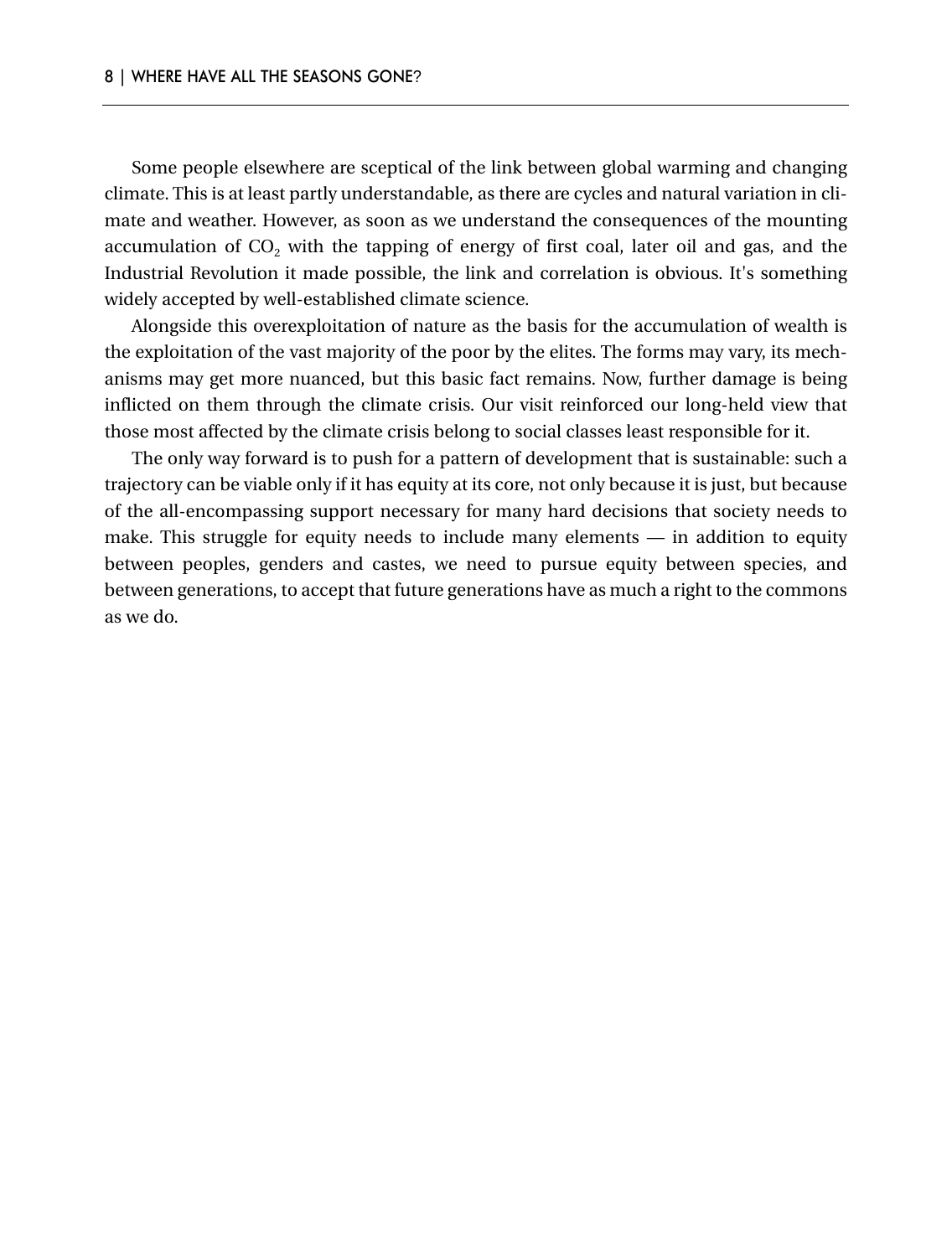Some people elsewhere are sceptical of the link between global warming and changing climate. This is at least partly understandable, as there are cycles and natural variation in climate and weather. However, as soon as we understand the consequences of the mounting accumulation of  $CO<sub>2</sub>$  with the tapping of energy of first coal, later oil and gas, and the Industrial Revolution it made possible, the link and correlation is obvious. It's something widely accepted by well-established climate science.

Alongside this overexploitation of nature as the basis for the accumulation of wealth is the exploitation of the vast majority of the poor by the elites. The forms may vary, its mechanisms may get more nuanced, but this basic fact remains. Now, further damage is being inflicted on them through the climate crisis. Our visit reinforced our long-held view that those most affected by the climate crisis belong to social classes least responsible for it.

The only way forward is to push for a pattern of development that is sustainable: such a trajectory can be viable only if it has equity at its core, not only because it is just, but because of the all-encompassing support necessary for many hard decisions that society needs to make. This struggle for equity needs to include many elements — in addition to equity between peoples, genders and castes, we need to pursue equity between species, and between generations, to accept that future generations have as much a right to the commons as we do.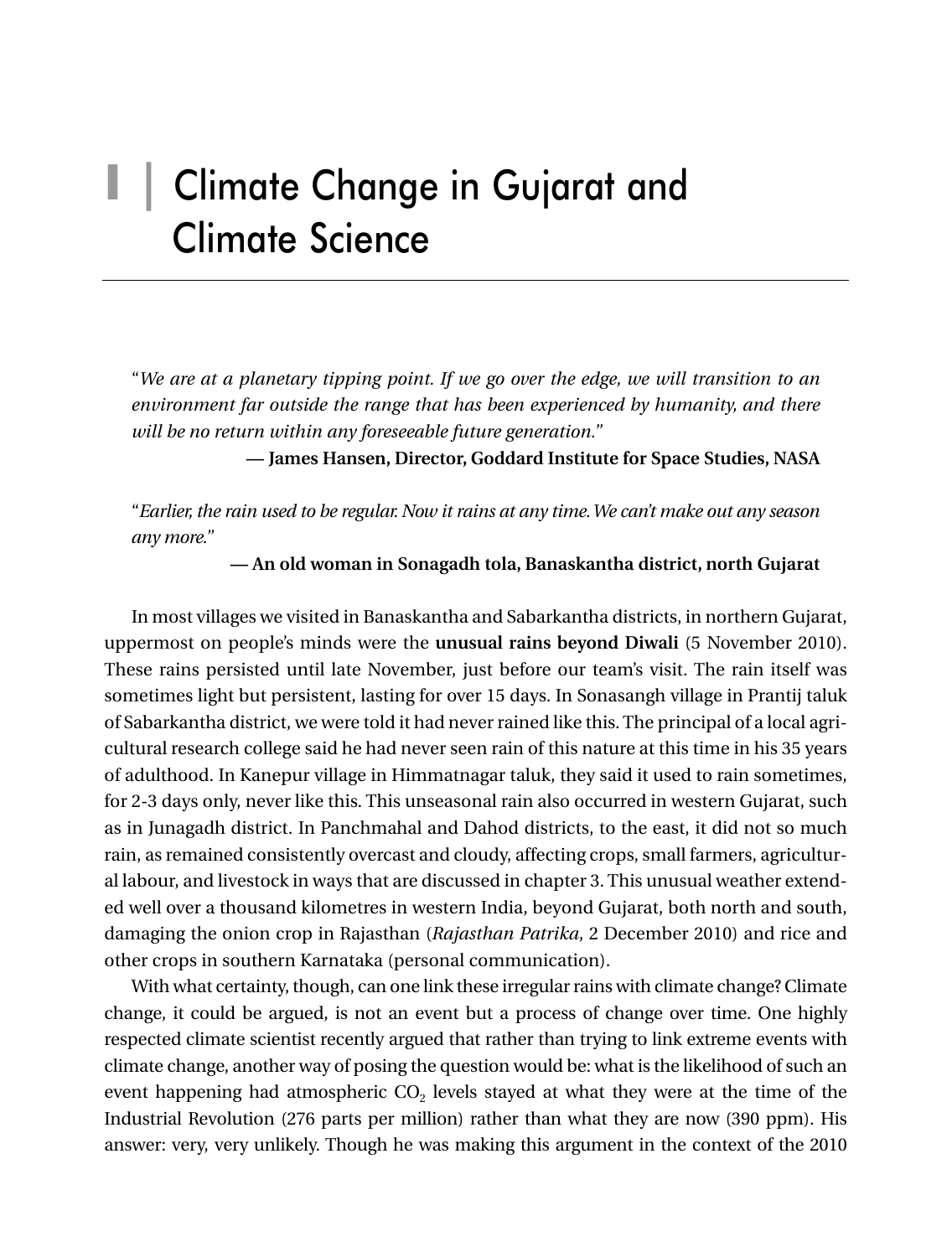# **I |** Climate Change in Gujarat and Climate Science

"*We are at a planetary tipping point. If we go over the edge, we will transition to an environment far outside the range that has been experienced by humanity, and there will be no return within any foreseeable future generation."*

**— James Hansen, Director, Goddard Institute for Space Studies, NASA**

"*Earlier, the rain used to be regular. Now it rains at any time.We can't make out any season any more."*

**— An old woman in Sonagadh tola, Banaskantha district, north Gujarat**

In most villages we visited in Banaskantha and Sabarkantha districts, in northern Gujarat, uppermost on people's minds were the **unusual rains beyond Diwali** (5 November 2010). These rains persisted until late November, just before our team's visit. The rain itself was sometimes light but persistent, lasting for over 15 days. In Sonasangh village in Prantij taluk of Sabarkantha district, we were told it had never rained like this. The principal of a local agricultural research college said he had never seen rain of this nature at this time in his 35 years of adulthood. In Kanepur village in Himmatnagar taluk, they said it used to rain sometimes, for 2-3 days only, never like this. This unseasonal rain also occurred in western Gujarat, such as in Junagadh district. In Panchmahal and Dahod districts, to the east, it did not so much rain, as remained consistently overcast and cloudy, affecting crops, small farmers, agricultural labour, and livestock in ways that are discussed in chapter 3. This unusual weather extended well over a thousand kilometres in western India, beyond Gujarat, both north and south, damaging the onion crop in Rajasthan (*Rajasthan Patrika*, 2 December 2010) and rice and other crops in southern Karnataka (personal communication).

With what certainty, though, can one link these irregular rains with climate change? Climate change, it could be argued, is not an event but a process of change over time. One highly respected climate scientist recently argued that rather than trying to link extreme events with climate change, another way of posing the question would be: what is the likelihood of such an event happening had atmospheric  $CO<sub>2</sub>$  levels stayed at what they were at the time of the Industrial Revolution (276 parts per million) rather than what they are now (390 ppm). His answer: very, very unlikely. Though he was making this argument in the context of the 2010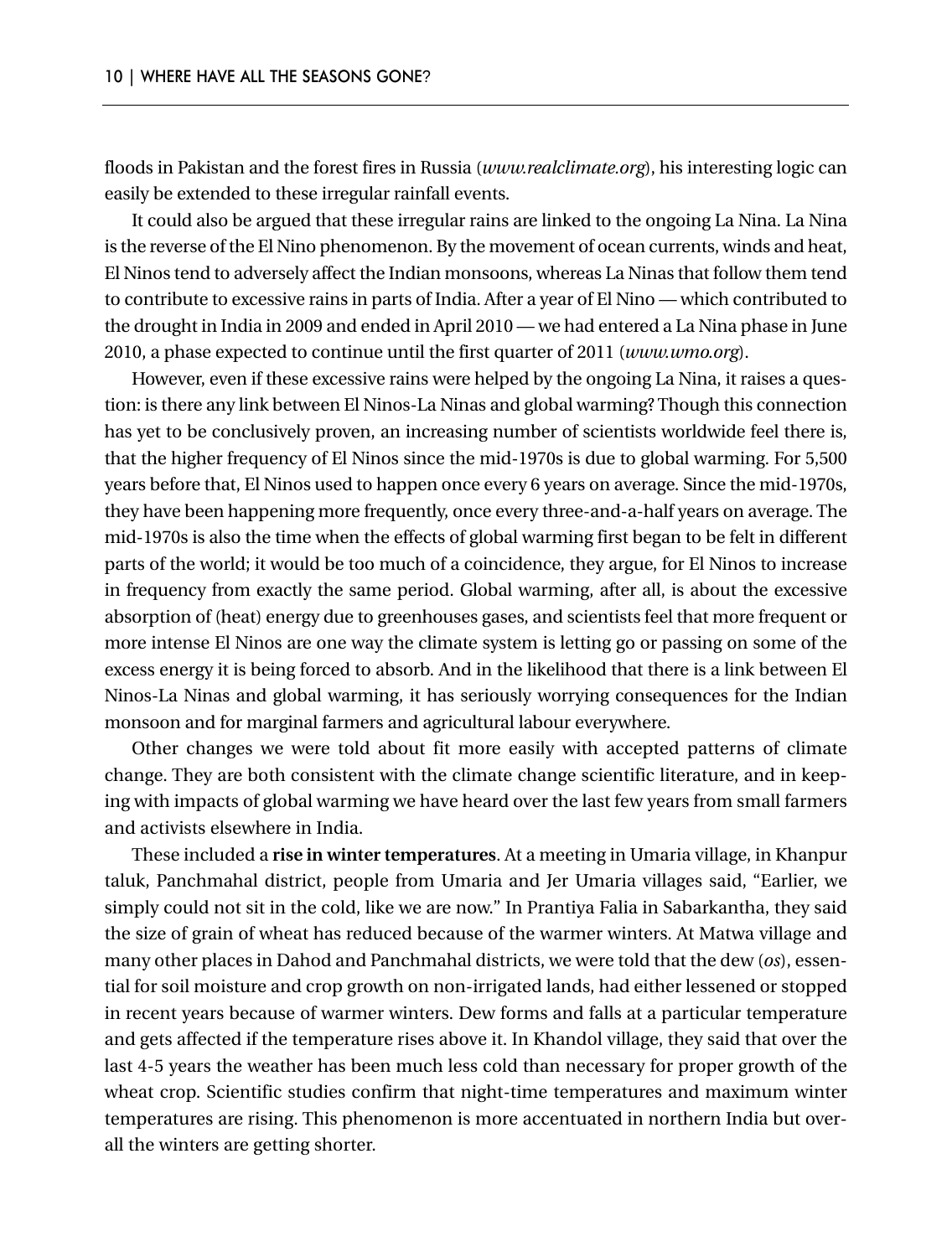floods in Pakistan and the forest fires in Russia (*www.realclimate.org*), his interesting logic can easily be extended to these irregular rainfall events.

It could also be argued that these irregular rains are linked to the ongoing La Nina. La Nina is the reverse of the El Nino phenomenon. By the movement of ocean currents, winds and heat, El Ninos tend to adversely affect the Indian monsoons, whereas La Ninas that follow them tend to contribute to excessive rains in parts of India. After a year of El Nino — which contributed to the drought in India in 2009 and ended in April 2010 — we had entered a La Nina phase in June 2010, a phase expected to continue until the first quarter of 2011 (*www.wmo.org*).

However, even if these excessive rains were helped by the ongoing La Nina, it raises a question: is there any link between El Ninos-La Ninas and global warming? Though this connection has yet to be conclusively proven, an increasing number of scientists worldwide feel there is, that the higher frequency of El Ninos since the mid-1970s is due to global warming. For 5,500 years before that, El Ninos used to happen once every 6 years on average. Since the mid-1970s, they have been happening more frequently, once every three-and-a-half years on average. The mid-1970s is also the time when the effects of global warming first began to be felt in different parts of the world; it would be too much of a coincidence, they argue, for El Ninos to increase in frequency from exactly the same period. Global warming, after all, is about the excessive absorption of (heat) energy due to greenhouses gases, and scientists feel that more frequent or more intense El Ninos are one way the climate system is letting go or passing on some of the excess energy it is being forced to absorb. And in the likelihood that there is a link between El Ninos-La Ninas and global warming, it has seriously worrying consequences for the Indian monsoon and for marginal farmers and agricultural labour everywhere.

Other changes we were told about fit more easily with accepted patterns of climate change. They are both consistent with the climate change scientific literature, and in keeping with impacts of global warming we have heard over the last few years from small farmers and activists elsewhere in India.

These included a **rise in winter temperatures**. At a meeting in Umaria village, in Khanpur taluk, Panchmahal district, people from Umaria and Jer Umaria villages said, "Earlier, we simply could not sit in the cold, like we are now." In Prantiya Falia in Sabarkantha, they said the size of grain of wheat has reduced because of the warmer winters. At Matwa village and many other places in Dahod and Panchmahal districts, we were told that the dew (*os*), essential for soil moisture and crop growth on non-irrigated lands, had either lessened or stopped in recent years because of warmer winters. Dew forms and falls at a particular temperature and gets affected if the temperature rises above it. In Khandol village, they said that over the last 4-5 years the weather has been much less cold than necessary for proper growth of the wheat crop. Scientific studies confirm that night-time temperatures and maximum winter temperatures are rising. This phenomenon is more accentuated in northern India but overall the winters are getting shorter.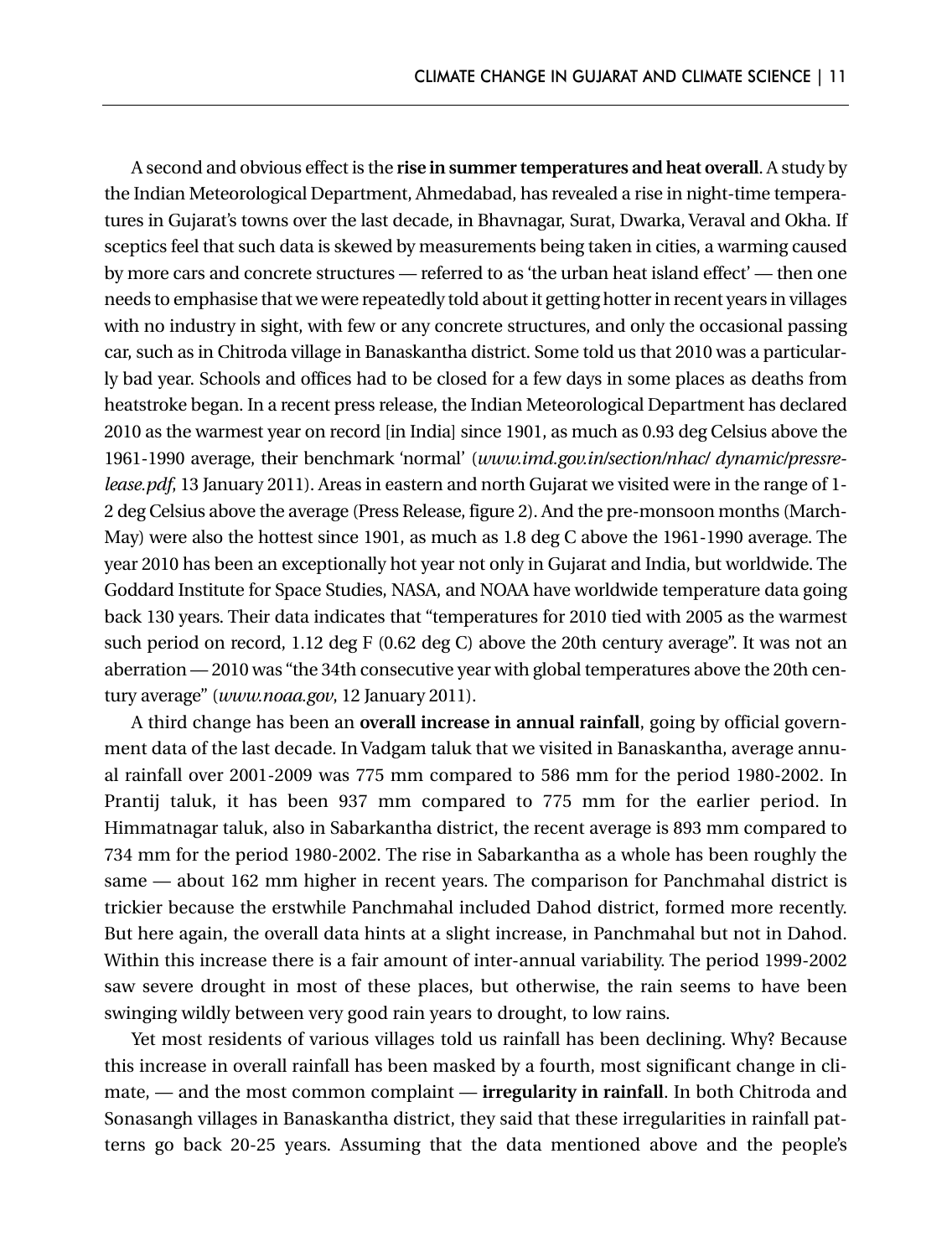A second and obvious effect is the **rise in summer temperatures and heat overall**. A study by the Indian Meteorological Department, Ahmedabad, has revealed a rise in night-time temperatures in Gujarat's towns over the last decade, in Bhavnagar, Surat, Dwarka, Veraval and Okha. If sceptics feel that such data is skewed by measurements being taken in cities, a warming caused by more cars and concrete structures — referred to as 'the urban heat island effect' — then one needs to emphasise that we were repeatedly told about it getting hotter in recent years in villages with no industry in sight, with few or any concrete structures, and only the occasional passing car, such as in Chitroda village in Banaskantha district. Some told us that 2010 was a particularly bad year. Schools and offices had to be closed for a few days in some places as deaths from heatstroke began. In a recent press release, the Indian Meteorological Department has declared 2010 as the warmest year on record [in India] since 1901, as much as 0.93 deg Celsius above the 1961-1990 average, their benchmark 'normal' (*www.imd.gov.in/section/nhac/ dynamic/pressrelease.pdf*, 13 January 2011). Areas in eastern and north Gujarat we visited were in the range of 1- 2 deg Celsius above the average (Press Release, figure 2). And the pre-monsoon months (March-May) were also the hottest since 1901, as much as 1.8 deg C above the 1961-1990 average. The year 2010 has been an exceptionally hot year not only in Gujarat and India, but worldwide. The Goddard Institute for Space Studies, NASA, and NOAA have worldwide temperature data going back 130 years. Their data indicates that "temperatures for 2010 tied with 2005 as the warmest such period on record, 1.12 deg F (0.62 deg C) above the 20th century average". It was not an aberration — 2010 was "the 34th consecutive year with global temperatures above the 20th century average" (*www.noaa.gov*, 12 January 2011).

A third change has been an **overall increase in annual rainfall**, going by official government data of the last decade. In Vadgam taluk that we visited in Banaskantha, average annual rainfall over 2001-2009 was 775 mm compared to 586 mm for the period 1980-2002. In Prantij taluk, it has been 937 mm compared to 775 mm for the earlier period. In Himmatnagar taluk, also in Sabarkantha district, the recent average is 893 mm compared to 734 mm for the period 1980-2002. The rise in Sabarkantha as a whole has been roughly the same — about 162 mm higher in recent years. The comparison for Panchmahal district is trickier because the erstwhile Panchmahal included Dahod district, formed more recently. But here again, the overall data hints at a slight increase, in Panchmahal but not in Dahod. Within this increase there is a fair amount of inter-annual variability. The period 1999-2002 saw severe drought in most of these places, but otherwise, the rain seems to have been swinging wildly between very good rain years to drought, to low rains.

Yet most residents of various villages told us rainfall has been declining. Why? Because this increase in overall rainfall has been masked by a fourth, most significant change in climate, — and the most common complaint — **irregularity in rainfall**. In both Chitroda and Sonasangh villages in Banaskantha district, they said that these irregularities in rainfall patterns go back 20-25 years. Assuming that the data mentioned above and the people's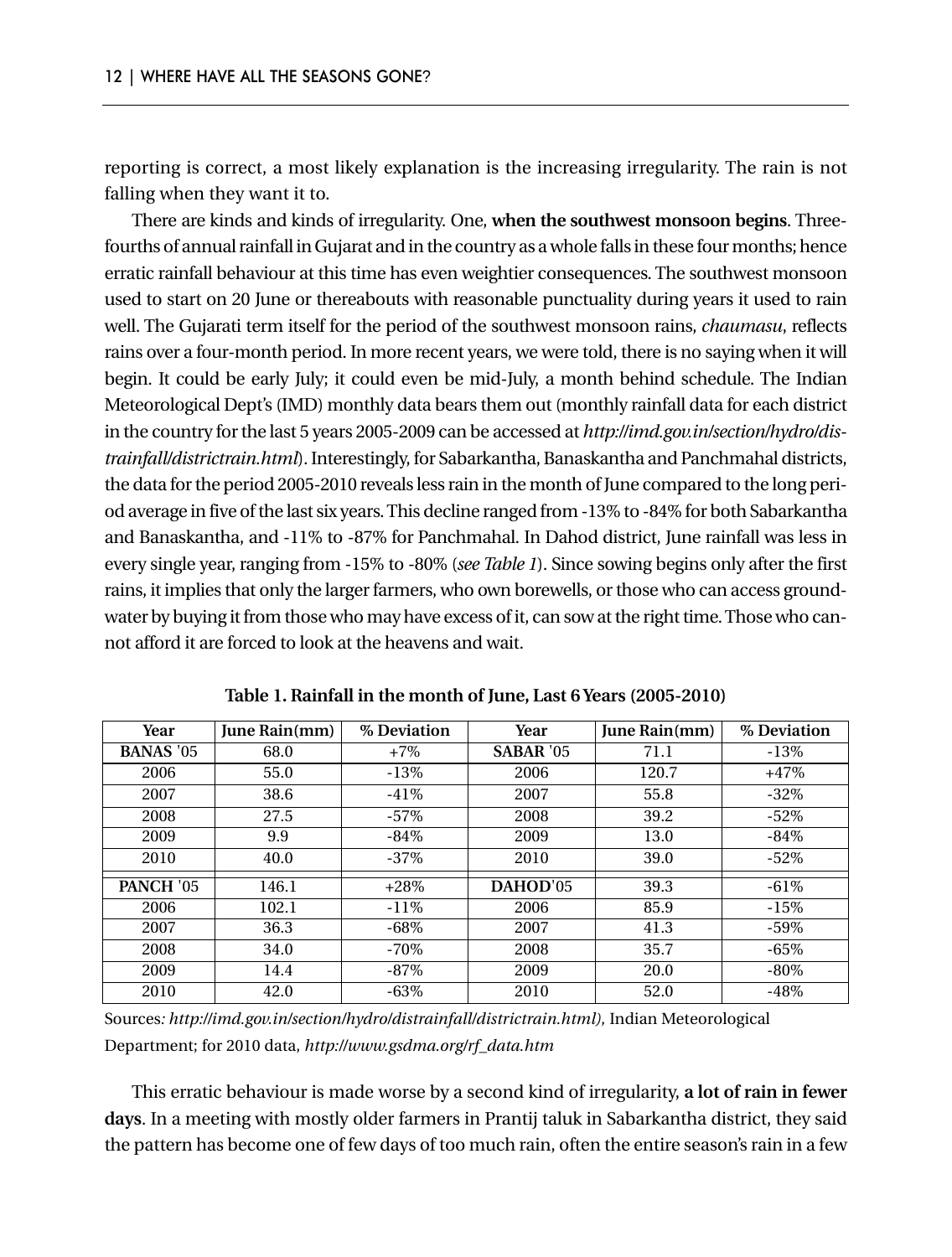reporting is correct, a most likely explanation is the increasing irregularity. The rain is not falling when they want it to.

There are kinds and kinds of irregularity. One, **when the southwest monsoon begins**. Threefourths of annual rainfall in Gujarat and in the country as a whole falls in these four months; hence erratic rainfall behaviour at this time has even weightier consequences. The southwest monsoon used to start on 20 June or thereabouts with reasonable punctuality during years it used to rain well. The Gujarati term itself for the period of the southwest monsoon rains, *chaumasu*, reflects rains over a four-month period. In more recent years, we were told, there is no saying when it will begin. It could be early July; it could even be mid-July, a month behind schedule. The Indian Meteorological Dept's (IMD) monthly data bears them out (monthly rainfall data for each district in the country for the last 5 years 2005-2009 can be accessed at *http://imd.gov.in/section/hydro/distrainfall/districtrain.html*). Interestingly, for Sabarkantha, Banaskantha and Panchmahal districts, the data for the period 2005-2010 reveals less rain in the month of June compared to the long period average in five of the last six years. This decline ranged from -13% to -84% for both Sabarkantha and Banaskantha, and -11% to -87% for Panchmahal. In Dahod district, June rainfall was less in every single year, ranging from -15% to -80% (*see Table 1*). Since sowing begins only after the first rains, it implies that only the larger farmers, who own borewells, or those who can access groundwater by buying it from those who may have excess of it, can sow at the right time. Those who cannot afford it are forced to look at the heavens and wait.

| Year             | June Rain(mm) | % Deviation | Year             | June Rain(mm) | % Deviation |
|------------------|---------------|-------------|------------------|---------------|-------------|
| <b>BANAS</b> '05 | 68.0          | $+7\%$      | <b>SABAR '05</b> | 71.1          | $-13\%$     |
| 2006             | 55.0          | $-13%$      | 2006             | 120.7         | $+47%$      |
| 2007             | 38.6          | $-41%$      | 2007             | 55.8          | $-32\%$     |
| 2008             | 27.5          | $-57\%$     | 2008             | 39.2          | $-52\%$     |
| 2009             | 9.9           | $-84%$      | 2009             | 13.0          | $-84%$      |
| 2010             | 40.0          | $-37\%$     | 2010             | 39.0          | $-52%$      |
| PANCH '05        | 146.1         | $+28%$      | DAHOD'05         | 39.3          | $-61\%$     |
| 2006             | 102.1         | $-11\%$     | 2006             | 85.9          | $-15%$      |
| 2007             | 36.3          | $-68\%$     | 2007             | 41.3          | $-59\%$     |
| 2008             | 34.0          | $-70\%$     | 2008             | 35.7          | $-65\%$     |
| 2009             | 14.4          | $-87\%$     | 2009             | 20.0          | -80%        |
| 2010             | 42.0          | $-63%$      | 2010             | 52.0          | $-48%$      |

**Table 1. Rainfall in the month of June, Last 6 Years (2005-2010)**

Sources*: http://imd.gov.in/section/hydro/distrainfall/districtrain.html),* Indian Meteorological Department; for 2010 data, *http://www.gsdma.org/rf\_data.htm*

This erratic behaviour is made worse by a second kind of irregularity, **a lot of rain in fewer days**. In a meeting with mostly older farmers in Prantij taluk in Sabarkantha district, they said the pattern has become one of few days of too much rain, often the entire season's rain in a few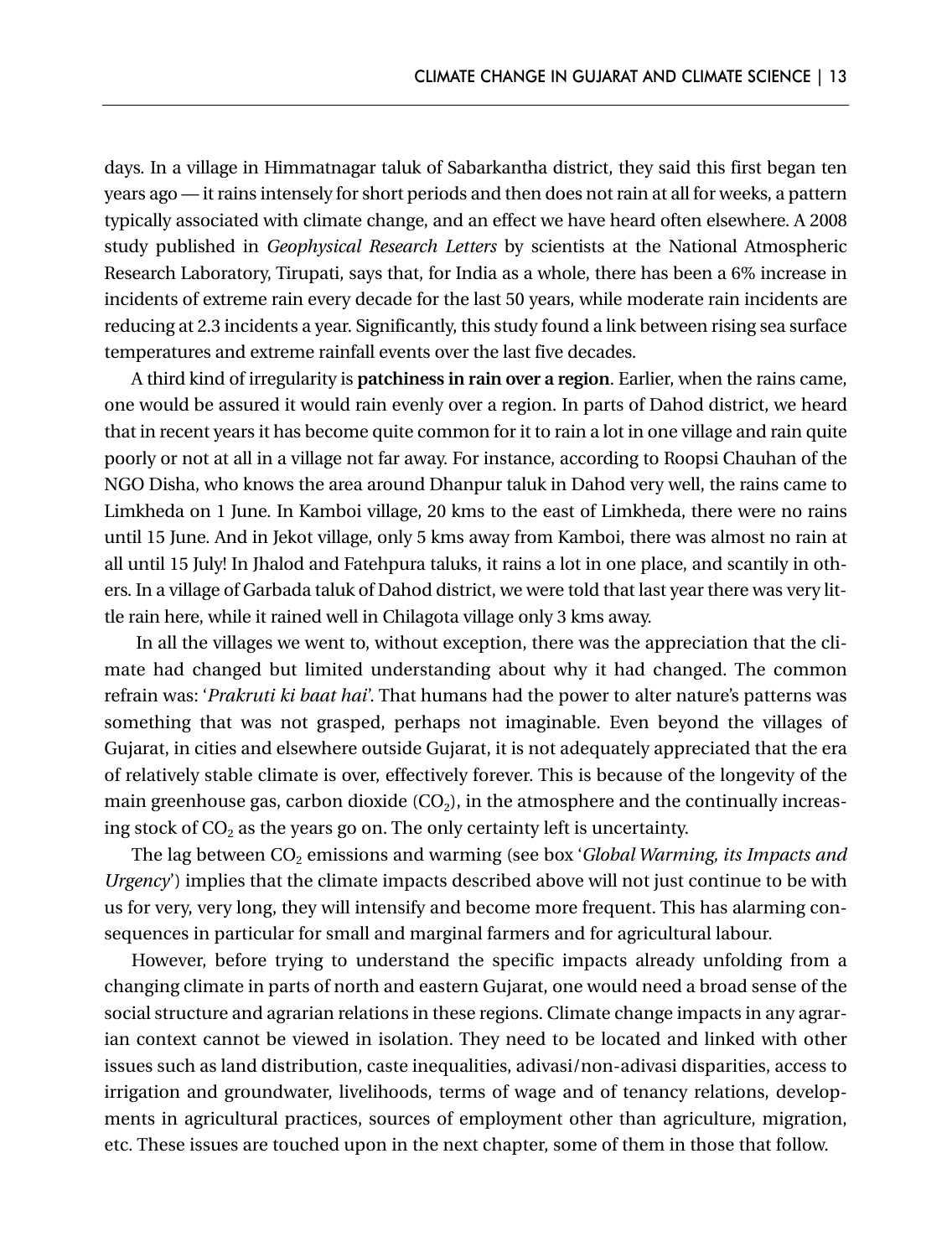days. In a village in Himmatnagar taluk of Sabarkantha district, they said this first began ten years ago — it rains intensely for short periods and then does not rain at all for weeks, a pattern typically associated with climate change, and an effect we have heard often elsewhere. A 2008 study published in *Geophysical Research Letters* by scientists at the National Atmospheric Research Laboratory, Tirupati, says that, for India as a whole, there has been a 6% increase in incidents of extreme rain every decade for the last 50 years, while moderate rain incidents are reducing at 2.3 incidents a year. Significantly, this study found a link between rising sea surface temperatures and extreme rainfall events over the last five decades.

A third kind of irregularity is **patchiness in rain over a region**. Earlier, when the rains came, one would be assured it would rain evenly over a region. In parts of Dahod district, we heard that in recent years it has become quite common for it to rain a lot in one village and rain quite poorly or not at all in a village not far away. For instance, according to Roopsi Chauhan of the NGO Disha, who knows the area around Dhanpur taluk in Dahod very well, the rains came to Limkheda on 1 June. In Kamboi village, 20 kms to the east of Limkheda, there were no rains until 15 June. And in Jekot village, only 5 kms away from Kamboi, there was almost no rain at all until 15 July! In Jhalod and Fatehpura taluks, it rains a lot in one place, and scantily in others. In a village of Garbada taluk of Dahod district, we were told that last year there was very little rain here, while it rained well in Chilagota village only 3 kms away.

In all the villages we went to, without exception, there was the appreciation that the climate had changed but limited understanding about why it had changed. The common refrain was: '*Prakruti ki baat hai*'. That humans had the power to alter nature's patterns was something that was not grasped, perhaps not imaginable. Even beyond the villages of Gujarat, in cities and elsewhere outside Gujarat, it is not adequately appreciated that the era of relatively stable climate is over, effectively forever. This is because of the longevity of the main greenhouse gas, carbon dioxide  $(CO<sub>2</sub>)$ , in the atmosphere and the continually increasing stock of  $CO<sub>2</sub>$  as the years go on. The only certainty left is uncertainty.

The lag between CO<sub>2</sub> emissions and warming (see box '*Global Warming, its Impacts and Urgency*') implies that the climate impacts described above will not just continue to be with us for very, very long, they will intensify and become more frequent. This has alarming consequences in particular for small and marginal farmers and for agricultural labour.

However, before trying to understand the specific impacts already unfolding from a changing climate in parts of north and eastern Gujarat, one would need a broad sense of the social structure and agrarian relations in these regions. Climate change impacts in any agrarian context cannot be viewed in isolation. They need to be located and linked with other issues such as land distribution, caste inequalities, adivasi/non-adivasi disparities, access to irrigation and groundwater, livelihoods, terms of wage and of tenancy relations, developments in agricultural practices, sources of employment other than agriculture, migration, etc. These issues are touched upon in the next chapter, some of them in those that follow.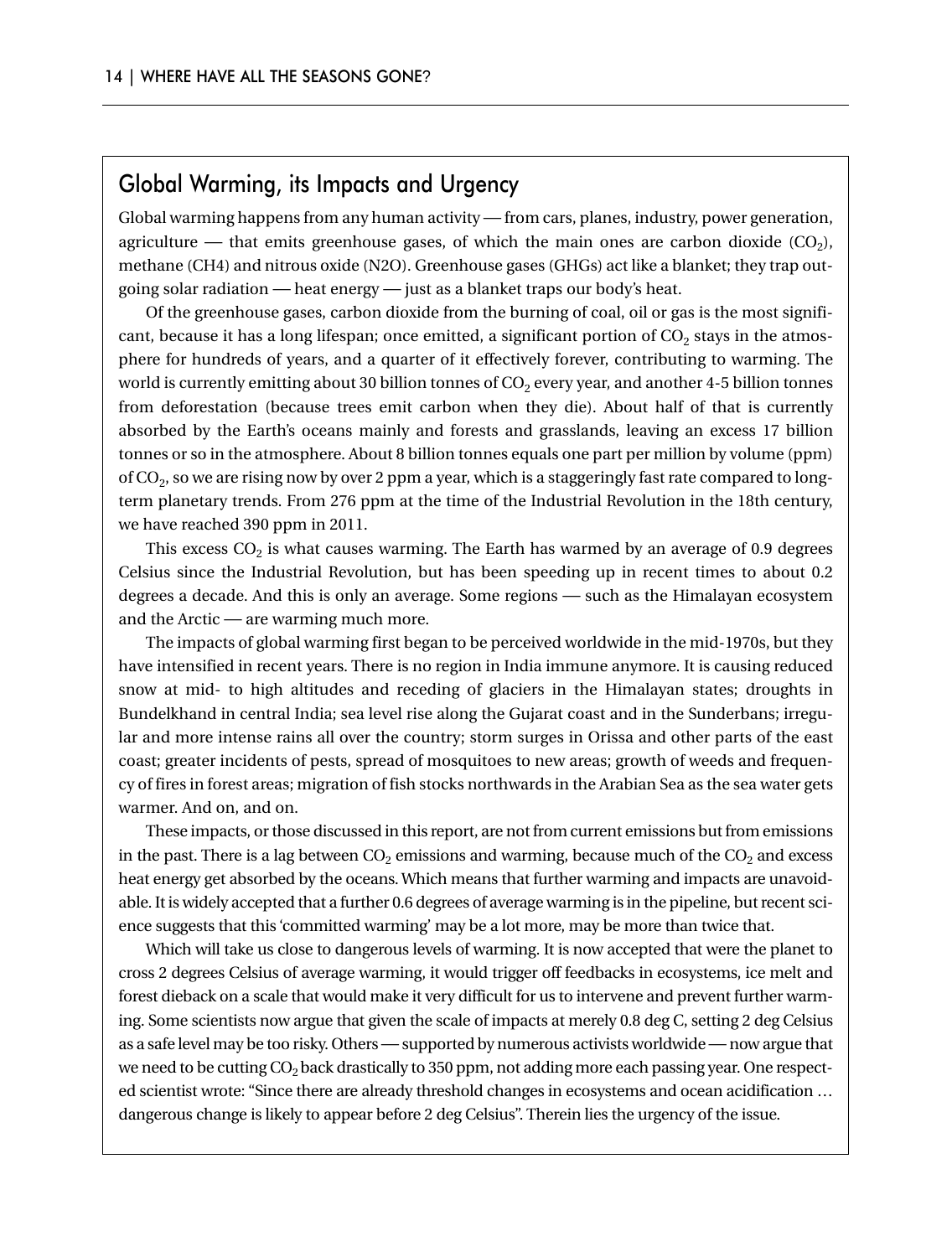#### Global Warming, its Impacts and Urgency

Global warming happens from any human activity —from cars, planes, industry, power generation, agriculture — that emits greenhouse gases, of which the main ones are carbon dioxide  $(CO<sub>2</sub>)$ , methane (CH4) and nitrous oxide (N2O). Greenhouse gases (GHGs) act like a blanket; they trap outgoing solar radiation — heat energy — just as a blanket traps our body's heat.

Of the greenhouse gases, carbon dioxide from the burning of coal, oil or gas is the most significant, because it has a long lifespan; once emitted, a significant portion of  $CO<sub>2</sub>$  stays in the atmosphere for hundreds of years, and a quarter of it effectively forever, contributing to warming. The world is currently emitting about 30 billion tonnes of  $CO<sub>2</sub>$  every year, and another 4-5 billion tonnes from deforestation (because trees emit carbon when they die). About half of that is currently absorbed by the Earth's oceans mainly and forests and grasslands, leaving an excess 17 billion tonnes or so in the atmosphere. About 8 billion tonnes equals one part per million by volume (ppm) of CO2, so we are rising now by over 2 ppm a year, which is a staggeringly fast rate compared to longterm planetary trends. From 276 ppm at the time of the Industrial Revolution in the 18th century, we have reached 390 ppm in 2011.

This excess  $CO<sub>2</sub>$  is what causes warming. The Earth has warmed by an average of 0.9 degrees Celsius since the Industrial Revolution, but has been speeding up in recent times to about 0.2 degrees a decade. And this is only an average. Some regions — such as the Himalayan ecosystem and the Arctic — are warming much more.

The impacts of global warming first began to be perceived worldwide in the mid-1970s, but they have intensified in recent years. There is no region in India immune anymore. It is causing reduced snow at mid- to high altitudes and receding of glaciers in the Himalayan states; droughts in Bundelkhand in central India; sea level rise along the Gujarat coast and in the Sunderbans; irregular and more intense rains all over the country; storm surges in Orissa and other parts of the east coast; greater incidents of pests, spread of mosquitoes to new areas; growth of weeds and frequency of fires in forest areas; migration of fish stocks northwards in the Arabian Sea as the sea water gets warmer. And on, and on.

These impacts, or those discussed in this report, are not from current emissions but from emissions in the past. There is a lag between  $CO<sub>2</sub>$  emissions and warming, because much of the  $CO<sub>2</sub>$  and excess heat energy get absorbed by the oceans. Which means that further warming and impacts are unavoidable. It is widely accepted that a further 0.6 degrees of average warming is in the pipeline, but recent science suggests that this 'committed warming' may be a lot more, may be more than twice that.

Which will take us close to dangerous levels of warming. It is now accepted that were the planet to cross 2 degrees Celsius of average warming, it would trigger off feedbacks in ecosystems, ice melt and forest dieback on a scale that would make it very difficult for us to intervene and prevent further warming. Some scientists now argue that given the scale of impacts at merely 0.8 deg C, setting 2 deg Celsius as a safe level may be too risky. Others — supported by numerous activists worldwide — now argue that we need to be cutting CO<sub>2</sub> back drastically to 350 ppm, not adding more each passing year. One respected scientist wrote: "Since there are already threshold changes in ecosystems and ocean acidification … dangerous change is likely to appear before 2 deg Celsius". Therein lies the urgency of the issue.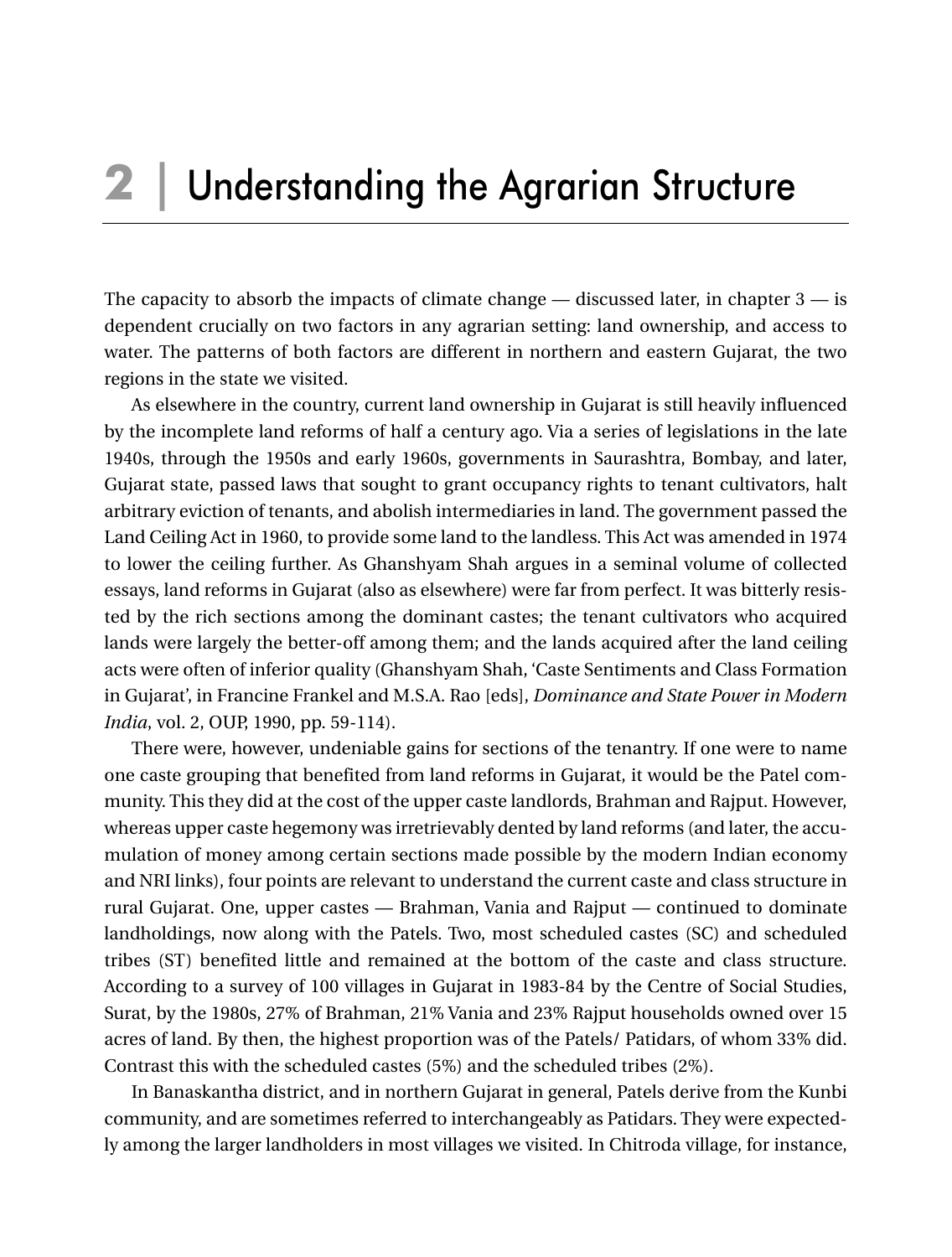### **2 |** Understanding the Agrarian Structure

The capacity to absorb the impacts of climate change — discussed later, in chapter  $3$  — is dependent crucially on two factors in any agrarian setting: land ownership, and access to water. The patterns of both factors are different in northern and eastern Gujarat, the two regions in the state we visited.

As elsewhere in the country, current land ownership in Gujarat is still heavily influenced by the incomplete land reforms of half a century ago. Via a series of legislations in the late 1940s, through the 1950s and early 1960s, governments in Saurashtra, Bombay, and later, Gujarat state, passed laws that sought to grant occupancy rights to tenant cultivators, halt arbitrary eviction of tenants, and abolish intermediaries in land. The government passed the Land Ceiling Act in 1960, to provide some land to the landless. This Act was amended in 1974 to lower the ceiling further. As Ghanshyam Shah argues in a seminal volume of collected essays, land reforms in Gujarat (also as elsewhere) were far from perfect. It was bitterly resisted by the rich sections among the dominant castes; the tenant cultivators who acquired lands were largely the better-off among them; and the lands acquired after the land ceiling acts were often of inferior quality (Ghanshyam Shah, 'Caste Sentiments and Class Formation in Gujarat', in Francine Frankel and M.S.A. Rao [eds], *Dominance and State Power in Modern India*, vol. 2, OUP, 1990, pp. 59-114).

There were, however, undeniable gains for sections of the tenantry. If one were to name one caste grouping that benefited from land reforms in Gujarat, it would be the Patel community. This they did at the cost of the upper caste landlords, Brahman and Rajput. However, whereas upper caste hegemony was irretrievably dented by land reforms (and later, the accumulation of money among certain sections made possible by the modern Indian economy and NRI links), four points are relevant to understand the current caste and class structure in rural Gujarat. One, upper castes — Brahman, Vania and Rajput — continued to dominate landholdings, now along with the Patels. Two, most scheduled castes (SC) and scheduled tribes (ST) benefited little and remained at the bottom of the caste and class structure. According to a survey of 100 villages in Gujarat in 1983-84 by the Centre of Social Studies, Surat, by the 1980s, 27% of Brahman, 21% Vania and 23% Rajput households owned over 15 acres of land. By then, the highest proportion was of the Patels/ Patidars, of whom 33% did. Contrast this with the scheduled castes (5%) and the scheduled tribes (2%).

In Banaskantha district, and in northern Gujarat in general, Patels derive from the Kunbi community, and are sometimes referred to interchangeably as Patidars. They were expectedly among the larger landholders in most villages we visited. In Chitroda village, for instance,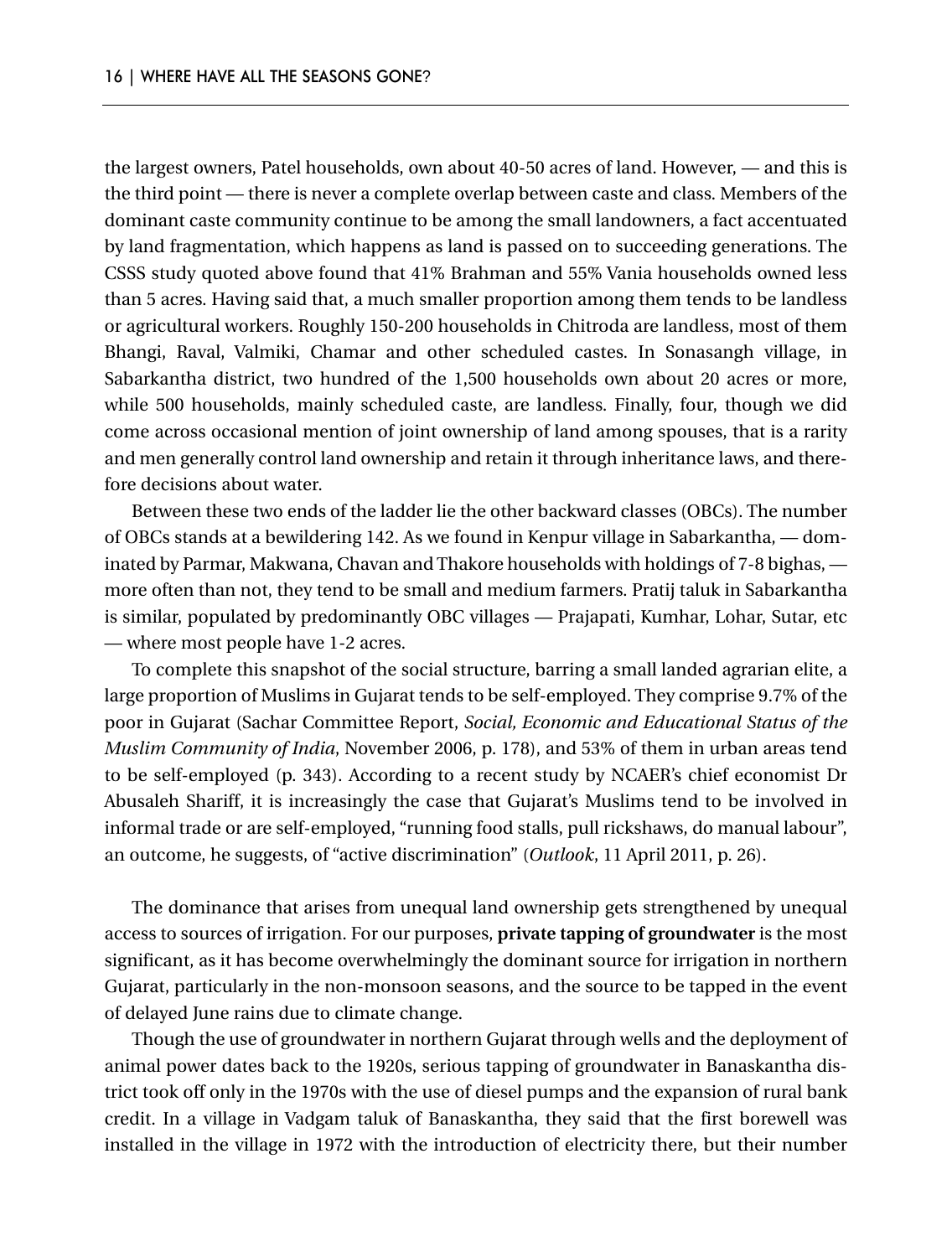the largest owners, Patel households, own about 40-50 acres of land. However, — and this is the third point — there is never a complete overlap between caste and class. Members of the dominant caste community continue to be among the small landowners, a fact accentuated by land fragmentation, which happens as land is passed on to succeeding generations. The CSSS study quoted above found that 41% Brahman and 55% Vania households owned less than 5 acres. Having said that, a much smaller proportion among them tends to be landless or agricultural workers. Roughly 150-200 households in Chitroda are landless, most of them Bhangi, Raval, Valmiki, Chamar and other scheduled castes. In Sonasangh village, in Sabarkantha district, two hundred of the 1,500 households own about 20 acres or more, while 500 households, mainly scheduled caste, are landless. Finally, four, though we did come across occasional mention of joint ownership of land among spouses, that is a rarity and men generally control land ownership and retain it through inheritance laws, and therefore decisions about water.

Between these two ends of the ladder lie the other backward classes (OBCs). The number of OBCs stands at a bewildering 142. As we found in Kenpur village in Sabarkantha, — dominated by Parmar, Makwana, Chavan and Thakore households with holdings of 7-8 bighas, more often than not, they tend to be small and medium farmers. Pratij taluk in Sabarkantha is similar, populated by predominantly OBC villages — Prajapati, Kumhar, Lohar, Sutar, etc — where most people have 1-2 acres.

To complete this snapshot of the social structure, barring a small landed agrarian elite, a large proportion of Muslims in Gujarat tends to be self-employed. They comprise 9.7% of the poor in Gujarat (Sachar Committee Report, *Social, Economic and Educational Status of the Muslim Community of India*, November 2006, p. 178), and 53% of them in urban areas tend to be self-employed (p. 343). According to a recent study by NCAER's chief economist Dr Abusaleh Shariff, it is increasingly the case that Gujarat's Muslims tend to be involved in informal trade or are self-employed, "running food stalls, pull rickshaws, do manual labour", an outcome, he suggests, of "active discrimination" (*Outlook*, 11 April 2011, p. 26).

The dominance that arises from unequal land ownership gets strengthened by unequal access to sources of irrigation. For our purposes, **private tapping of groundwater** is the most significant, as it has become overwhelmingly the dominant source for irrigation in northern Gujarat, particularly in the non-monsoon seasons, and the source to be tapped in the event of delayed June rains due to climate change.

Though the use of groundwater in northern Gujarat through wells and the deployment of animal power dates back to the 1920s, serious tapping of groundwater in Banaskantha district took off only in the 1970s with the use of diesel pumps and the expansion of rural bank credit. In a village in Vadgam taluk of Banaskantha, they said that the first borewell was installed in the village in 1972 with the introduction of electricity there, but their number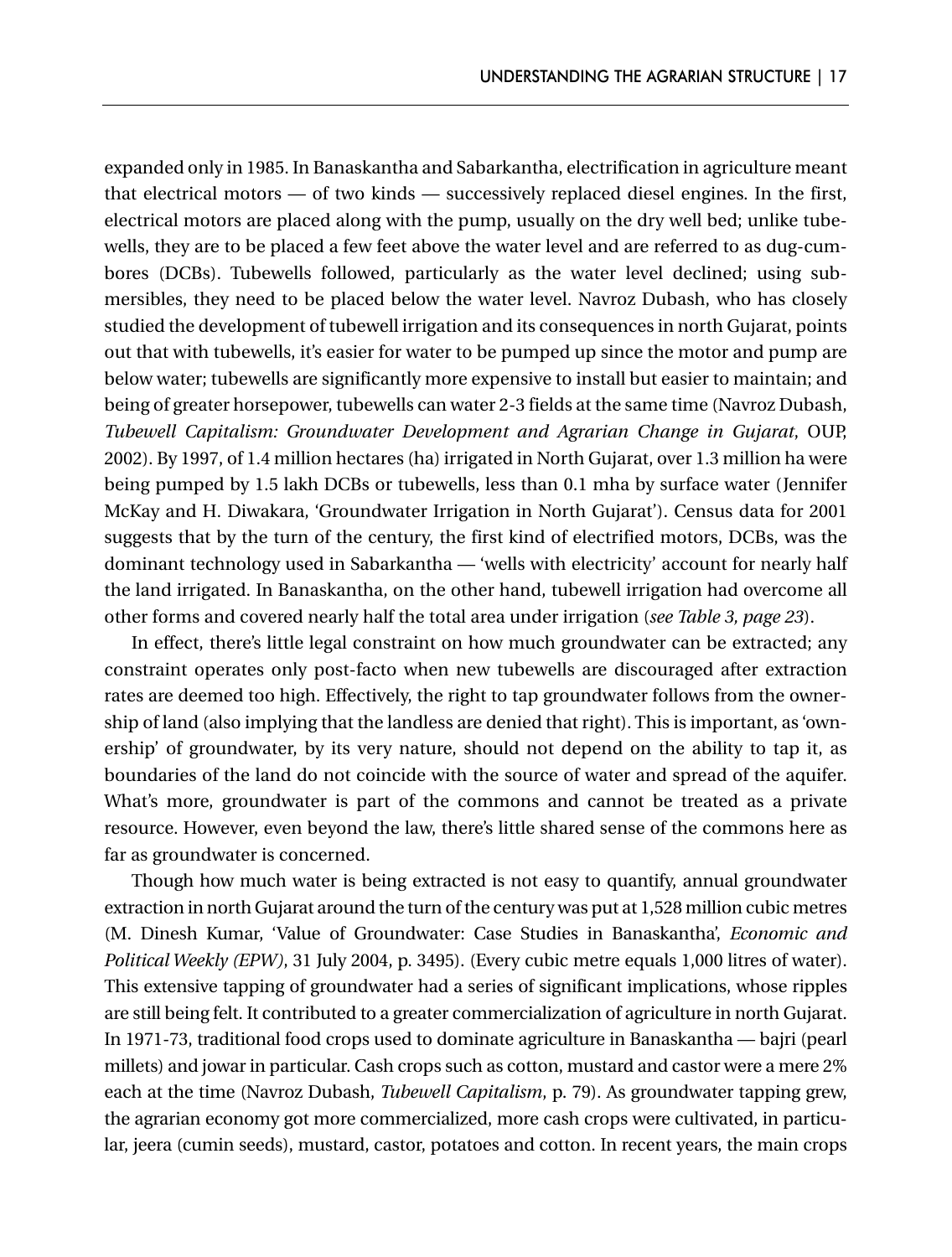expanded only in 1985. In Banaskantha and Sabarkantha, electrification in agriculture meant that electrical motors — of two kinds — successively replaced diesel engines. In the first, electrical motors are placed along with the pump, usually on the dry well bed; unlike tubewells, they are to be placed a few feet above the water level and are referred to as dug-cumbores (DCBs). Tubewells followed, particularly as the water level declined; using submersibles, they need to be placed below the water level. Navroz Dubash, who has closely studied the development of tubewell irrigation and its consequences in north Gujarat, points out that with tubewells, it's easier for water to be pumped up since the motor and pump are below water; tubewells are significantly more expensive to install but easier to maintain; and being of greater horsepower, tubewells can water 2-3 fields at the same time (Navroz Dubash, *Tubewell Capitalism: Groundwater Development and Agrarian Change in Gujarat*, OUP, 2002). By 1997, of 1.4 million hectares (ha) irrigated in North Gujarat, over 1.3 million ha were being pumped by 1.5 lakh DCBs or tubewells, less than 0.1 mha by surface water (Jennifer McKay and H. Diwakara, 'Groundwater Irrigation in North Gujarat'). Census data for 2001 suggests that by the turn of the century, the first kind of electrified motors, DCBs, was the dominant technology used in Sabarkantha — 'wells with electricity' account for nearly half the land irrigated. In Banaskantha, on the other hand, tubewell irrigation had overcome all other forms and covered nearly half the total area under irrigation (*see Table 3, page 23*).

In effect, there's little legal constraint on how much groundwater can be extracted; any constraint operates only post-facto when new tubewells are discouraged after extraction rates are deemed too high. Effectively, the right to tap groundwater follows from the ownership of land (also implying that the landless are denied that right). This is important, as 'ownership' of groundwater, by its very nature, should not depend on the ability to tap it, as boundaries of the land do not coincide with the source of water and spread of the aquifer. What's more, groundwater is part of the commons and cannot be treated as a private resource. However, even beyond the law, there's little shared sense of the commons here as far as groundwater is concerned.

Though how much water is being extracted is not easy to quantify, annual groundwater extraction in north Gujarat around the turn of the century was put at 1,528 million cubic metres (M. Dinesh Kumar, 'Value of Groundwater: Case Studies in Banaskantha', *Economic and Political Weekly (EPW)*, 31 July 2004, p. 3495). (Every cubic metre equals 1,000 litres of water). This extensive tapping of groundwater had a series of significant implications, whose ripples are still being felt. It contributed to a greater commercialization of agriculture in north Gujarat. In 1971-73, traditional food crops used to dominate agriculture in Banaskantha — bajri (pearl millets) and jowar in particular. Cash crops such as cotton, mustard and castor were a mere 2% each at the time (Navroz Dubash, *Tubewell Capitalism*, p. 79). As groundwater tapping grew, the agrarian economy got more commercialized, more cash crops were cultivated, in particular, jeera (cumin seeds), mustard, castor, potatoes and cotton. In recent years, the main crops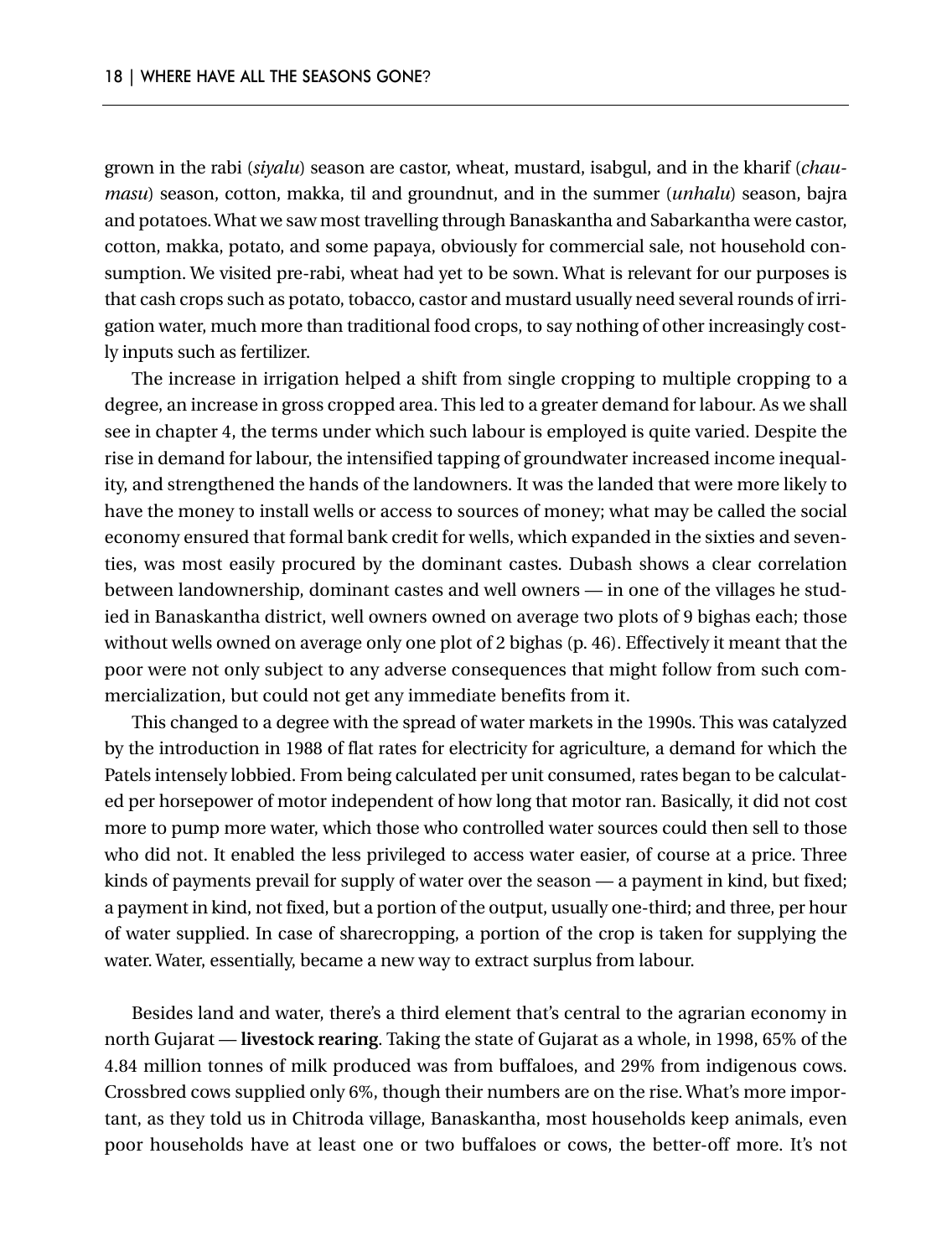grown in the rabi (*siyalu*) season are castor, wheat, mustard, isabgul, and in the kharif (*chaumasu*) season, cotton, makka, til and groundnut, and in the summer (*unhalu*) season, bajra and potatoes. What we saw most travelling through Banaskantha and Sabarkantha were castor, cotton, makka, potato, and some papaya, obviously for commercial sale, not household consumption. We visited pre-rabi, wheat had yet to be sown. What is relevant for our purposes is that cash crops such as potato, tobacco, castor and mustard usually need several rounds of irrigation water, much more than traditional food crops, to say nothing of other increasingly costly inputs such as fertilizer.

The increase in irrigation helped a shift from single cropping to multiple cropping to a degree, an increase in gross cropped area. This led to a greater demand for labour. As we shall see in chapter 4, the terms under which such labour is employed is quite varied. Despite the rise in demand for labour, the intensified tapping of groundwater increased income inequality, and strengthened the hands of the landowners. It was the landed that were more likely to have the money to install wells or access to sources of money; what may be called the social economy ensured that formal bank credit for wells, which expanded in the sixties and seventies, was most easily procured by the dominant castes. Dubash shows a clear correlation between landownership, dominant castes and well owners — in one of the villages he studied in Banaskantha district, well owners owned on average two plots of 9 bighas each; those without wells owned on average only one plot of 2 bighas (p. 46). Effectively it meant that the poor were not only subject to any adverse consequences that might follow from such commercialization, but could not get any immediate benefits from it.

This changed to a degree with the spread of water markets in the 1990s. This was catalyzed by the introduction in 1988 of flat rates for electricity for agriculture, a demand for which the Patels intensely lobbied. From being calculated per unit consumed, rates began to be calculated per horsepower of motor independent of how long that motor ran. Basically, it did not cost more to pump more water, which those who controlled water sources could then sell to those who did not. It enabled the less privileged to access water easier, of course at a price. Three kinds of payments prevail for supply of water over the season — a payment in kind, but fixed; a payment in kind, not fixed, but a portion of the output, usually one-third; and three, per hour of water supplied. In case of sharecropping, a portion of the crop is taken for supplying the water. Water, essentially, became a new way to extract surplus from labour.

Besides land and water, there's a third element that's central to the agrarian economy in north Gujarat — **livestock rearing**. Taking the state of Gujarat as a whole, in 1998, 65% of the 4.84 million tonnes of milk produced was from buffaloes, and 29% from indigenous cows. Crossbred cows supplied only 6%, though their numbers are on the rise. What's more important, as they told us in Chitroda village, Banaskantha, most households keep animals, even poor households have at least one or two buffaloes or cows, the better-off more. It's not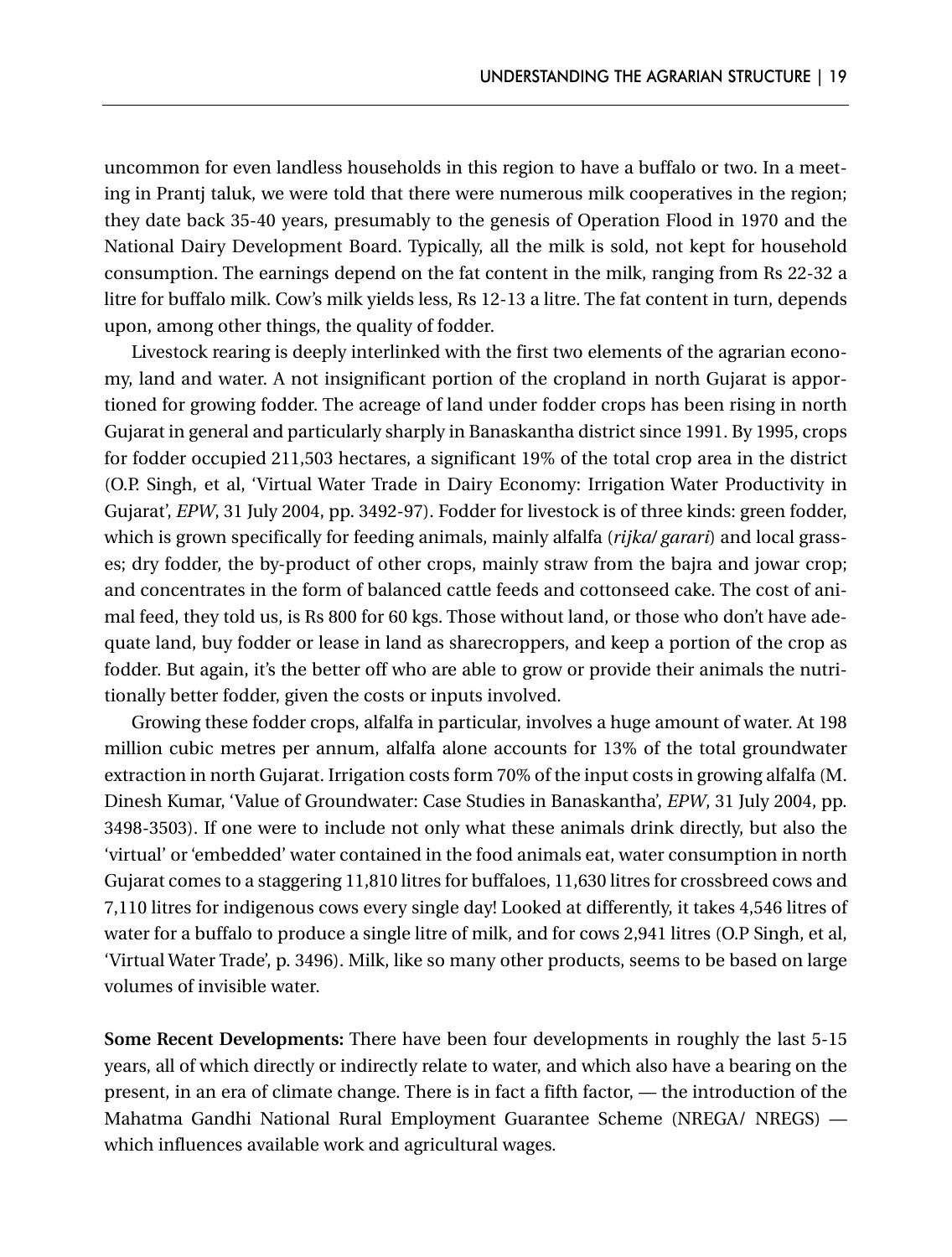uncommon for even landless households in this region to have a buffalo or two. In a meeting in Prantj taluk, we were told that there were numerous milk cooperatives in the region; they date back 35-40 years, presumably to the genesis of Operation Flood in 1970 and the National Dairy Development Board. Typically, all the milk is sold, not kept for household consumption. The earnings depend on the fat content in the milk, ranging from Rs 22-32 a litre for buffalo milk. Cow's milk yields less, Rs 12-13 a litre. The fat content in turn, depends upon, among other things, the quality of fodder.

Livestock rearing is deeply interlinked with the first two elements of the agrarian economy, land and water. A not insignificant portion of the cropland in north Gujarat is apportioned for growing fodder. The acreage of land under fodder crops has been rising in north Gujarat in general and particularly sharply in Banaskantha district since 1991. By 1995, crops for fodder occupied 211,503 hectares, a significant 19% of the total crop area in the district (O.P. Singh, et al, 'Virtual Water Trade in Dairy Economy: Irrigation Water Productivity in Gujarat', *EPW*, 31 July 2004, pp. 3492-97). Fodder for livestock is of three kinds: green fodder, which is grown specifically for feeding animals, mainly alfalfa (*rijka/ garari*) and local grasses; dry fodder, the by-product of other crops, mainly straw from the bajra and jowar crop; and concentrates in the form of balanced cattle feeds and cottonseed cake. The cost of animal feed, they told us, is Rs 800 for 60 kgs. Those without land, or those who don't have adequate land, buy fodder or lease in land as sharecroppers, and keep a portion of the crop as fodder. But again, it's the better off who are able to grow or provide their animals the nutritionally better fodder, given the costs or inputs involved.

Growing these fodder crops, alfalfa in particular, involves a huge amount of water. At 198 million cubic metres per annum, alfalfa alone accounts for 13% of the total groundwater extraction in north Gujarat. Irrigation costs form 70% of the input costs in growing alfalfa (M. Dinesh Kumar, 'Value of Groundwater: Case Studies in Banaskantha', *EPW*, 31 July 2004, pp. 3498-3503). If one were to include not only what these animals drink directly, but also the 'virtual' or 'embedded' water contained in the food animals eat, water consumption in north Gujarat comes to a staggering 11,810 litres for buffaloes, 11,630 litres for crossbreed cows and 7,110 litres for indigenous cows every single day! Looked at differently, it takes 4,546 litres of water for a buffalo to produce a single litre of milk, and for cows 2,941 litres (O.P Singh, et al, 'Virtual Water Trade', p. 3496). Milk, like so many other products, seems to be based on large volumes of invisible water.

**Some Recent Developments:** There have been four developments in roughly the last 5-15 years, all of which directly or indirectly relate to water, and which also have a bearing on the present, in an era of climate change. There is in fact a fifth factor, — the introduction of the Mahatma Gandhi National Rural Employment Guarantee Scheme (NREGA/ NREGS) which influences available work and agricultural wages.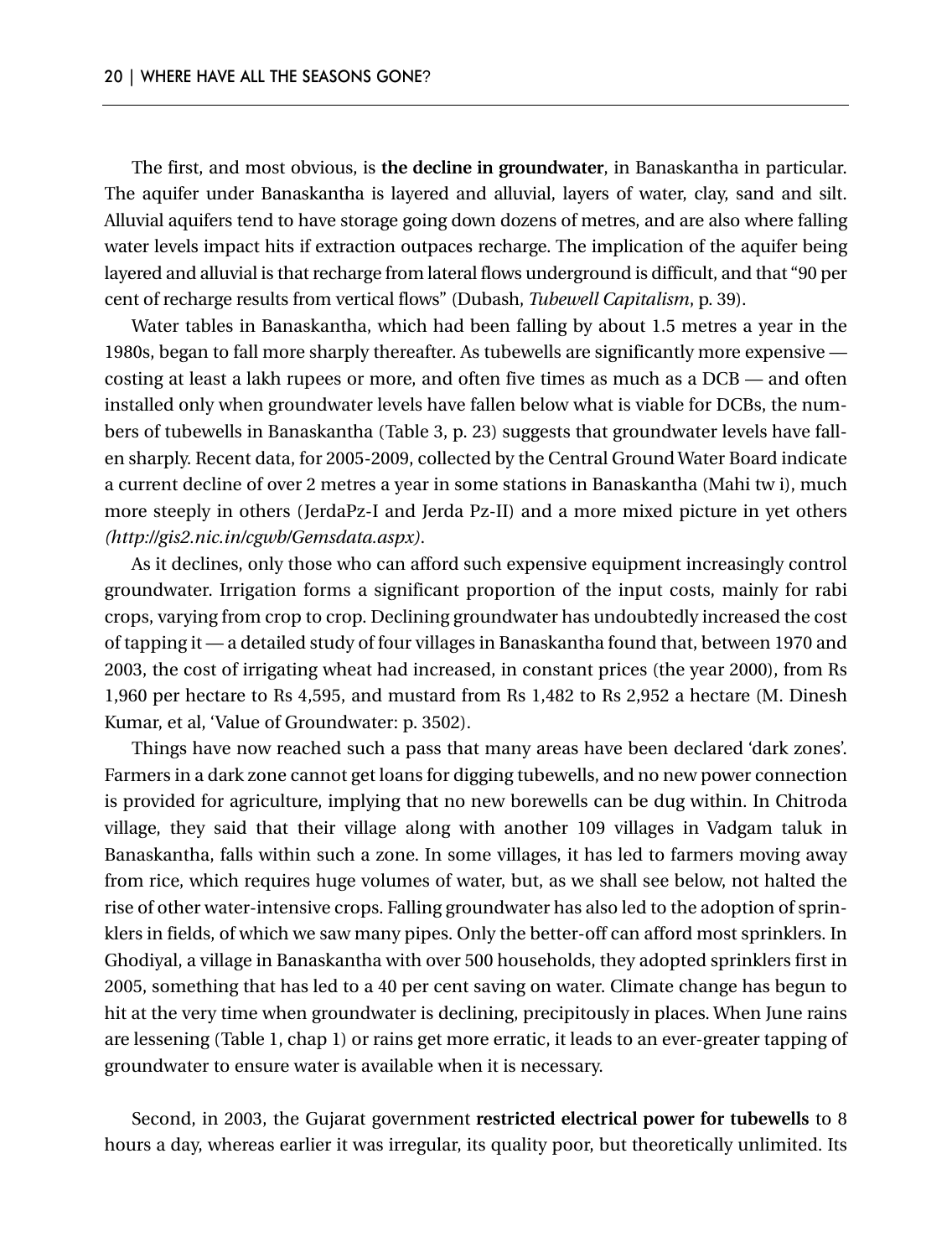The first, and most obvious, is **the decline in groundwater**, in Banaskantha in particular. The aquifer under Banaskantha is layered and alluvial, layers of water, clay, sand and silt. Alluvial aquifers tend to have storage going down dozens of metres, and are also where falling water levels impact hits if extraction outpaces recharge. The implication of the aquifer being layered and alluvial is that recharge from lateral flows underground is difficult, and that "90 per cent of recharge results from vertical flows" (Dubash, *Tubewell Capitalism*, p. 39).

Water tables in Banaskantha, which had been falling by about 1.5 metres a year in the 1980s, began to fall more sharply thereafter. As tubewells are significantly more expensive costing at least a lakh rupees or more, and often five times as much as a DCB — and often installed only when groundwater levels have fallen below what is viable for DCBs, the numbers of tubewells in Banaskantha (Table 3, p. 23) suggests that groundwater levels have fallen sharply. Recent data, for 2005-2009, collected by the Central Ground Water Board indicate a current decline of over 2 metres a year in some stations in Banaskantha (Mahi tw i), much more steeply in others (JerdaPz-I and Jerda Pz-II) and a more mixed picture in yet others *(http://gis2.nic.in/cgwb/Gemsdata.aspx)*.

As it declines, only those who can afford such expensive equipment increasingly control groundwater. Irrigation forms a significant proportion of the input costs, mainly for rabi crops, varying from crop to crop. Declining groundwater has undoubtedly increased the cost of tapping it — a detailed study of four villages in Banaskantha found that, between 1970 and 2003, the cost of irrigating wheat had increased, in constant prices (the year 2000), from Rs 1,960 per hectare to Rs 4,595, and mustard from Rs 1,482 to Rs 2,952 a hectare (M. Dinesh Kumar, et al, 'Value of Groundwater: p. 3502).

Things have now reached such a pass that many areas have been declared 'dark zones'. Farmers in a dark zone cannot get loans for digging tubewells, and no new power connection is provided for agriculture, implying that no new borewells can be dug within. In Chitroda village, they said that their village along with another 109 villages in Vadgam taluk in Banaskantha, falls within such a zone. In some villages, it has led to farmers moving away from rice, which requires huge volumes of water, but, as we shall see below, not halted the rise of other water-intensive crops. Falling groundwater has also led to the adoption of sprinklers in fields, of which we saw many pipes. Only the better-off can afford most sprinklers. In Ghodiyal, a village in Banaskantha with over 500 households, they adopted sprinklers first in 2005, something that has led to a 40 per cent saving on water. Climate change has begun to hit at the very time when groundwater is declining, precipitously in places. When June rains are lessening (Table 1, chap 1) or rains get more erratic, it leads to an ever-greater tapping of groundwater to ensure water is available when it is necessary.

Second, in 2003, the Gujarat government **restricted electrical power for tubewells** to 8 hours a day, whereas earlier it was irregular, its quality poor, but theoretically unlimited. Its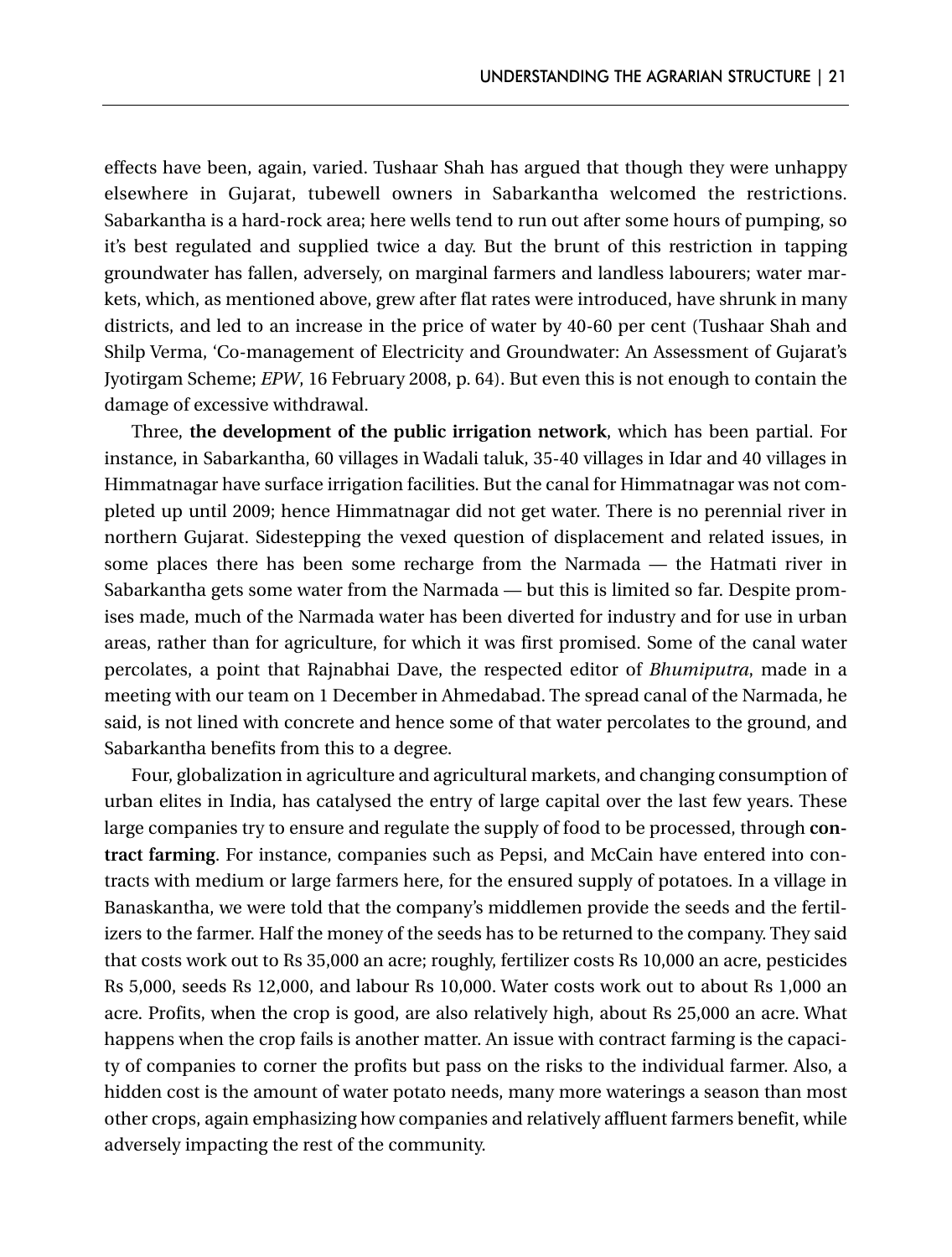effects have been, again, varied. Tushaar Shah has argued that though they were unhappy elsewhere in Gujarat, tubewell owners in Sabarkantha welcomed the restrictions. Sabarkantha is a hard-rock area; here wells tend to run out after some hours of pumping, so it's best regulated and supplied twice a day. But the brunt of this restriction in tapping groundwater has fallen, adversely, on marginal farmers and landless labourers; water markets, which, as mentioned above, grew after flat rates were introduced, have shrunk in many districts, and led to an increase in the price of water by 40-60 per cent (Tushaar Shah and Shilp Verma, 'Co-management of Electricity and Groundwater: An Assessment of Gujarat's Jyotirgam Scheme; *EPW*, 16 February 2008, p. 64). But even this is not enough to contain the damage of excessive withdrawal.

Three, **the development of the public irrigation network**, which has been partial. For instance, in Sabarkantha, 60 villages in Wadali taluk, 35-40 villages in Idar and 40 villages in Himmatnagar have surface irrigation facilities. But the canal for Himmatnagar was not completed up until 2009; hence Himmatnagar did not get water. There is no perennial river in northern Gujarat. Sidestepping the vexed question of displacement and related issues, in some places there has been some recharge from the Narmada — the Hatmati river in Sabarkantha gets some water from the Narmada — but this is limited so far. Despite promises made, much of the Narmada water has been diverted for industry and for use in urban areas, rather than for agriculture, for which it was first promised. Some of the canal water percolates, a point that Rajnabhai Dave, the respected editor of *Bhumiputra*, made in a meeting with our team on 1 December in Ahmedabad. The spread canal of the Narmada, he said, is not lined with concrete and hence some of that water percolates to the ground, and Sabarkantha benefits from this to a degree.

Four, globalization in agriculture and agricultural markets, and changing consumption of urban elites in India, has catalysed the entry of large capital over the last few years. These large companies try to ensure and regulate the supply of food to be processed, through **contract farming**. For instance, companies such as Pepsi, and McCain have entered into contracts with medium or large farmers here, for the ensured supply of potatoes. In a village in Banaskantha, we were told that the company's middlemen provide the seeds and the fertilizers to the farmer. Half the money of the seeds has to be returned to the company. They said that costs work out to Rs 35,000 an acre; roughly, fertilizer costs Rs 10,000 an acre, pesticides Rs 5,000, seeds Rs 12,000, and labour Rs 10,000. Water costs work out to about Rs 1,000 an acre. Profits, when the crop is good, are also relatively high, about Rs 25,000 an acre. What happens when the crop fails is another matter. An issue with contract farming is the capacity of companies to corner the profits but pass on the risks to the individual farmer. Also, a hidden cost is the amount of water potato needs, many more waterings a season than most other crops, again emphasizing how companies and relatively affluent farmers benefit, while adversely impacting the rest of the community.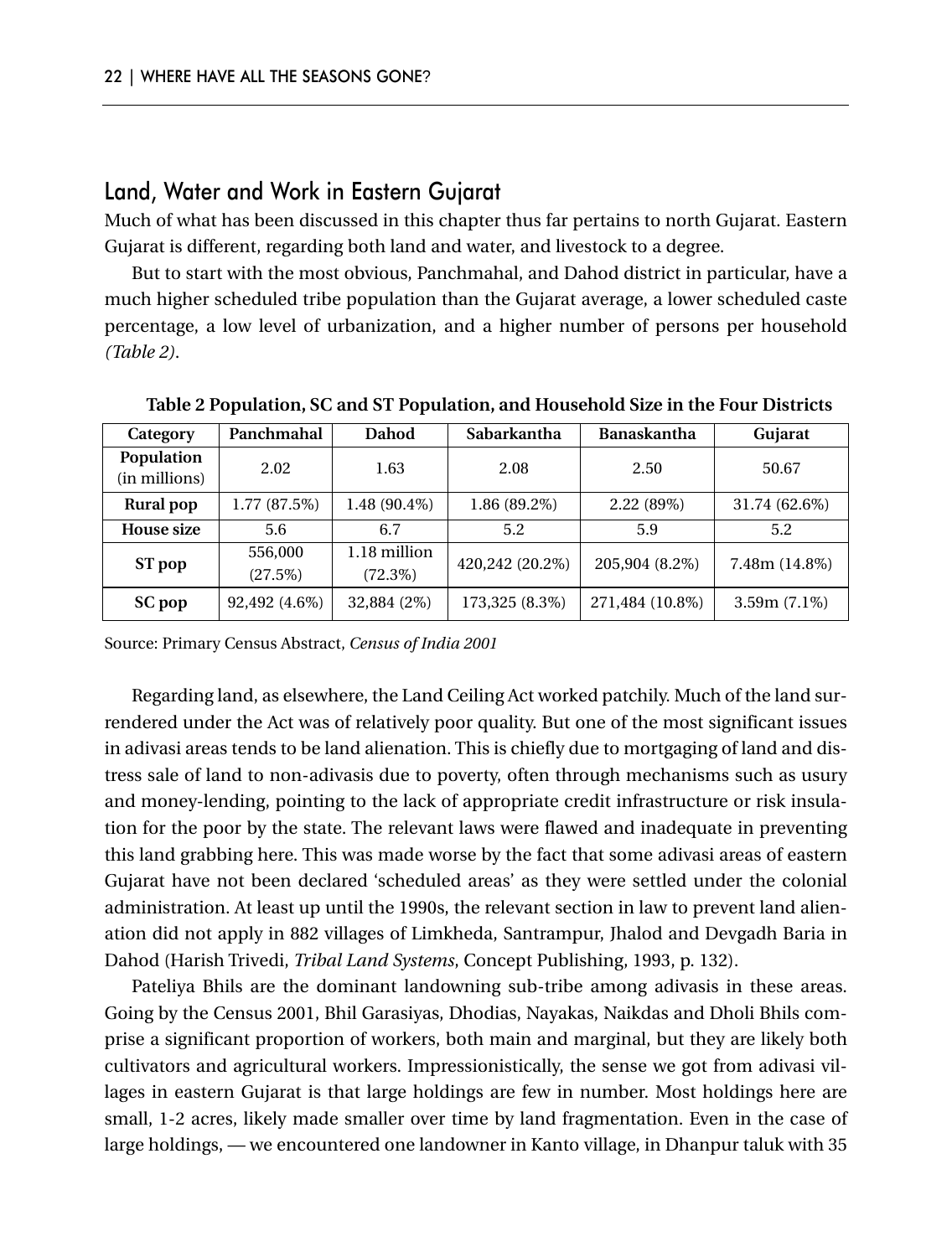#### Land, Water and Work in Eastern Gujarat

Much of what has been discussed in this chapter thus far pertains to north Gujarat. Eastern Gujarat is different, regarding both land and water, and livestock to a degree.

But to start with the most obvious, Panchmahal, and Dahod district in particular, have a much higher scheduled tribe population than the Gujarat average, a lower scheduled caste percentage, a low level of urbanization, and a higher number of persons per household *(Table 2)*.

| Category                            | Panchmahal                    | Dahod                      | Sabarkantha                 | Banaskantha     | Gujarat         |
|-------------------------------------|-------------------------------|----------------------------|-----------------------------|-----------------|-----------------|
| Population<br>2.02<br>(in millions) |                               | 1.63                       | 2.08                        | 2.50            | 50.67           |
| Rural pop                           | 1.77(87.5%)<br>$1.48(90.4\%)$ |                            | 2.22(89%)<br>$1.86(89.2\%)$ |                 | 31.74 (62.6%)   |
| <b>House size</b>                   | 5.6                           | 6.7                        | 5.2                         | 5.9             | 5.2             |
| ST pop                              | 556,000<br>(27.5%)            | 1.18 million<br>$(72.3\%)$ | 420,242 (20.2%)             | 205,904 (8.2%)  | $7.48m(14.8\%)$ |
| SC pop                              | 92,492 (4.6%)                 | 32,884 (2%)                | 173,325 (8.3%)              | 271,484 (10.8%) | $3.59m(7.1\%)$  |

**Table 2 Population, SC and ST Population, and Household Size in the Four Districts**

Source: Primary Census Abstract, *Census of India 2001*

Regarding land, as elsewhere, the Land Ceiling Act worked patchily. Much of the land surrendered under the Act was of relatively poor quality. But one of the most significant issues in adivasi areas tends to be land alienation. This is chiefly due to mortgaging of land and distress sale of land to non-adivasis due to poverty, often through mechanisms such as usury and money-lending, pointing to the lack of appropriate credit infrastructure or risk insulation for the poor by the state. The relevant laws were flawed and inadequate in preventing this land grabbing here. This was made worse by the fact that some adivasi areas of eastern Gujarat have not been declared 'scheduled areas' as they were settled under the colonial administration. At least up until the 1990s, the relevant section in law to prevent land alienation did not apply in 882 villages of Limkheda, Santrampur, Jhalod and Devgadh Baria in Dahod (Harish Trivedi, *Tribal Land Systems*, Concept Publishing, 1993, p. 132).

Pateliya Bhils are the dominant landowning sub-tribe among adivasis in these areas. Going by the Census 2001, Bhil Garasiyas, Dhodias, Nayakas, Naikdas and Dholi Bhils comprise a significant proportion of workers, both main and marginal, but they are likely both cultivators and agricultural workers. Impressionistically, the sense we got from adivasi villages in eastern Gujarat is that large holdings are few in number. Most holdings here are small, 1-2 acres, likely made smaller over time by land fragmentation. Even in the case of large holdings, — we encountered one landowner in Kanto village, in Dhanpur taluk with 35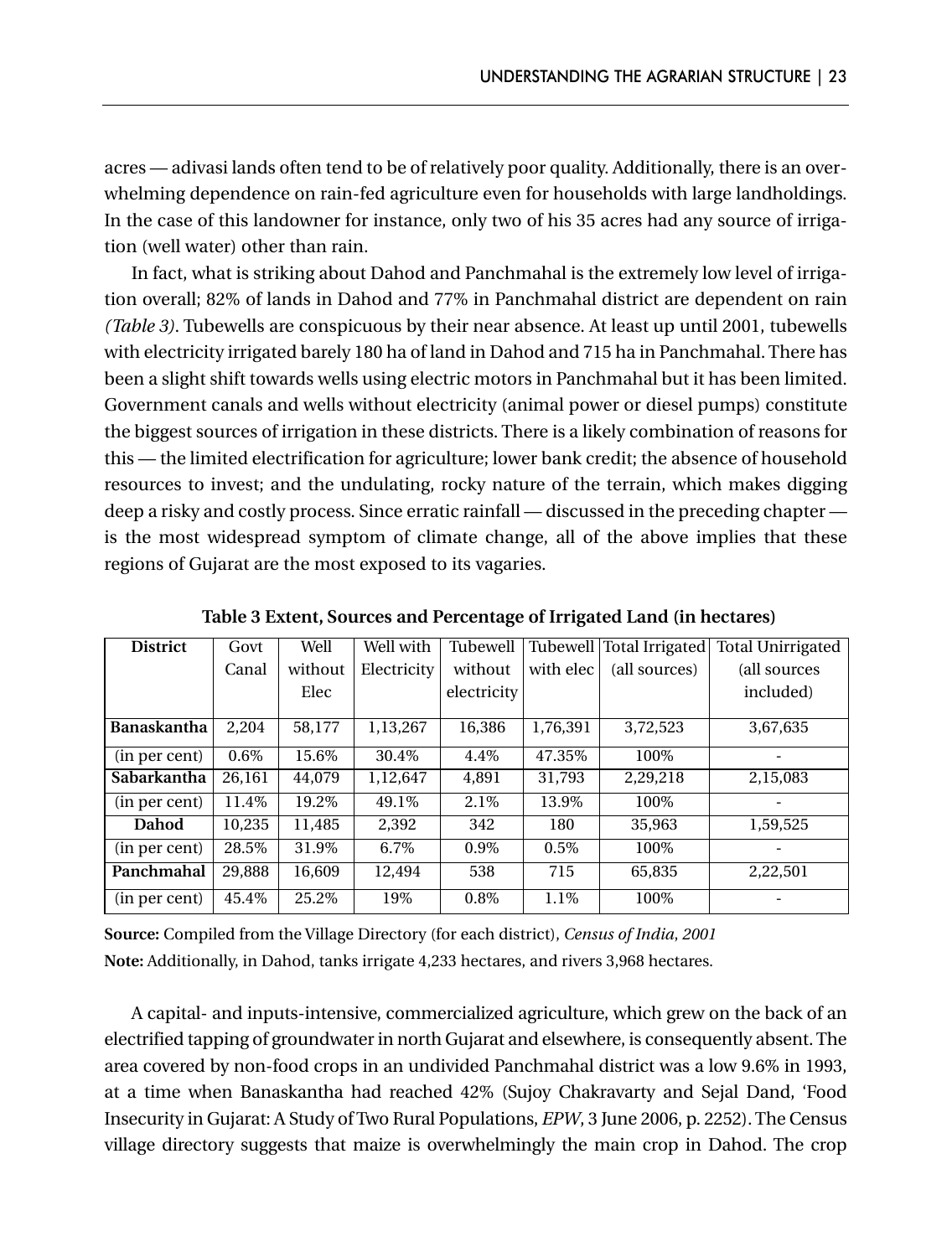acres — adivasi lands often tend to be of relatively poor quality. Additionally, there is an overwhelming dependence on rain-fed agriculture even for households with large landholdings. In the case of this landowner for instance, only two of his 35 acres had any source of irrigation (well water) other than rain.

In fact, what is striking about Dahod and Panchmahal is the extremely low level of irrigation overall; 82% of lands in Dahod and 77% in Panchmahal district are dependent on rain *(Table 3)*. Tubewells are conspicuous by their near absence. At least up until 2001, tubewells with electricity irrigated barely 180 ha of land in Dahod and 715 ha in Panchmahal. There has been a slight shift towards wells using electric motors in Panchmahal but it has been limited. Government canals and wells without electricity (animal power or diesel pumps) constitute the biggest sources of irrigation in these districts. There is a likely combination of reasons for this — the limited electrification for agriculture; lower bank credit; the absence of household resources to invest; and the undulating, rocky nature of the terrain, which makes digging deep a risky and costly process. Since erratic rainfall — discussed in the preceding chapter is the most widespread symptom of climate change, all of the above implies that these regions of Gujarat are the most exposed to its vagaries.

| <b>District</b> | Govt   | Well    | Well with   | Tubewell    |           | Tubewell   Total Irrigated | <b>Total Unirrigated</b> |
|-----------------|--------|---------|-------------|-------------|-----------|----------------------------|--------------------------|
|                 | Canal  | without | Electricity | without     | with elec | (all sources)              | (all sources             |
|                 |        | Elec    |             | electricity |           |                            | included)                |
| Banaskantha     | 2.204  | 58,177  | 1,13,267    | 16.386      | 1,76,391  | 3,72,523                   | 3,67,635                 |
| (in per cent)   | 0.6%   | 15.6%   | 30.4%       | 4.4%        | 47.35%    | 100%                       |                          |
| Sabarkantha     | 26.161 | 44,079  | 1.12.647    | 4.891       | 31.793    | 2.29.218                   | 2,15,083                 |
| (in per cent)   | 11.4%  | 19.2%   | 49.1%       | 2.1%        | 13.9%     | 100%                       |                          |
| Dahod           | 10.235 | 11.485  | 2.392       | 342         | 180       | 35,963                     | 1,59,525                 |
| (in per cent)   | 28.5%  | 31.9%   | 6.7%        | 0.9%        | 0.5%      | 100%                       |                          |
| Panchmahal      | 29.888 | 16.609  | 12.494      | 538         | 715       | 65,835                     | 2,22,501                 |
| (in per cent)   | 45.4%  | 25.2%   | 19%         | $0.8\%$     | $1.1\%$   | 100%                       |                          |

**Table 3 Extent, Sources and Percentage of Irrigated Land (in hectares)**

**Source:** Compiled from the Village Directory (for each district), *Census of India*, *2001* **Note:** Additionally, in Dahod, tanks irrigate 4,233 hectares, and rivers 3,968 hectares.

A capital- and inputs-intensive, commercialized agriculture, which grew on the back of an electrified tapping of groundwater in north Gujarat and elsewhere, is consequently absent. The area covered by non-food crops in an undivided Panchmahal district was a low 9.6% in 1993, at a time when Banaskantha had reached 42% (Sujoy Chakravarty and Sejal Dand, 'Food Insecurity in Gujarat: A Study of Two Rural Populations, *EPW*, 3 June 2006, p. 2252). The Census village directory suggests that maize is overwhelmingly the main crop in Dahod. The crop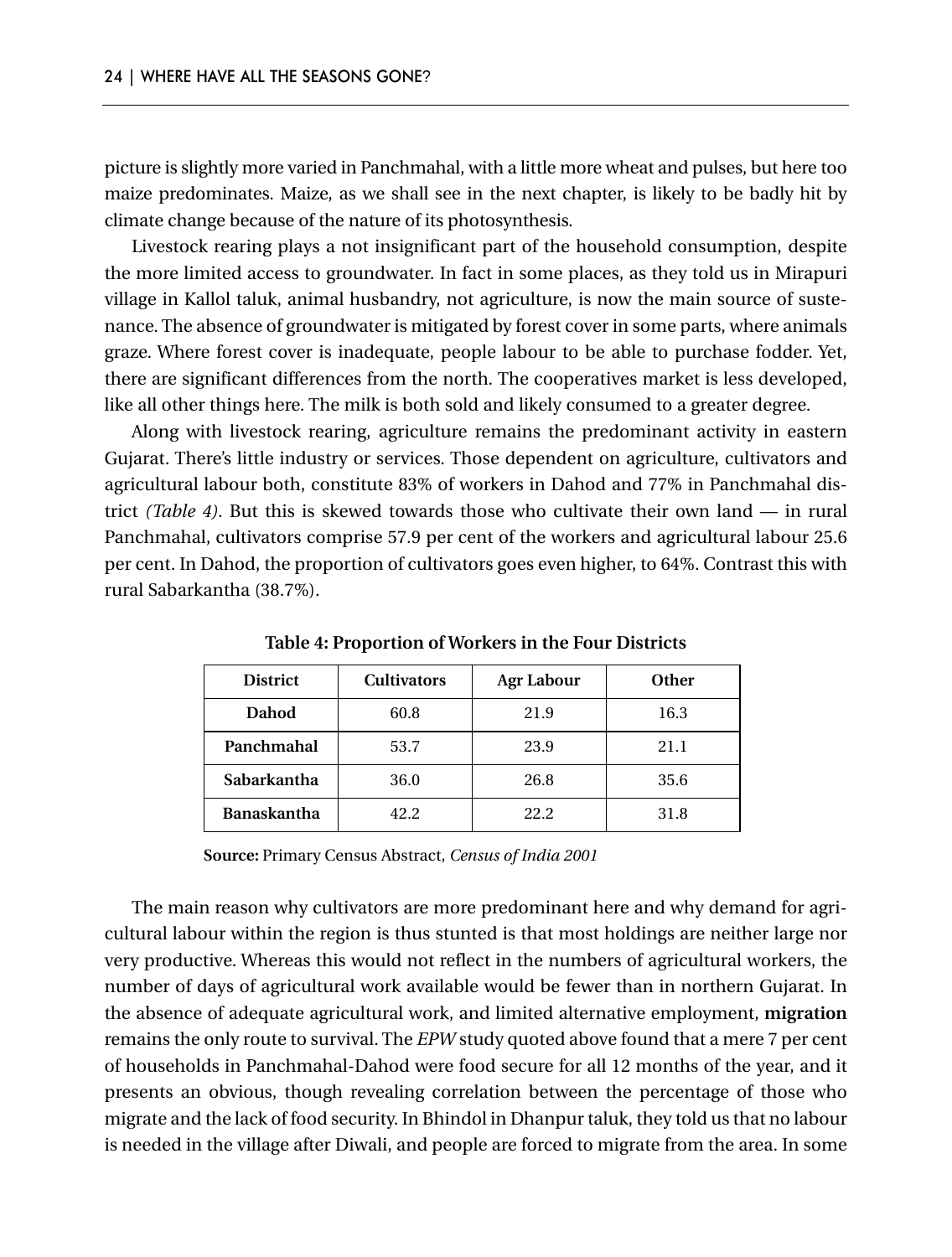picture is slightly more varied in Panchmahal, with a little more wheat and pulses, but here too maize predominates. Maize, as we shall see in the next chapter, is likely to be badly hit by climate change because of the nature of its photosynthesis.

Livestock rearing plays a not insignificant part of the household consumption, despite the more limited access to groundwater. In fact in some places, as they told us in Mirapuri village in Kallol taluk, animal husbandry, not agriculture, is now the main source of sustenance. The absence of groundwater is mitigated by forest cover in some parts, where animals graze. Where forest cover is inadequate, people labour to be able to purchase fodder. Yet, there are significant differences from the north. The cooperatives market is less developed, like all other things here. The milk is both sold and likely consumed to a greater degree.

Along with livestock rearing, agriculture remains the predominant activity in eastern Gujarat. There's little industry or services. Those dependent on agriculture, cultivators and agricultural labour both, constitute 83% of workers in Dahod and 77% in Panchmahal district *(Table 4)*. But this is skewed towards those who cultivate their own land — in rural Panchmahal, cultivators comprise 57.9 per cent of the workers and agricultural labour 25.6 per cent. In Dahod, the proportion of cultivators goes even higher, to 64%. Contrast this with rural Sabarkantha (38.7%).

| <b>District</b>    | <b>Cultivators</b> | <b>Agr Labour</b> | Other |
|--------------------|--------------------|-------------------|-------|
| Dahod              | 60.8               | 21.9              | 16.3  |
| Panchmahal         | 53.7               | 23.9              | 21.1  |
| Sabarkantha        | 36.0               | 26.8              | 35.6  |
| <b>Banaskantha</b> | 42.2               | 22.2              | 31.8  |

**Table 4: Proportion of Workers in the Four Districts**

**Source:** Primary Census Abstract, *Census of India 2001*

The main reason why cultivators are more predominant here and why demand for agricultural labour within the region is thus stunted is that most holdings are neither large nor very productive. Whereas this would not reflect in the numbers of agricultural workers, the number of days of agricultural work available would be fewer than in northern Gujarat. In the absence of adequate agricultural work, and limited alternative employment, **migration** remains the only route to survival. The *EPW* study quoted above found that a mere 7 per cent of households in Panchmahal-Dahod were food secure for all 12 months of the year, and it presents an obvious, though revealing correlation between the percentage of those who migrate and the lack of food security. In Bhindol in Dhanpur taluk, they told us that no labour is needed in the village after Diwali, and people are forced to migrate from the area. In some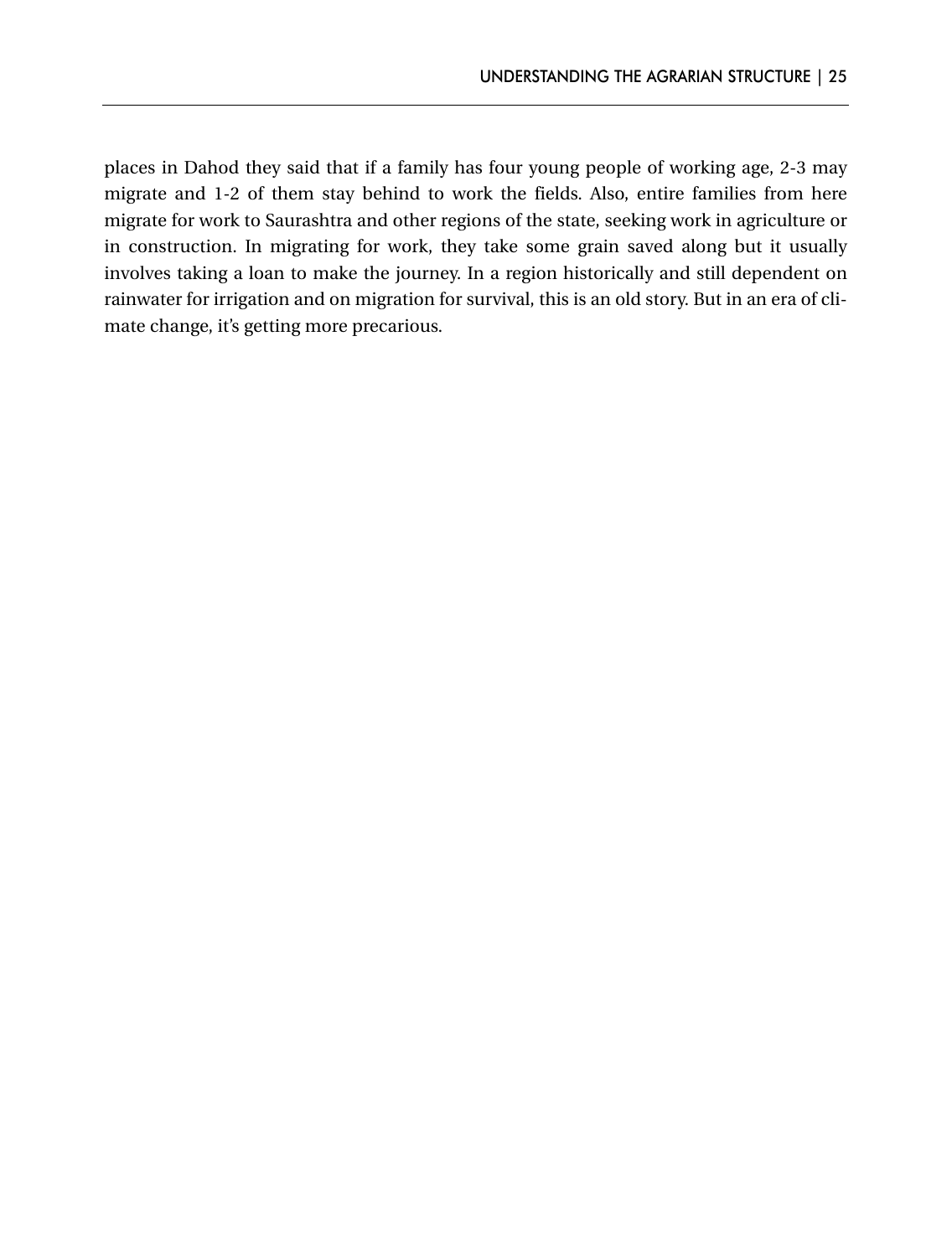places in Dahod they said that if a family has four young people of working age, 2-3 may migrate and 1-2 of them stay behind to work the fields. Also, entire families from here migrate for work to Saurashtra and other regions of the state, seeking work in agriculture or in construction. In migrating for work, they take some grain saved along but it usually involves taking a loan to make the journey. In a region historically and still dependent on rainwater for irrigation and on migration for survival, this is an old story. But in an era of climate change, it's getting more precarious.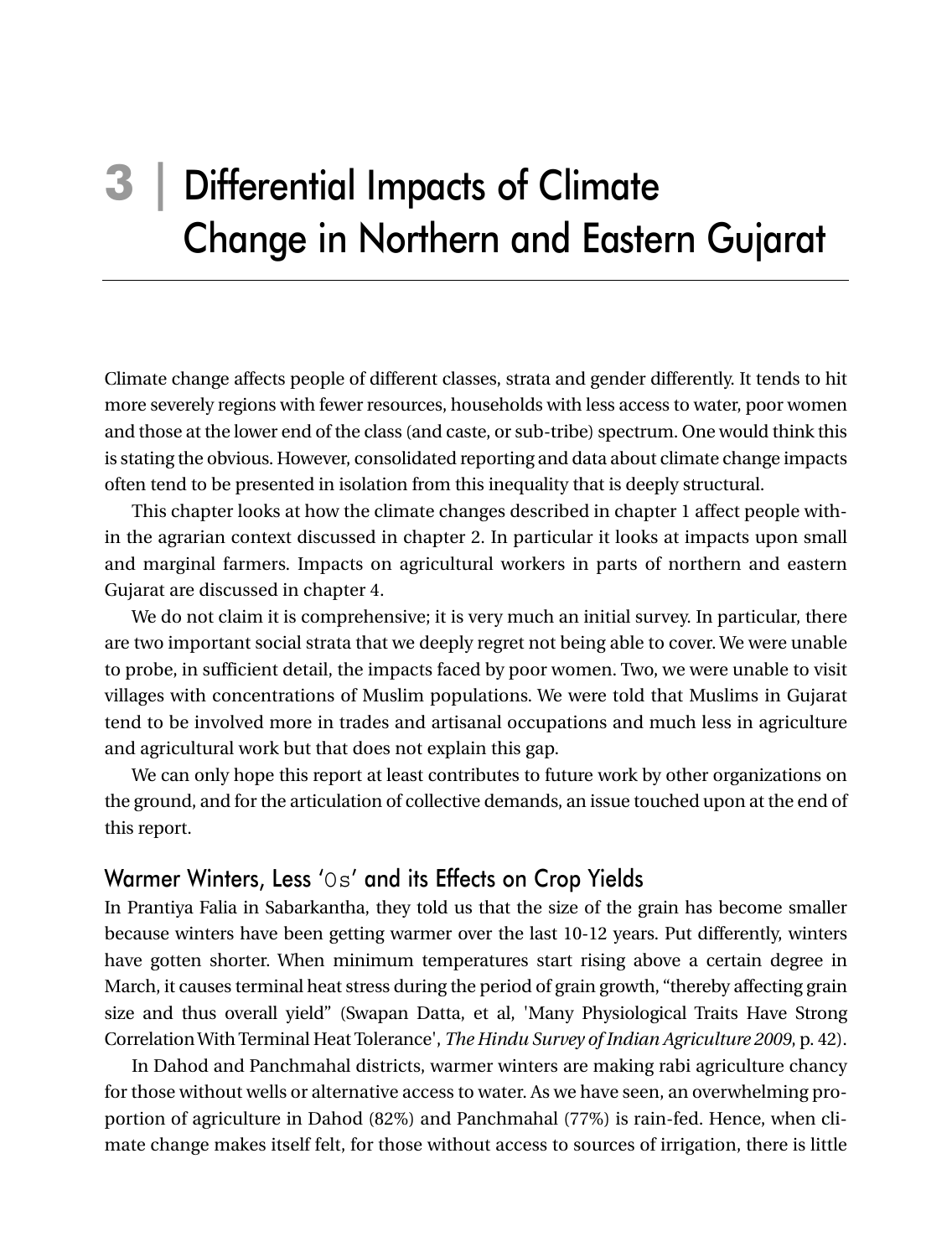# **3 |** Differential Impacts of Climate Change in Northern and Eastern Gujarat

Climate change affects people of different classes, strata and gender differently. It tends to hit more severely regions with fewer resources, households with less access to water, poor women and those at the lower end of the class (and caste, or sub-tribe) spectrum. One would think this is stating the obvious. However, consolidated reporting and data about climate change impacts often tend to be presented in isolation from this inequality that is deeply structural.

This chapter looks at how the climate changes described in chapter 1 affect people within the agrarian context discussed in chapter 2. In particular it looks at impacts upon small and marginal farmers. Impacts on agricultural workers in parts of northern and eastern Gujarat are discussed in chapter 4.

We do not claim it is comprehensive; it is very much an initial survey. In particular, there are two important social strata that we deeply regret not being able to cover. We were unable to probe, in sufficient detail, the impacts faced by poor women. Two, we were unable to visit villages with concentrations of Muslim populations. We were told that Muslims in Gujarat tend to be involved more in trades and artisanal occupations and much less in agriculture and agricultural work but that does not explain this gap.

We can only hope this report at least contributes to future work by other organizations on the ground, and for the articulation of collective demands, an issue touched upon at the end of this report.

#### Warmer Winters, Less 'Os' and its Effects on Crop Yields

In Prantiya Falia in Sabarkantha, they told us that the size of the grain has become smaller because winters have been getting warmer over the last 10-12 years. Put differently, winters have gotten shorter. When minimum temperatures start rising above a certain degree in March, it causes terminal heat stress during the period of grain growth, "thereby affecting grain size and thus overall yield" (Swapan Datta, et al, 'Many Physiological Traits Have Strong Correlation With Terminal Heat Tolerance', *The Hindu Survey of Indian Agriculture 2009*, p. 42).

In Dahod and Panchmahal districts, warmer winters are making rabi agriculture chancy for those without wells or alternative access to water. As we have seen, an overwhelming proportion of agriculture in Dahod (82%) and Panchmahal (77%) is rain-fed. Hence, when climate change makes itself felt, for those without access to sources of irrigation, there is little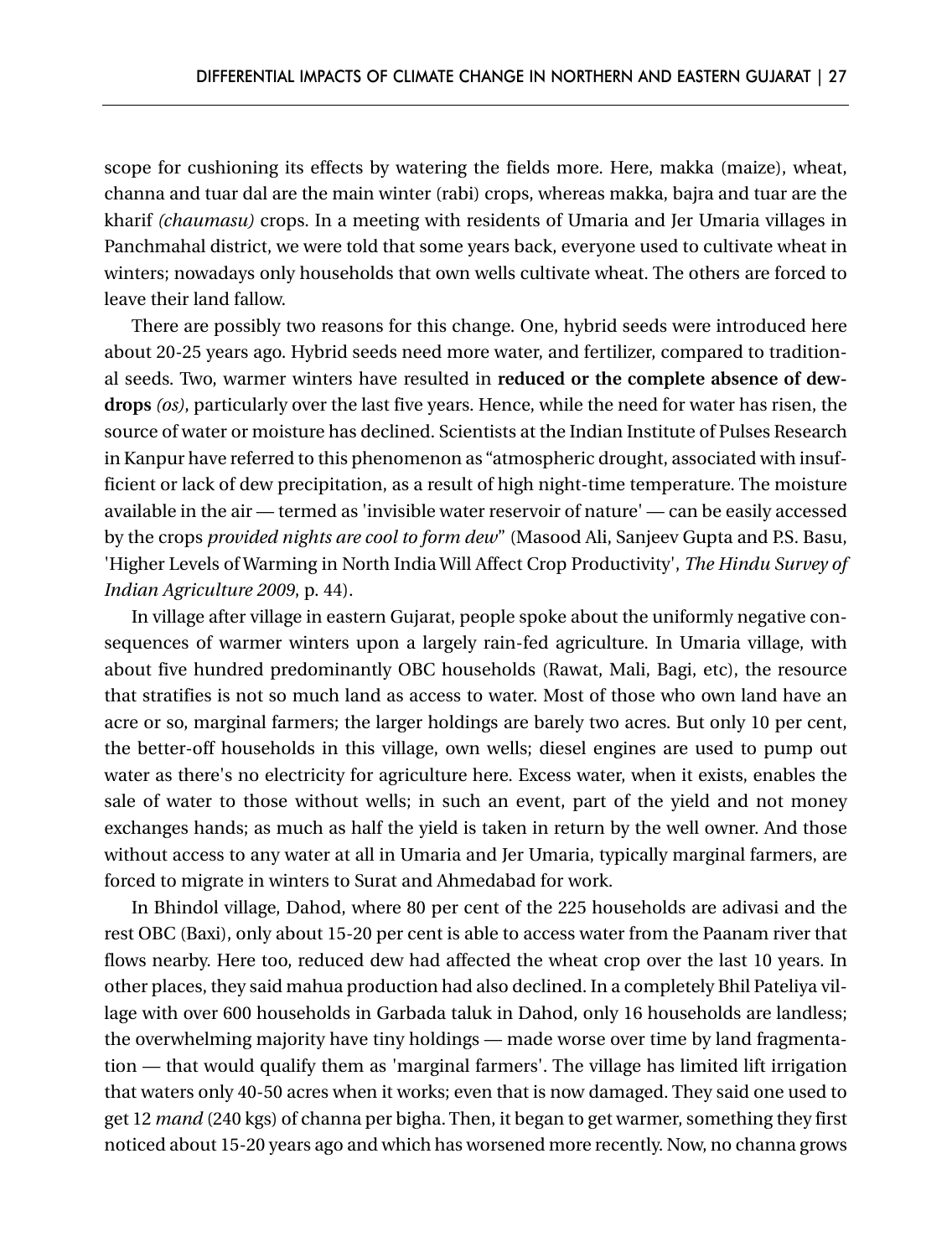scope for cushioning its effects by watering the fields more. Here, makka (maize), wheat, channa and tuar dal are the main winter (rabi) crops, whereas makka, bajra and tuar are the kharif *(chaumasu)* crops. In a meeting with residents of Umaria and Jer Umaria villages in Panchmahal district, we were told that some years back, everyone used to cultivate wheat in winters; nowadays only households that own wells cultivate wheat. The others are forced to leave their land fallow.

There are possibly two reasons for this change. One, hybrid seeds were introduced here about 20-25 years ago. Hybrid seeds need more water, and fertilizer, compared to traditional seeds. Two, warmer winters have resulted in **reduced or the complete absence of dewdrops** *(os)*, particularly over the last five years. Hence, while the need for water has risen, the source of water or moisture has declined. Scientists at the Indian Institute of Pulses Research in Kanpur have referred to this phenomenon as "atmospheric drought, associated with insufficient or lack of dew precipitation, as a result of high night-time temperature. The moisture available in the air — termed as 'invisible water reservoir of nature' — can be easily accessed by the crops *provided nights are cool to form dew*" (Masood Ali, Sanjeev Gupta and P.S. Basu, 'Higher Levels of Warming in North India Will Affect Crop Productivity', *The Hindu Survey of Indian Agriculture 2009*, p. 44).

In village after village in eastern Gujarat, people spoke about the uniformly negative consequences of warmer winters upon a largely rain-fed agriculture. In Umaria village, with about five hundred predominantly OBC households (Rawat, Mali, Bagi, etc), the resource that stratifies is not so much land as access to water. Most of those who own land have an acre or so, marginal farmers; the larger holdings are barely two acres. But only 10 per cent, the better-off households in this village, own wells; diesel engines are used to pump out water as there's no electricity for agriculture here. Excess water, when it exists, enables the sale of water to those without wells; in such an event, part of the yield and not money exchanges hands; as much as half the yield is taken in return by the well owner. And those without access to any water at all in Umaria and Jer Umaria, typically marginal farmers, are forced to migrate in winters to Surat and Ahmedabad for work.

In Bhindol village, Dahod, where 80 per cent of the 225 households are adivasi and the rest OBC (Baxi), only about 15-20 per cent is able to access water from the Paanam river that flows nearby. Here too, reduced dew had affected the wheat crop over the last 10 years. In other places, they said mahua production had also declined. In a completely Bhil Pateliya village with over 600 households in Garbada taluk in Dahod, only 16 households are landless; the overwhelming majority have tiny holdings — made worse over time by land fragmentation — that would qualify them as 'marginal farmers'. The village has limited lift irrigation that waters only 40-50 acres when it works; even that is now damaged. They said one used to get 12 *mand* (240 kgs) of channa per bigha. Then, it began to get warmer, something they first noticed about 15-20 years ago and which has worsened more recently. Now, no channa grows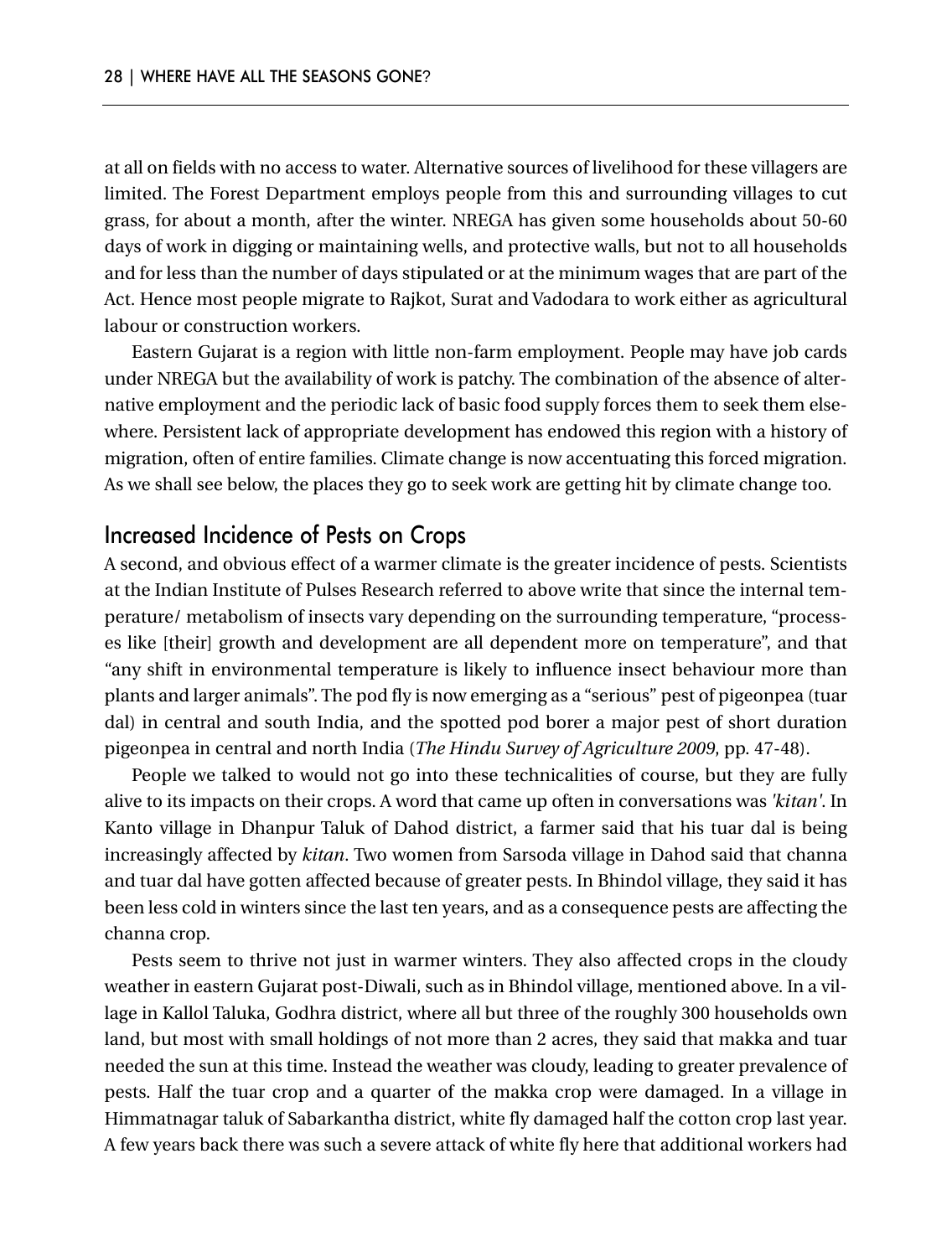at all on fields with no access to water. Alternative sources of livelihood for these villagers are limited. The Forest Department employs people from this and surrounding villages to cut grass, for about a month, after the winter. NREGA has given some households about 50-60 days of work in digging or maintaining wells, and protective walls, but not to all households and for less than the number of days stipulated or at the minimum wages that are part of the Act. Hence most people migrate to Rajkot, Surat and Vadodara to work either as agricultural labour or construction workers.

Eastern Gujarat is a region with little non-farm employment. People may have job cards under NREGA but the availability of work is patchy. The combination of the absence of alternative employment and the periodic lack of basic food supply forces them to seek them elsewhere. Persistent lack of appropriate development has endowed this region with a history of migration, often of entire families. Climate change is now accentuating this forced migration. As we shall see below, the places they go to seek work are getting hit by climate change too.

#### Increased Incidence of Pests on Crops

A second, and obvious effect of a warmer climate is the greater incidence of pests. Scientists at the Indian Institute of Pulses Research referred to above write that since the internal temperature/ metabolism of insects vary depending on the surrounding temperature, "processes like [their] growth and development are all dependent more on temperature", and that "any shift in environmental temperature is likely to influence insect behaviour more than plants and larger animals". The pod fly is now emerging as a "serious" pest of pigeonpea (tuar dal) in central and south India, and the spotted pod borer a major pest of short duration pigeonpea in central and north India (*The Hindu Survey of Agriculture 2009*, pp. 47-48).

People we talked to would not go into these technicalities of course, but they are fully alive to its impacts on their crops. A word that came up often in conversations was *'kitan'*. In Kanto village in Dhanpur Taluk of Dahod district, a farmer said that his tuar dal is being increasingly affected by *kitan*. Two women from Sarsoda village in Dahod said that channa and tuar dal have gotten affected because of greater pests. In Bhindol village, they said it has been less cold in winters since the last ten years, and as a consequence pests are affecting the channa crop.

Pests seem to thrive not just in warmer winters. They also affected crops in the cloudy weather in eastern Gujarat post-Diwali, such as in Bhindol village, mentioned above. In a village in Kallol Taluka, Godhra district, where all but three of the roughly 300 households own land, but most with small holdings of not more than 2 acres, they said that makka and tuar needed the sun at this time. Instead the weather was cloudy, leading to greater prevalence of pests. Half the tuar crop and a quarter of the makka crop were damaged. In a village in Himmatnagar taluk of Sabarkantha district, white fly damaged half the cotton crop last year. A few years back there was such a severe attack of white fly here that additional workers had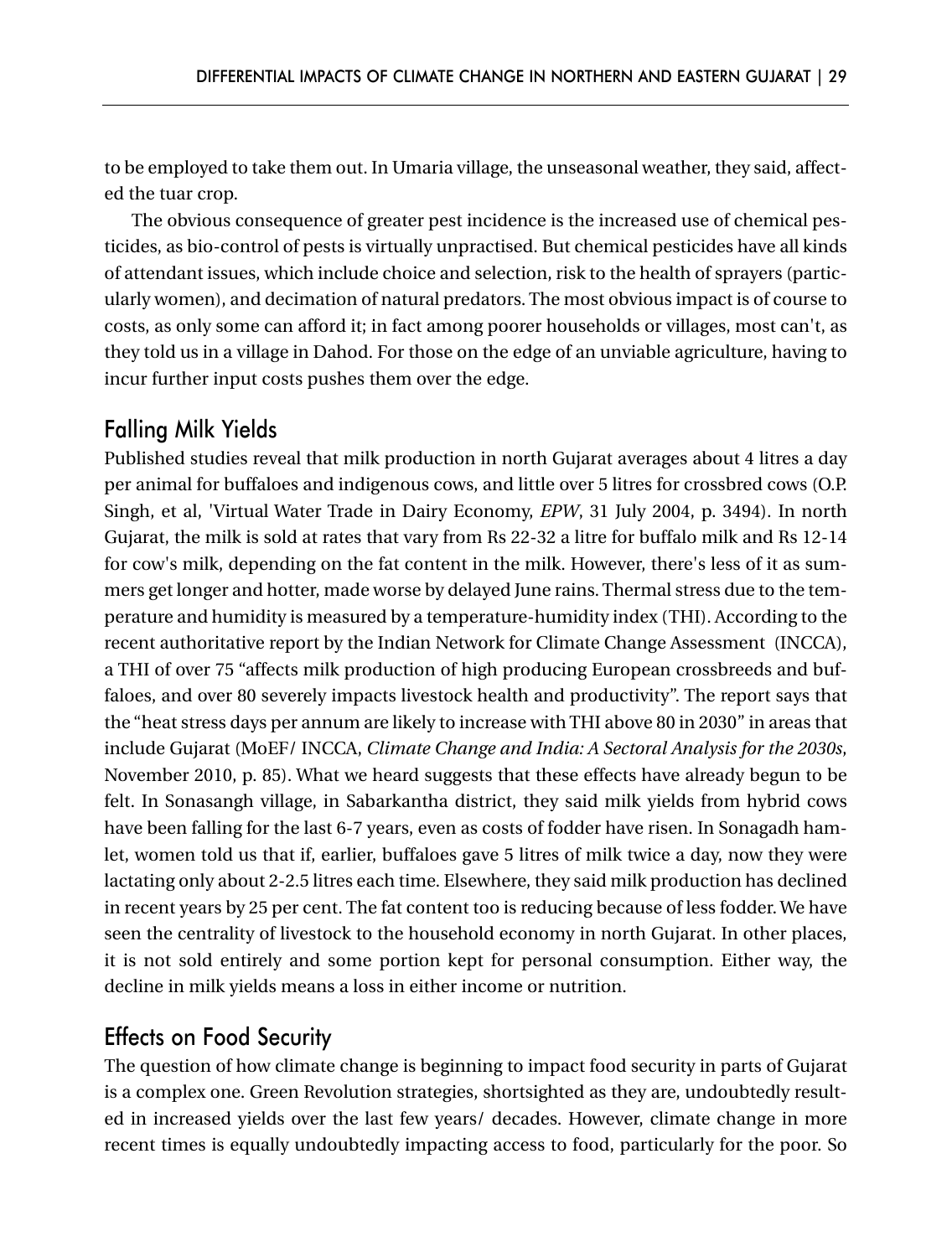to be employed to take them out. In Umaria village, the unseasonal weather, they said, affected the tuar crop.

The obvious consequence of greater pest incidence is the increased use of chemical pesticides, as bio-control of pests is virtually unpractised. But chemical pesticides have all kinds of attendant issues, which include choice and selection, risk to the health of sprayers (particularly women), and decimation of natural predators. The most obvious impact is of course to costs, as only some can afford it; in fact among poorer households or villages, most can't, as they told us in a village in Dahod. For those on the edge of an unviable agriculture, having to incur further input costs pushes them over the edge.

#### Falling Milk Yields

Published studies reveal that milk production in north Gujarat averages about 4 litres a day per animal for buffaloes and indigenous cows, and little over 5 litres for crossbred cows (O.P. Singh, et al, 'Virtual Water Trade in Dairy Economy, *EPW*, 31 July 2004, p. 3494). In north Gujarat, the milk is sold at rates that vary from Rs 22-32 a litre for buffalo milk and Rs 12-14 for cow's milk, depending on the fat content in the milk. However, there's less of it as summers get longer and hotter, made worse by delayed June rains. Thermal stress due to the temperature and humidity is measured by a temperature-humidity index (THI). According to the recent authoritative report by the Indian Network for Climate Change Assessment (INCCA), a THI of over 75 "affects milk production of high producing European crossbreeds and buffaloes, and over 80 severely impacts livestock health and productivity". The report says that the "heat stress days per annum are likely to increase with THI above 80 in 2030" in areas that include Gujarat (MoEF/ INCCA, *Climate Change and India: A Sectoral Analysis for the 2030s*, November 2010, p. 85). What we heard suggests that these effects have already begun to be felt. In Sonasangh village, in Sabarkantha district, they said milk yields from hybrid cows have been falling for the last 6-7 years, even as costs of fodder have risen. In Sonagadh hamlet, women told us that if, earlier, buffaloes gave 5 litres of milk twice a day, now they were lactating only about 2-2.5 litres each time. Elsewhere, they said milk production has declined in recent years by 25 per cent. The fat content too is reducing because of less fodder. We have seen the centrality of livestock to the household economy in north Gujarat. In other places, it is not sold entirely and some portion kept for personal consumption. Either way, the decline in milk yields means a loss in either income or nutrition.

#### Effects on Food Security

The question of how climate change is beginning to impact food security in parts of Gujarat is a complex one. Green Revolution strategies, shortsighted as they are, undoubtedly resulted in increased yields over the last few years/ decades. However, climate change in more recent times is equally undoubtedly impacting access to food, particularly for the poor. So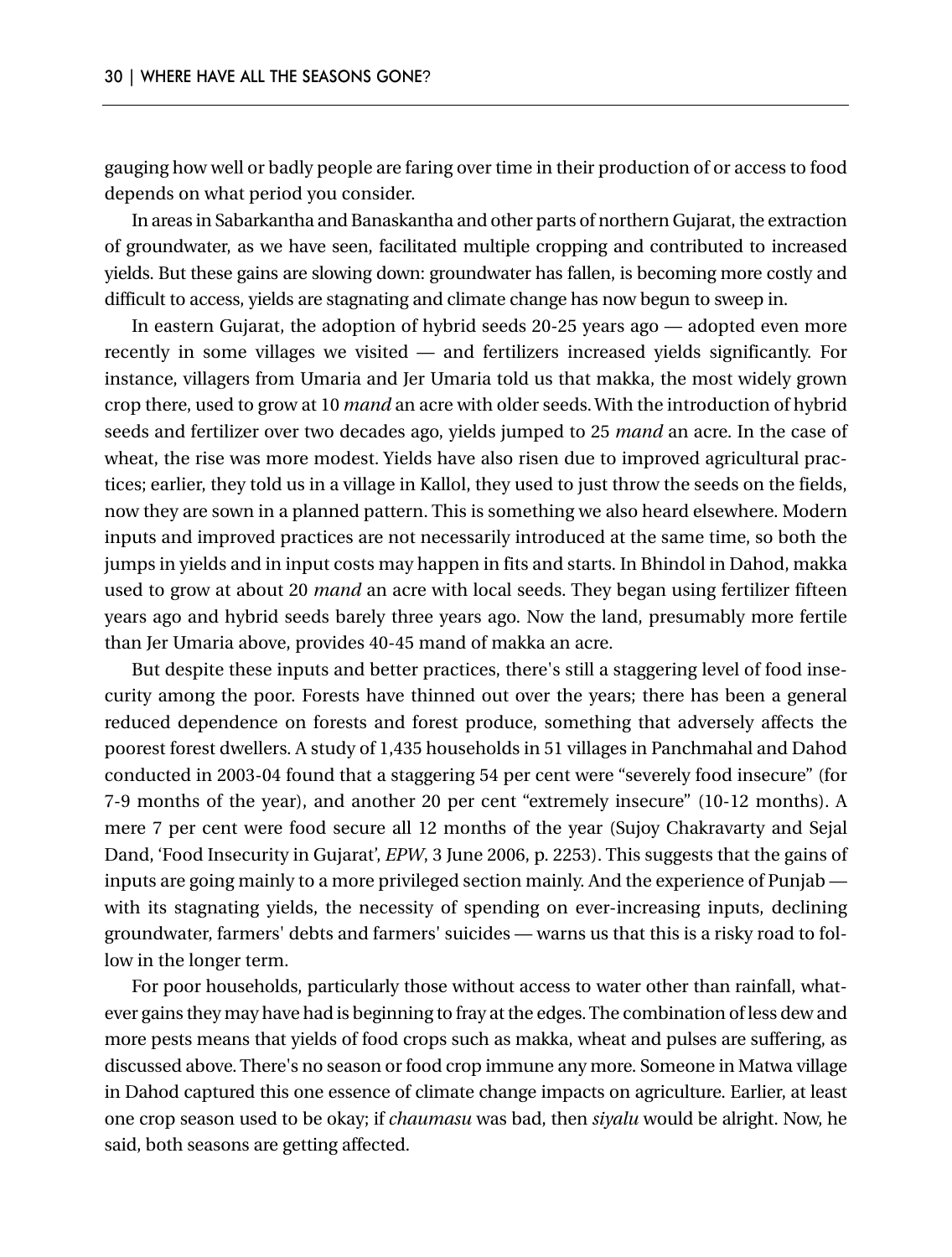gauging how well or badly people are faring over time in their production of or access to food depends on what period you consider.

In areas in Sabarkantha and Banaskantha and other parts of northern Gujarat, the extraction of groundwater, as we have seen, facilitated multiple cropping and contributed to increased yields. But these gains are slowing down: groundwater has fallen, is becoming more costly and difficult to access, yields are stagnating and climate change has now begun to sweep in.

In eastern Gujarat, the adoption of hybrid seeds 20-25 years ago — adopted even more recently in some villages we visited — and fertilizers increased yields significantly. For instance, villagers from Umaria and Jer Umaria told us that makka, the most widely grown crop there, used to grow at 10 *mand* an acre with older seeds. With the introduction of hybrid seeds and fertilizer over two decades ago, yields jumped to 25 *mand* an acre. In the case of wheat, the rise was more modest. Yields have also risen due to improved agricultural practices; earlier, they told us in a village in Kallol, they used to just throw the seeds on the fields, now they are sown in a planned pattern. This is something we also heard elsewhere. Modern inputs and improved practices are not necessarily introduced at the same time, so both the jumps in yields and in input costs may happen in fits and starts. In Bhindol in Dahod, makka used to grow at about 20 *mand* an acre with local seeds. They began using fertilizer fifteen years ago and hybrid seeds barely three years ago. Now the land, presumably more fertile than Jer Umaria above, provides 40-45 mand of makka an acre.

But despite these inputs and better practices, there's still a staggering level of food insecurity among the poor. Forests have thinned out over the years; there has been a general reduced dependence on forests and forest produce, something that adversely affects the poorest forest dwellers. A study of 1,435 households in 51 villages in Panchmahal and Dahod conducted in 2003-04 found that a staggering 54 per cent were "severely food insecure" (for 7-9 months of the year), and another 20 per cent "extremely insecure" (10-12 months). A mere 7 per cent were food secure all 12 months of the year (Sujoy Chakravarty and Sejal Dand, 'Food Insecurity in Gujarat', *EPW*, 3 June 2006, p. 2253). This suggests that the gains of inputs are going mainly to a more privileged section mainly. And the experience of Punjab with its stagnating yields, the necessity of spending on ever-increasing inputs, declining groundwater, farmers' debts and farmers' suicides — warns us that this is a risky road to follow in the longer term.

For poor households, particularly those without access to water other than rainfall, whatever gains they may have had is beginning to fray at the edges. The combination of less dew and more pests means that yields of food crops such as makka, wheat and pulses are suffering, as discussed above. There's no season or food crop immune any more. Someone in Matwa village in Dahod captured this one essence of climate change impacts on agriculture. Earlier, at least one crop season used to be okay; if *chaumasu* was bad, then *siyalu* would be alright. Now, he said, both seasons are getting affected.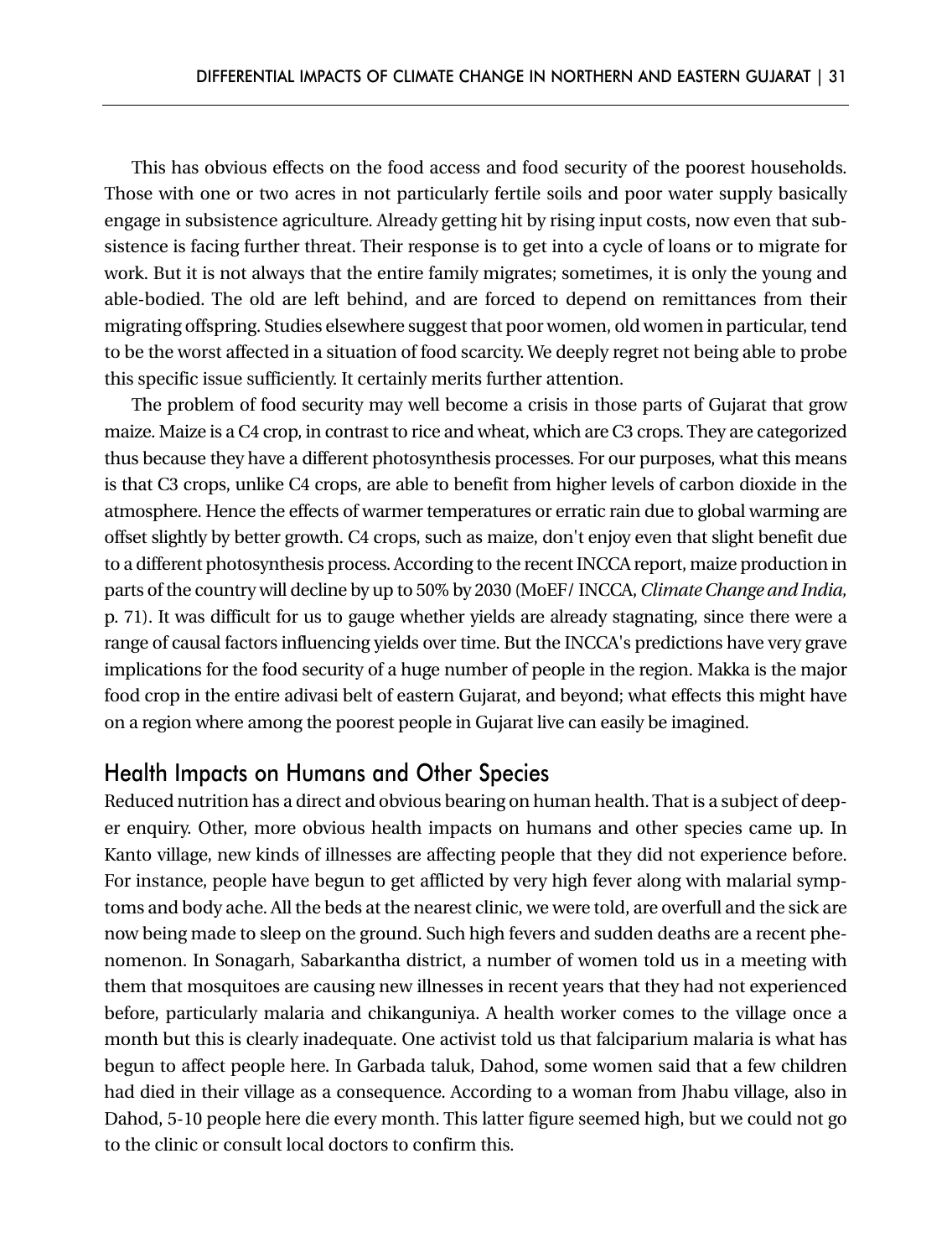This has obvious effects on the food access and food security of the poorest households. Those with one or two acres in not particularly fertile soils and poor water supply basically engage in subsistence agriculture. Already getting hit by rising input costs, now even that subsistence is facing further threat. Their response is to get into a cycle of loans or to migrate for work. But it is not always that the entire family migrates; sometimes, it is only the young and able-bodied. The old are left behind, and are forced to depend on remittances from their migrating offspring. Studies elsewhere suggest that poor women, old women in particular, tend to be the worst affected in a situation of food scarcity. We deeply regret not being able to probe this specific issue sufficiently. It certainly merits further attention.

The problem of food security may well become a crisis in those parts of Gujarat that grow maize. Maize is a C4 crop, in contrast to rice and wheat, which are C3 crops. They are categorized thus because they have a different photosynthesis processes. For our purposes, what this means is that C3 crops, unlike C4 crops, are able to benefit from higher levels of carbon dioxide in the atmosphere. Hence the effects of warmer temperatures or erratic rain due to global warming are offset slightly by better growth. C4 crops, such as maize, don't enjoy even that slight benefit due to a different photosynthesis process. According to the recent INCCA report, maize production in parts of the country will decline by up to 50% by 2030 (MoEF/ INCCA, *Climate Change and India,* p. 71). It was difficult for us to gauge whether yields are already stagnating, since there were a range of causal factors influencing yields over time. But the INCCA's predictions have very grave implications for the food security of a huge number of people in the region. Makka is the major food crop in the entire adivasi belt of eastern Gujarat, and beyond; what effects this might have on a region where among the poorest people in Gujarat live can easily be imagined.

#### Health Impacts on Humans and Other Species

Reduced nutrition has a direct and obvious bearing on human health. That is a subject of deeper enquiry. Other, more obvious health impacts on humans and other species came up. In Kanto village, new kinds of illnesses are affecting people that they did not experience before. For instance, people have begun to get afflicted by very high fever along with malarial symptoms and body ache. All the beds at the nearest clinic, we were told, are overfull and the sick are now being made to sleep on the ground. Such high fevers and sudden deaths are a recent phenomenon. In Sonagarh, Sabarkantha district, a number of women told us in a meeting with them that mosquitoes are causing new illnesses in recent years that they had not experienced before, particularly malaria and chikanguniya. A health worker comes to the village once a month but this is clearly inadequate. One activist told us that falciparium malaria is what has begun to affect people here. In Garbada taluk, Dahod, some women said that a few children had died in their village as a consequence. According to a woman from Jhabu village, also in Dahod, 5-10 people here die every month. This latter figure seemed high, but we could not go to the clinic or consult local doctors to confirm this.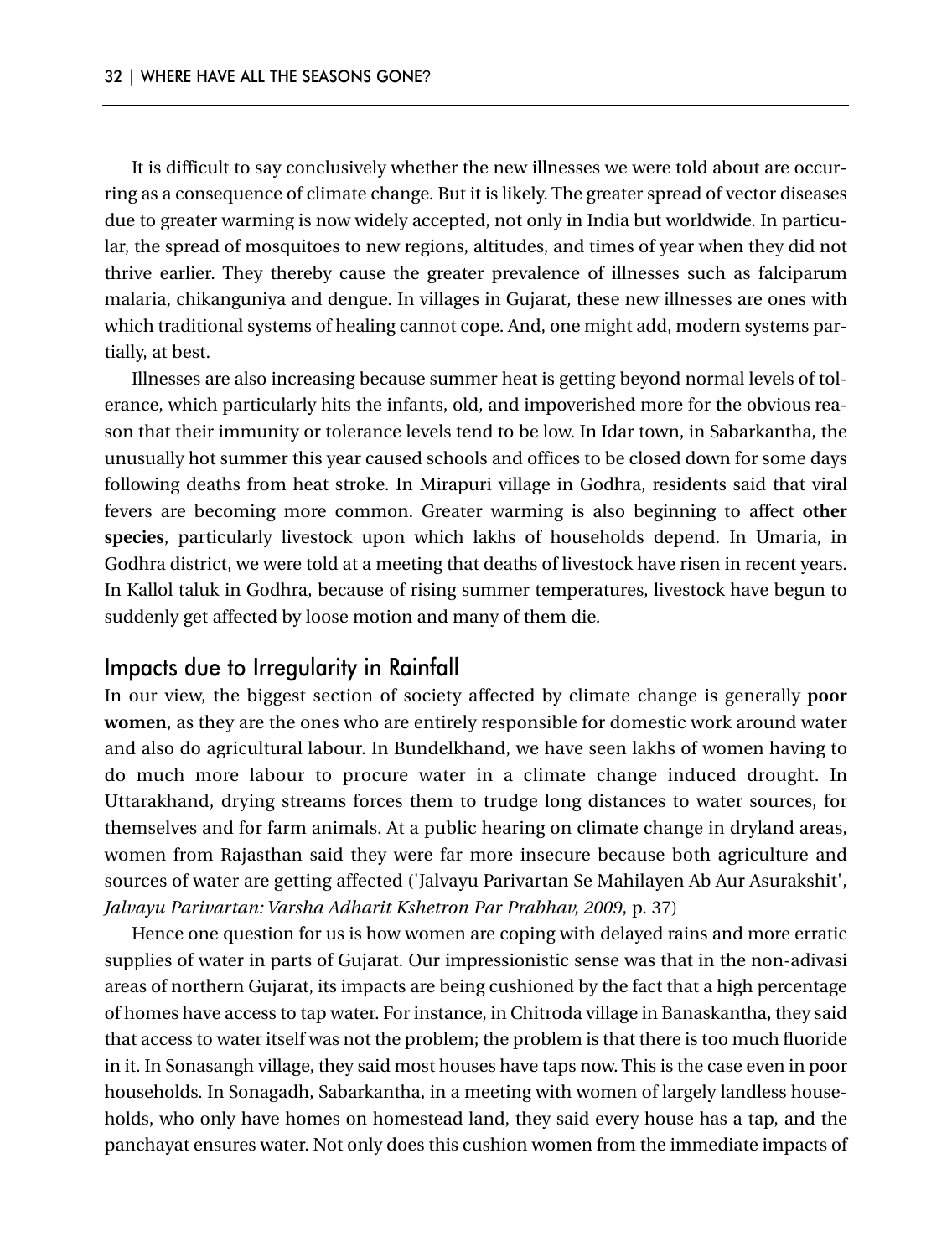It is difficult to say conclusively whether the new illnesses we were told about are occurring as a consequence of climate change. But it is likely. The greater spread of vector diseases due to greater warming is now widely accepted, not only in India but worldwide. In particular, the spread of mosquitoes to new regions, altitudes, and times of year when they did not thrive earlier. They thereby cause the greater prevalence of illnesses such as falciparum malaria, chikanguniya and dengue. In villages in Gujarat, these new illnesses are ones with which traditional systems of healing cannot cope. And, one might add, modern systems partially, at best.

Illnesses are also increasing because summer heat is getting beyond normal levels of tolerance, which particularly hits the infants, old, and impoverished more for the obvious reason that their immunity or tolerance levels tend to be low. In Idar town, in Sabarkantha, the unusually hot summer this year caused schools and offices to be closed down for some days following deaths from heat stroke. In Mirapuri village in Godhra, residents said that viral fevers are becoming more common. Greater warming is also beginning to affect **other species**, particularly livestock upon which lakhs of households depend. In Umaria, in Godhra district, we were told at a meeting that deaths of livestock have risen in recent years. In Kallol taluk in Godhra, because of rising summer temperatures, livestock have begun to suddenly get affected by loose motion and many of them die.

#### Impacts due to Irregularity in Rainfall

In our view, the biggest section of society affected by climate change is generally **poor women**, as they are the ones who are entirely responsible for domestic work around water and also do agricultural labour. In Bundelkhand, we have seen lakhs of women having to do much more labour to procure water in a climate change induced drought. In Uttarakhand, drying streams forces them to trudge long distances to water sources, for themselves and for farm animals. At a public hearing on climate change in dryland areas, women from Rajasthan said they were far more insecure because both agriculture and sources of water are getting affected ('Jalvayu Parivartan Se Mahilayen Ab Aur Asurakshit', *Jalvayu Parivartan: Varsha Adharit Kshetron Par Prabhav, 2009*, p. 37)

Hence one question for us is how women are coping with delayed rains and more erratic supplies of water in parts of Gujarat. Our impressionistic sense was that in the non-adivasi areas of northern Gujarat, its impacts are being cushioned by the fact that a high percentage of homes have access to tap water. For instance, in Chitroda village in Banaskantha, they said that access to water itself was not the problem; the problem is that there is too much fluoride in it. In Sonasangh village, they said most houses have taps now. This is the case even in poor households. In Sonagadh, Sabarkantha, in a meeting with women of largely landless households, who only have homes on homestead land, they said every house has a tap, and the panchayat ensures water. Not only does this cushion women from the immediate impacts of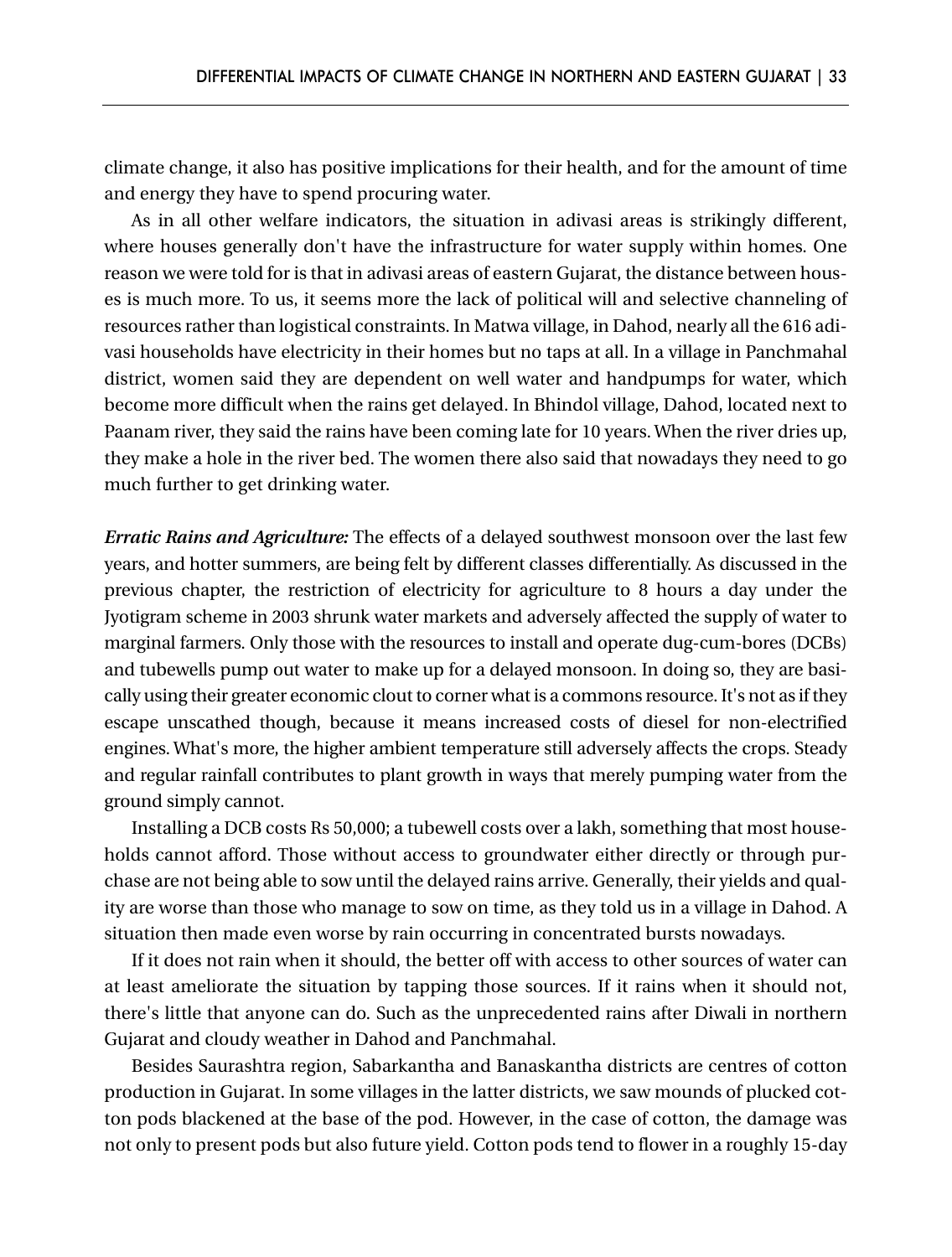climate change, it also has positive implications for their health, and for the amount of time and energy they have to spend procuring water.

As in all other welfare indicators, the situation in adivasi areas is strikingly different, where houses generally don't have the infrastructure for water supply within homes. One reason we were told for is that in adivasi areas of eastern Gujarat, the distance between houses is much more. To us, it seems more the lack of political will and selective channeling of resources rather than logistical constraints. In Matwa village, in Dahod, nearly all the 616 adivasi households have electricity in their homes but no taps at all. In a village in Panchmahal district, women said they are dependent on well water and handpumps for water, which become more difficult when the rains get delayed. In Bhindol village, Dahod, located next to Paanam river, they said the rains have been coming late for 10 years. When the river dries up, they make a hole in the river bed. The women there also said that nowadays they need to go much further to get drinking water.

*Erratic Rains and Agriculture:* The effects of a delayed southwest monsoon over the last few years, and hotter summers, are being felt by different classes differentially. As discussed in the previous chapter, the restriction of electricity for agriculture to 8 hours a day under the Jyotigram scheme in 2003 shrunk water markets and adversely affected the supply of water to marginal farmers. Only those with the resources to install and operate dug-cum-bores (DCBs) and tubewells pump out water to make up for a delayed monsoon. In doing so, they are basically using their greater economic clout to corner what is a commons resource. It's not as if they escape unscathed though, because it means increased costs of diesel for non-electrified engines. What's more, the higher ambient temperature still adversely affects the crops. Steady and regular rainfall contributes to plant growth in ways that merely pumping water from the ground simply cannot.

Installing a DCB costs Rs 50,000; a tubewell costs over a lakh, something that most households cannot afford. Those without access to groundwater either directly or through purchase are not being able to sow until the delayed rains arrive. Generally, their yields and quality are worse than those who manage to sow on time, as they told us in a village in Dahod. A situation then made even worse by rain occurring in concentrated bursts nowadays.

If it does not rain when it should, the better off with access to other sources of water can at least ameliorate the situation by tapping those sources. If it rains when it should not, there's little that anyone can do. Such as the unprecedented rains after Diwali in northern Gujarat and cloudy weather in Dahod and Panchmahal.

Besides Saurashtra region, Sabarkantha and Banaskantha districts are centres of cotton production in Gujarat. In some villages in the latter districts, we saw mounds of plucked cotton pods blackened at the base of the pod. However, in the case of cotton, the damage was not only to present pods but also future yield. Cotton pods tend to flower in a roughly 15-day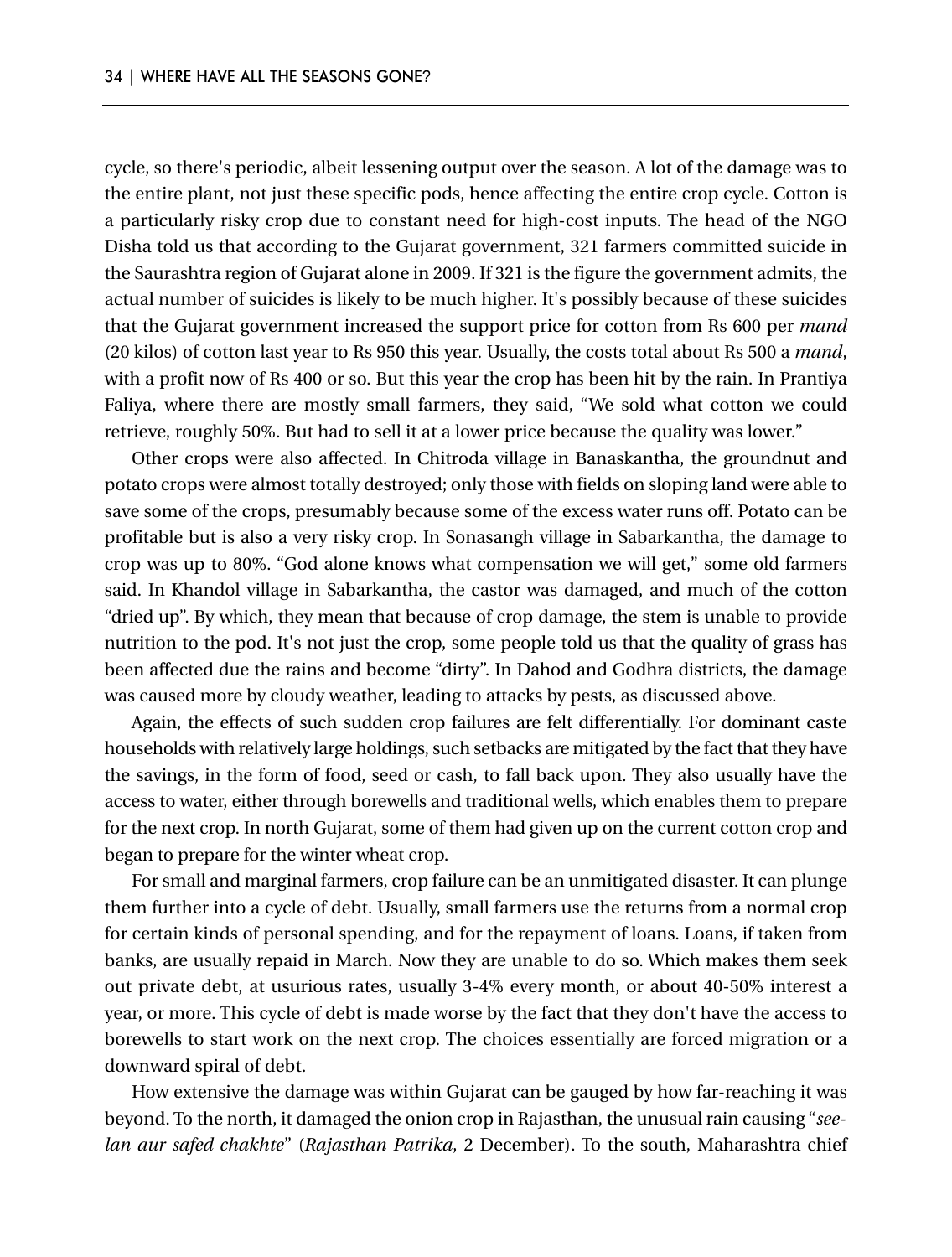cycle, so there's periodic, albeit lessening output over the season. A lot of the damage was to the entire plant, not just these specific pods, hence affecting the entire crop cycle. Cotton is a particularly risky crop due to constant need for high-cost inputs. The head of the NGO Disha told us that according to the Gujarat government, 321 farmers committed suicide in the Saurashtra region of Gujarat alone in 2009. If 321 is the figure the government admits, the actual number of suicides is likely to be much higher. It's possibly because of these suicides that the Gujarat government increased the support price for cotton from Rs 600 per *mand* (20 kilos) of cotton last year to Rs 950 this year. Usually, the costs total about Rs 500 a *mand*, with a profit now of Rs 400 or so. But this year the crop has been hit by the rain. In Prantiya Faliya, where there are mostly small farmers, they said, "We sold what cotton we could retrieve, roughly 50%. But had to sell it at a lower price because the quality was lower."

Other crops were also affected. In Chitroda village in Banaskantha, the groundnut and potato crops were almost totally destroyed; only those with fields on sloping land were able to save some of the crops, presumably because some of the excess water runs off. Potato can be profitable but is also a very risky crop. In Sonasangh village in Sabarkantha, the damage to crop was up to 80%. "God alone knows what compensation we will get," some old farmers said. In Khandol village in Sabarkantha, the castor was damaged, and much of the cotton "dried up". By which, they mean that because of crop damage, the stem is unable to provide nutrition to the pod. It's not just the crop, some people told us that the quality of grass has been affected due the rains and become "dirty". In Dahod and Godhra districts, the damage was caused more by cloudy weather, leading to attacks by pests, as discussed above.

Again, the effects of such sudden crop failures are felt differentially. For dominant caste households with relatively large holdings, such setbacks are mitigated by the fact that they have the savings, in the form of food, seed or cash, to fall back upon. They also usually have the access to water, either through borewells and traditional wells, which enables them to prepare for the next crop. In north Gujarat, some of them had given up on the current cotton crop and began to prepare for the winter wheat crop.

For small and marginal farmers, crop failure can be an unmitigated disaster. It can plunge them further into a cycle of debt. Usually, small farmers use the returns from a normal crop for certain kinds of personal spending, and for the repayment of loans. Loans, if taken from banks, are usually repaid in March. Now they are unable to do so. Which makes them seek out private debt, at usurious rates, usually 3-4% every month, or about 40-50% interest a year, or more. This cycle of debt is made worse by the fact that they don't have the access to borewells to start work on the next crop. The choices essentially are forced migration or a downward spiral of debt.

How extensive the damage was within Gujarat can be gauged by how far-reaching it was beyond. To the north, it damaged the onion crop in Rajasthan, the unusual rain causing "*seelan aur safed chakhte*" (*Rajasthan Patrika*, 2 December). To the south, Maharashtra chief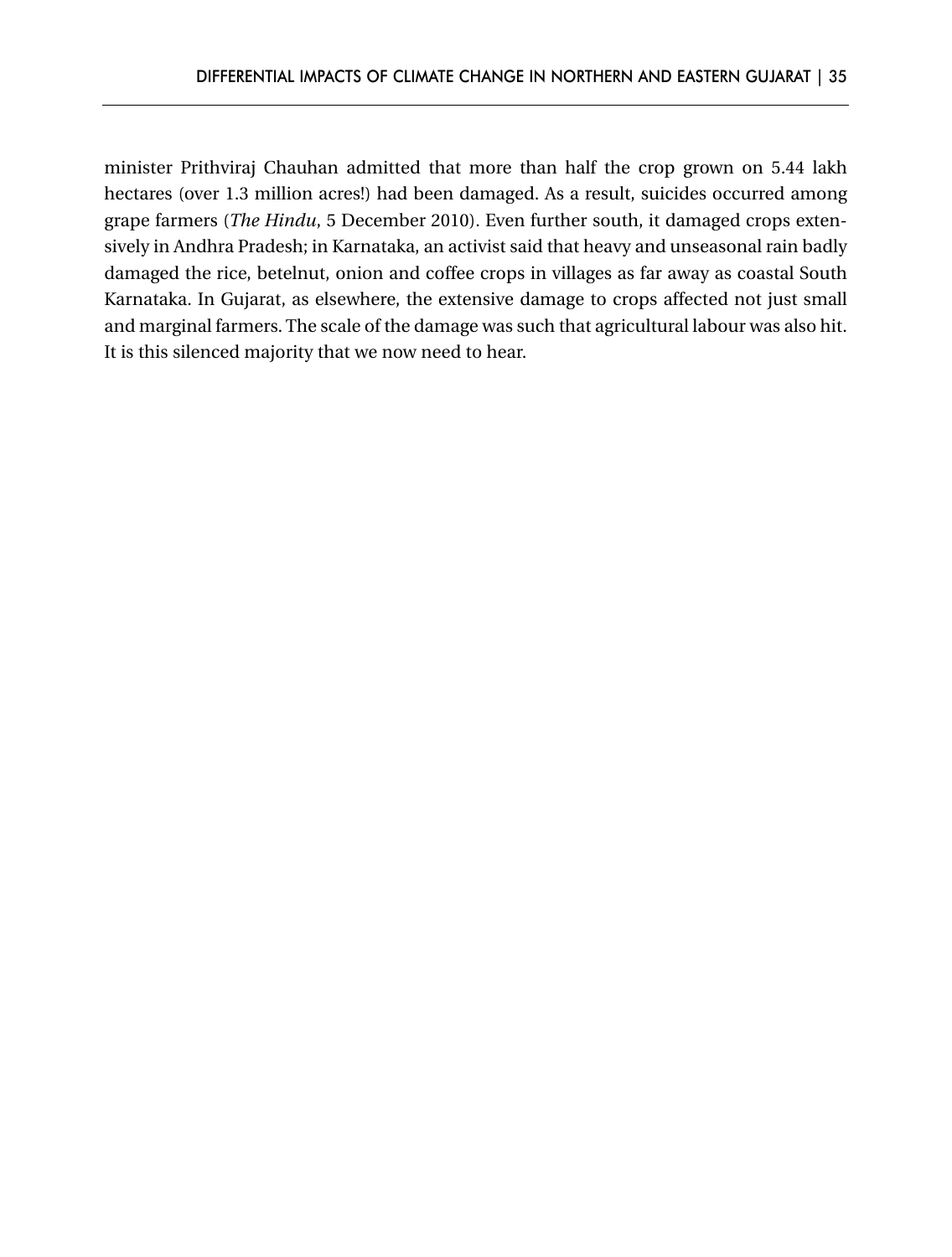minister Prithviraj Chauhan admitted that more than half the crop grown on 5.44 lakh hectares (over 1.3 million acres!) had been damaged. As a result, suicides occurred among grape farmers (*The Hindu*, 5 December 2010). Even further south, it damaged crops extensively in Andhra Pradesh; in Karnataka, an activist said that heavy and unseasonal rain badly damaged the rice, betelnut, onion and coffee crops in villages as far away as coastal South Karnataka. In Gujarat, as elsewhere, the extensive damage to crops affected not just small and marginal farmers. The scale of the damage was such that agricultural labour was also hit. It is this silenced majority that we now need to hear.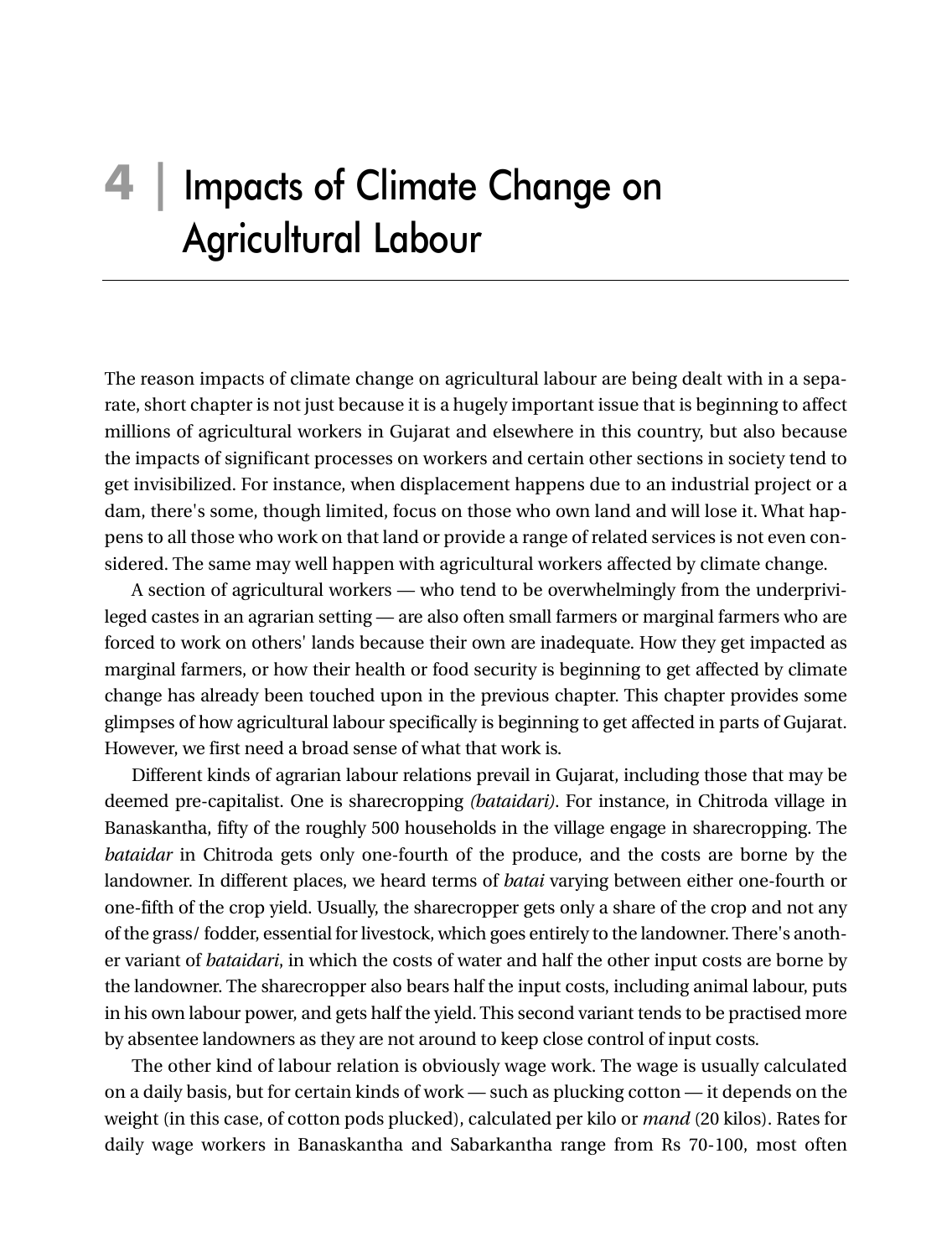# **4 |** Impacts of Climate Change on Agricultural Labour

The reason impacts of climate change on agricultural labour are being dealt with in a separate, short chapter is not just because it is a hugely important issue that is beginning to affect millions of agricultural workers in Gujarat and elsewhere in this country, but also because the impacts of significant processes on workers and certain other sections in society tend to get invisibilized. For instance, when displacement happens due to an industrial project or a dam, there's some, though limited, focus on those who own land and will lose it. What happens to all those who work on that land or provide a range of related services is not even considered. The same may well happen with agricultural workers affected by climate change.

A section of agricultural workers — who tend to be overwhelmingly from the underprivileged castes in an agrarian setting — are also often small farmers or marginal farmers who are forced to work on others' lands because their own are inadequate. How they get impacted as marginal farmers, or how their health or food security is beginning to get affected by climate change has already been touched upon in the previous chapter. This chapter provides some glimpses of how agricultural labour specifically is beginning to get affected in parts of Gujarat. However, we first need a broad sense of what that work is.

Different kinds of agrarian labour relations prevail in Gujarat, including those that may be deemed pre-capitalist. One is sharecropping *(bataidari)*. For instance, in Chitroda village in Banaskantha, fifty of the roughly 500 households in the village engage in sharecropping. The *bataidar* in Chitroda gets only one-fourth of the produce, and the costs are borne by the landowner. In different places, we heard terms of *batai* varying between either one-fourth or one-fifth of the crop yield. Usually, the sharecropper gets only a share of the crop and not any of the grass/ fodder, essential for livestock, which goes entirely to the landowner. There's another variant of *bataidari*, in which the costs of water and half the other input costs are borne by the landowner. The sharecropper also bears half the input costs, including animal labour, puts in his own labour power, and gets half the yield. This second variant tends to be practised more by absentee landowners as they are not around to keep close control of input costs.

The other kind of labour relation is obviously wage work. The wage is usually calculated on a daily basis, but for certain kinds of work — such as plucking cotton — it depends on the weight (in this case, of cotton pods plucked), calculated per kilo or *mand* (20 kilos). Rates for daily wage workers in Banaskantha and Sabarkantha range from Rs 70-100, most often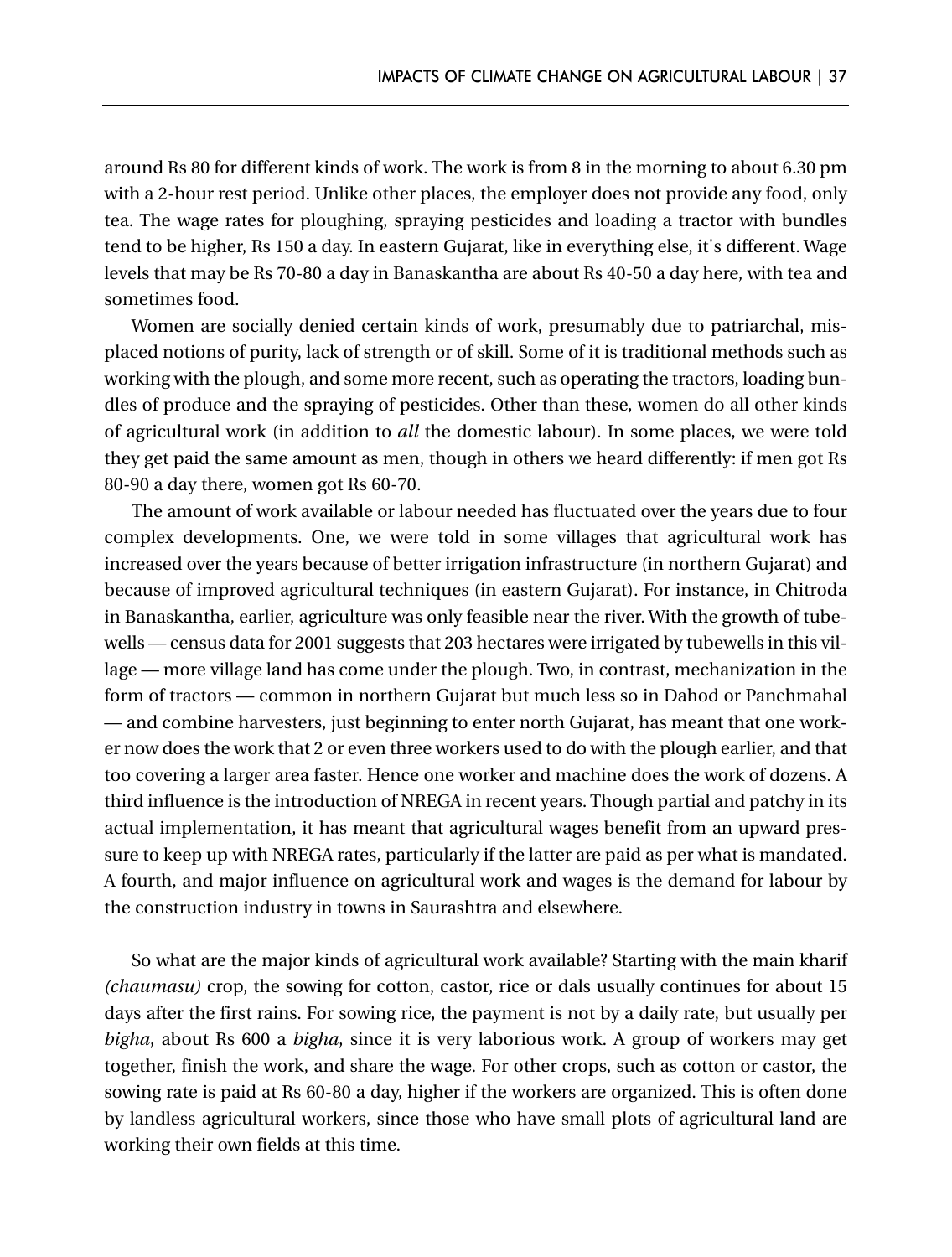around Rs 80 for different kinds of work. The work is from 8 in the morning to about 6.30 pm with a 2-hour rest period. Unlike other places, the employer does not provide any food, only tea. The wage rates for ploughing, spraying pesticides and loading a tractor with bundles tend to be higher, Rs 150 a day. In eastern Gujarat, like in everything else, it's different. Wage levels that may be Rs 70-80 a day in Banaskantha are about Rs 40-50 a day here, with tea and sometimes food.

Women are socially denied certain kinds of work, presumably due to patriarchal, misplaced notions of purity, lack of strength or of skill. Some of it is traditional methods such as working with the plough, and some more recent, such as operating the tractors, loading bundles of produce and the spraying of pesticides. Other than these, women do all other kinds of agricultural work (in addition to *all* the domestic labour). In some places, we were told they get paid the same amount as men, though in others we heard differently: if men got Rs 80-90 a day there, women got Rs 60-70.

The amount of work available or labour needed has fluctuated over the years due to four complex developments. One, we were told in some villages that agricultural work has increased over the years because of better irrigation infrastructure (in northern Gujarat) and because of improved agricultural techniques (in eastern Gujarat). For instance, in Chitroda in Banaskantha, earlier, agriculture was only feasible near the river. With the growth of tubewells — census data for 2001 suggests that 203 hectares were irrigated by tubewells in this village — more village land has come under the plough. Two, in contrast, mechanization in the form of tractors — common in northern Gujarat but much less so in Dahod or Panchmahal — and combine harvesters, just beginning to enter north Gujarat, has meant that one worker now does the work that 2 or even three workers used to do with the plough earlier, and that too covering a larger area faster. Hence one worker and machine does the work of dozens. A third influence is the introduction of NREGA in recent years. Though partial and patchy in its actual implementation, it has meant that agricultural wages benefit from an upward pressure to keep up with NREGA rates, particularly if the latter are paid as per what is mandated. A fourth, and major influence on agricultural work and wages is the demand for labour by the construction industry in towns in Saurashtra and elsewhere.

So what are the major kinds of agricultural work available? Starting with the main kharif *(chaumasu)* crop, the sowing for cotton, castor, rice or dals usually continues for about 15 days after the first rains. For sowing rice, the payment is not by a daily rate, but usually per *bigha*, about Rs 600 a *bigha*, since it is very laborious work. A group of workers may get together, finish the work, and share the wage. For other crops, such as cotton or castor, the sowing rate is paid at Rs 60-80 a day, higher if the workers are organized. This is often done by landless agricultural workers, since those who have small plots of agricultural land are working their own fields at this time.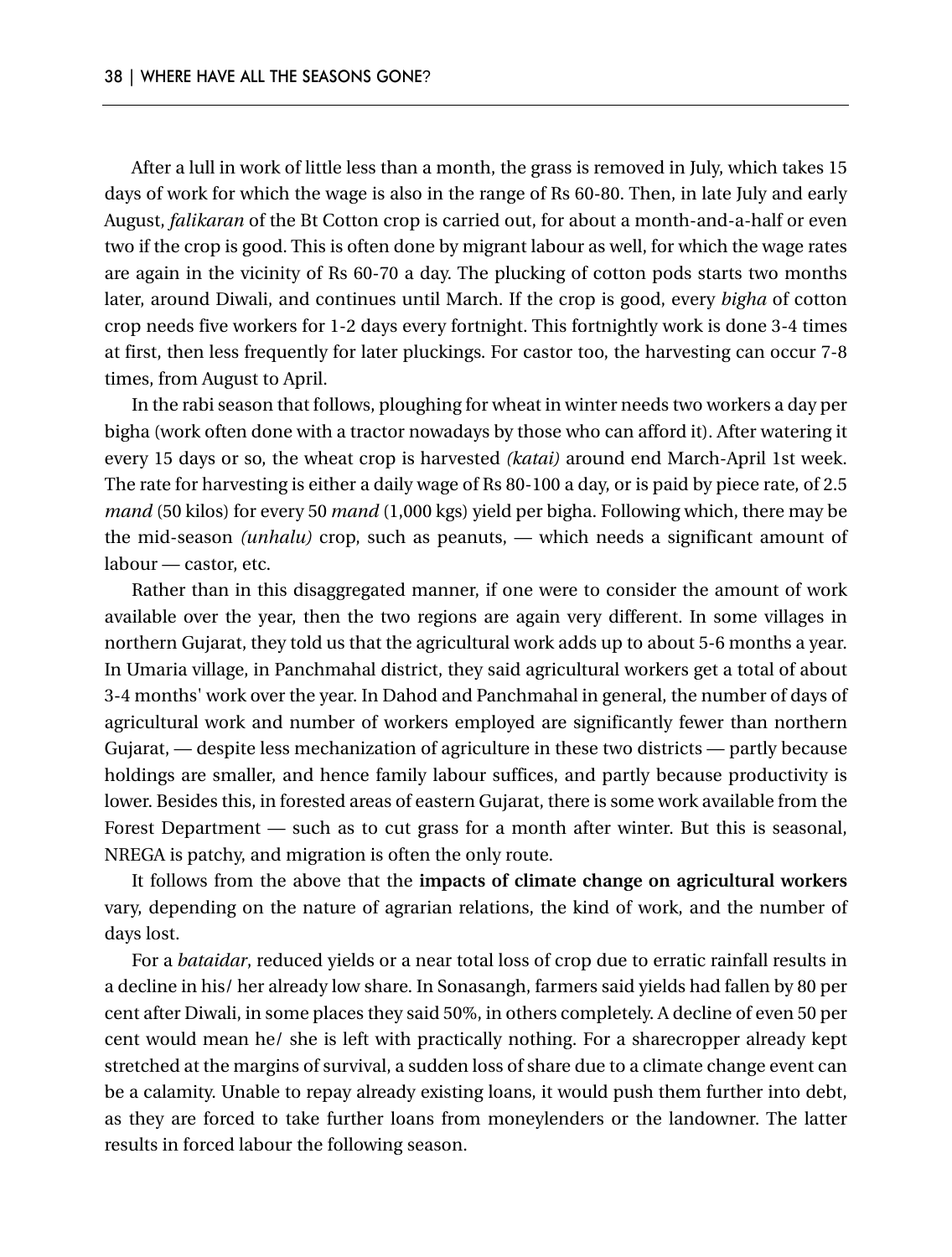After a lull in work of little less than a month, the grass is removed in July, which takes 15 days of work for which the wage is also in the range of Rs 60-80. Then, in late July and early August, *falikaran* of the Bt Cotton crop is carried out, for about a month-and-a-half or even two if the crop is good. This is often done by migrant labour as well, for which the wage rates are again in the vicinity of Rs 60-70 a day. The plucking of cotton pods starts two months later, around Diwali, and continues until March. If the crop is good, every *bigha* of cotton crop needs five workers for 1-2 days every fortnight. This fortnightly work is done 3-4 times at first, then less frequently for later pluckings. For castor too, the harvesting can occur 7-8 times, from August to April.

In the rabi season that follows, ploughing for wheat in winter needs two workers a day per bigha (work often done with a tractor nowadays by those who can afford it). After watering it every 15 days or so, the wheat crop is harvested *(katai)* around end March-April 1st week. The rate for harvesting is either a daily wage of Rs 80-100 a day, or is paid by piece rate, of 2.5 *mand* (50 kilos) for every 50 *mand* (1,000 kgs) yield per bigha. Following which, there may be the mid-season *(unhalu)* crop, such as peanuts, — which needs a significant amount of labour — castor, etc.

Rather than in this disaggregated manner, if one were to consider the amount of work available over the year, then the two regions are again very different. In some villages in northern Gujarat, they told us that the agricultural work adds up to about 5-6 months a year. In Umaria village, in Panchmahal district, they said agricultural workers get a total of about 3-4 months' work over the year. In Dahod and Panchmahal in general, the number of days of agricultural work and number of workers employed are significantly fewer than northern Gujarat, — despite less mechanization of agriculture in these two districts — partly because holdings are smaller, and hence family labour suffices, and partly because productivity is lower. Besides this, in forested areas of eastern Gujarat, there is some work available from the Forest Department — such as to cut grass for a month after winter. But this is seasonal, NREGA is patchy, and migration is often the only route.

It follows from the above that the **impacts of climate change on agricultural workers** vary, depending on the nature of agrarian relations, the kind of work, and the number of days lost.

For a *bataidar*, reduced yields or a near total loss of crop due to erratic rainfall results in a decline in his/ her already low share. In Sonasangh, farmers said yields had fallen by 80 per cent after Diwali, in some places they said 50%, in others completely. A decline of even 50 per cent would mean he/ she is left with practically nothing. For a sharecropper already kept stretched at the margins of survival, a sudden loss of share due to a climate change event can be a calamity. Unable to repay already existing loans, it would push them further into debt, as they are forced to take further loans from moneylenders or the landowner. The latter results in forced labour the following season.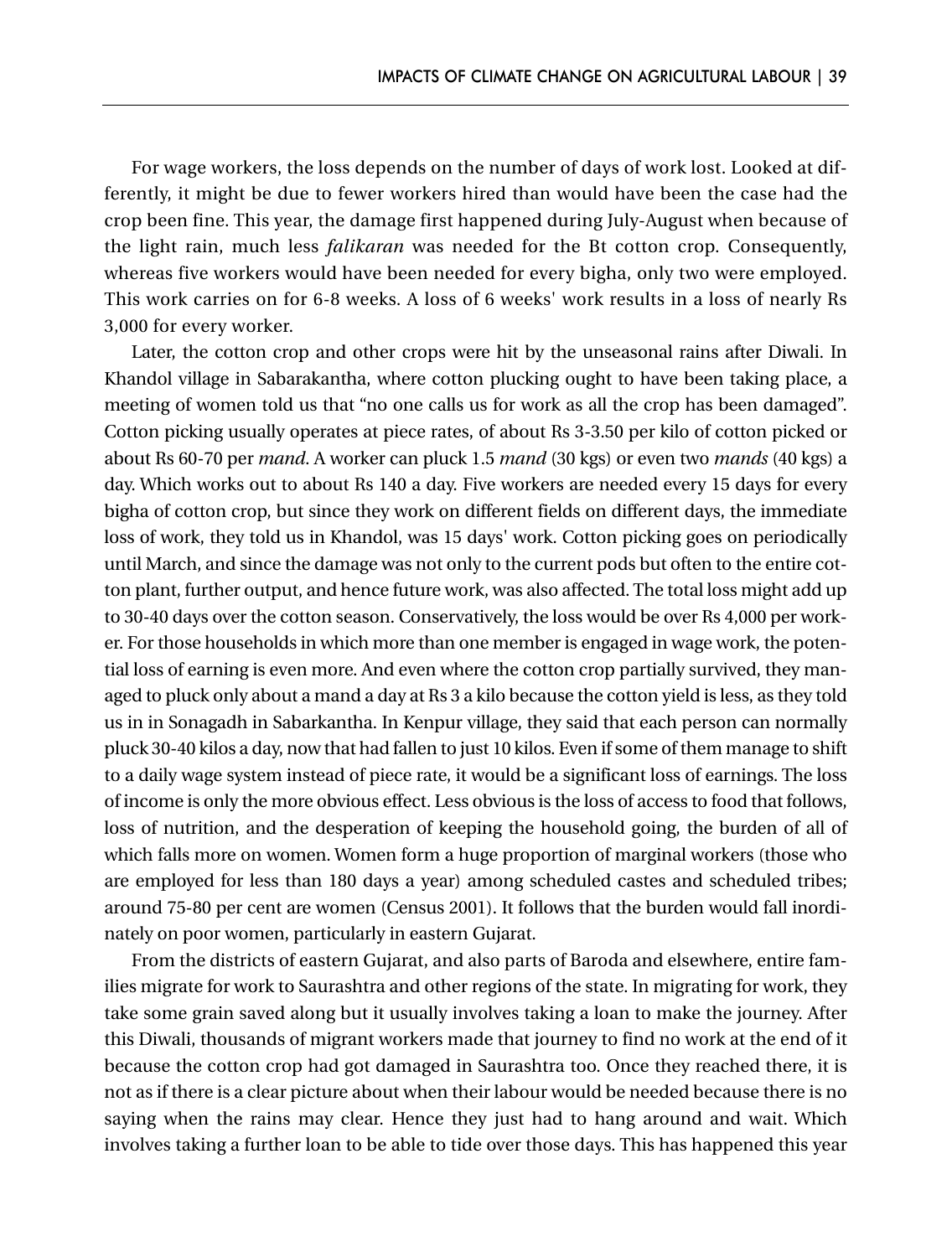For wage workers, the loss depends on the number of days of work lost. Looked at differently, it might be due to fewer workers hired than would have been the case had the crop been fine. This year, the damage first happened during July-August when because of the light rain, much less *falikaran* was needed for the Bt cotton crop. Consequently, whereas five workers would have been needed for every bigha, only two were employed. This work carries on for 6-8 weeks. A loss of 6 weeks' work results in a loss of nearly Rs 3,000 for every worker.

Later, the cotton crop and other crops were hit by the unseasonal rains after Diwali. In Khandol village in Sabarakantha, where cotton plucking ought to have been taking place, a meeting of women told us that "no one calls us for work as all the crop has been damaged". Cotton picking usually operates at piece rates, of about Rs 3-3.50 per kilo of cotton picked or about Rs 60-70 per *mand*. A worker can pluck 1.5 *mand* (30 kgs) or even two *mands* (40 kgs) a day. Which works out to about Rs 140 a day. Five workers are needed every 15 days for every bigha of cotton crop, but since they work on different fields on different days, the immediate loss of work, they told us in Khandol, was 15 days' work. Cotton picking goes on periodically until March, and since the damage was not only to the current pods but often to the entire cotton plant, further output, and hence future work, was also affected. The total loss might add up to 30-40 days over the cotton season. Conservatively, the loss would be over Rs 4,000 per worker. For those households in which more than one member is engaged in wage work, the potential loss of earning is even more. And even where the cotton crop partially survived, they managed to pluck only about a mand a day at Rs 3 a kilo because the cotton yield is less, as they told us in in Sonagadh in Sabarkantha. In Kenpur village, they said that each person can normally pluck 30-40 kilos a day, now that had fallen to just 10 kilos. Even if some of them manage to shift to a daily wage system instead of piece rate, it would be a significant loss of earnings. The loss of income is only the more obvious effect. Less obvious is the loss of access to food that follows, loss of nutrition, and the desperation of keeping the household going, the burden of all of which falls more on women. Women form a huge proportion of marginal workers (those who are employed for less than 180 days a year) among scheduled castes and scheduled tribes; around 75-80 per cent are women (Census 2001). It follows that the burden would fall inordinately on poor women, particularly in eastern Gujarat.

From the districts of eastern Gujarat, and also parts of Baroda and elsewhere, entire families migrate for work to Saurashtra and other regions of the state. In migrating for work, they take some grain saved along but it usually involves taking a loan to make the journey. After this Diwali, thousands of migrant workers made that journey to find no work at the end of it because the cotton crop had got damaged in Saurashtra too. Once they reached there, it is not as if there is a clear picture about when their labour would be needed because there is no saying when the rains may clear. Hence they just had to hang around and wait. Which involves taking a further loan to be able to tide over those days. This has happened this year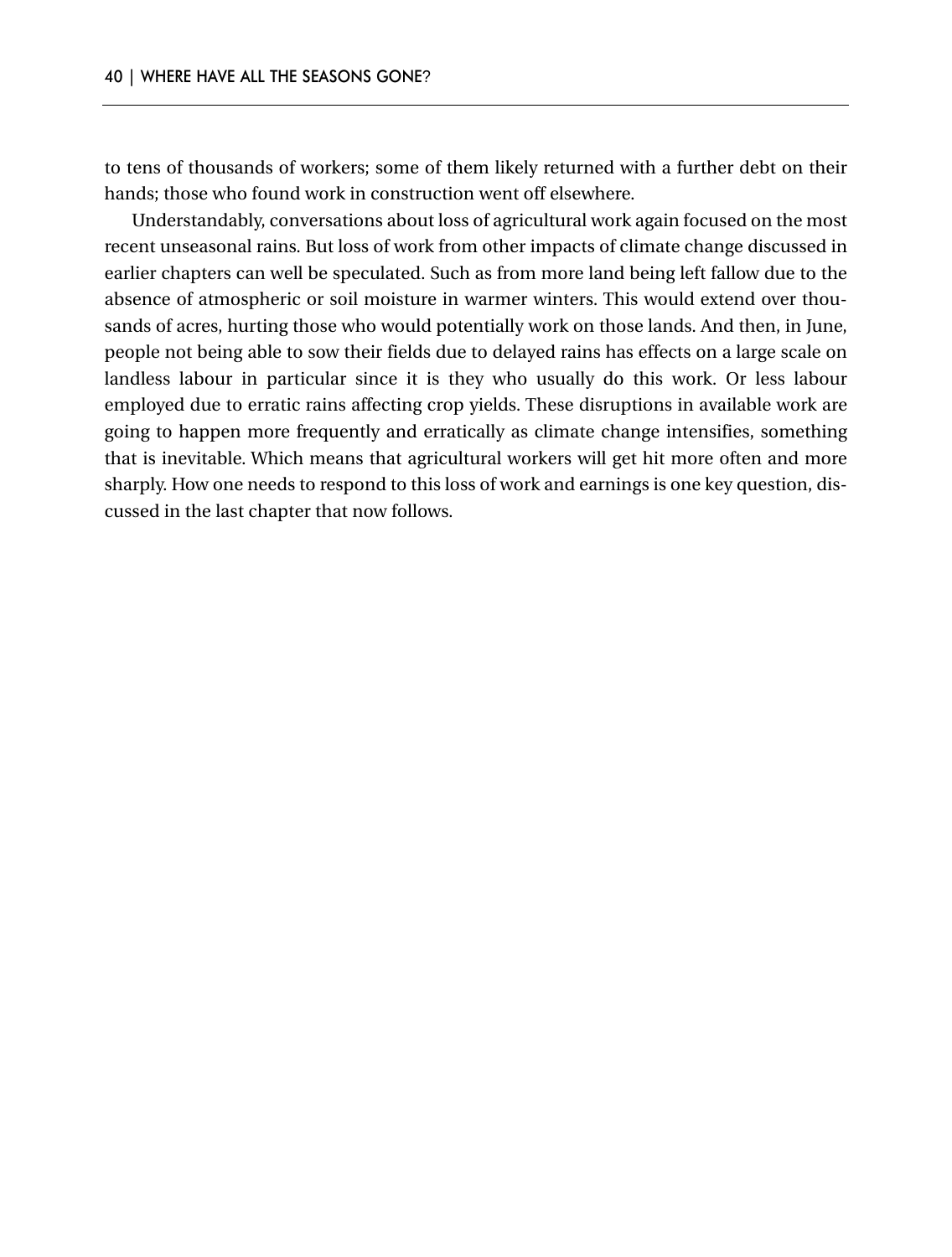to tens of thousands of workers; some of them likely returned with a further debt on their hands; those who found work in construction went off elsewhere.

Understandably, conversations about loss of agricultural work again focused on the most recent unseasonal rains. But loss of work from other impacts of climate change discussed in earlier chapters can well be speculated. Such as from more land being left fallow due to the absence of atmospheric or soil moisture in warmer winters. This would extend over thousands of acres, hurting those who would potentially work on those lands. And then, in June, people not being able to sow their fields due to delayed rains has effects on a large scale on landless labour in particular since it is they who usually do this work. Or less labour employed due to erratic rains affecting crop yields. These disruptions in available work are going to happen more frequently and erratically as climate change intensifies, something that is inevitable. Which means that agricultural workers will get hit more often and more sharply. How one needs to respond to this loss of work and earnings is one key question, discussed in the last chapter that now follows.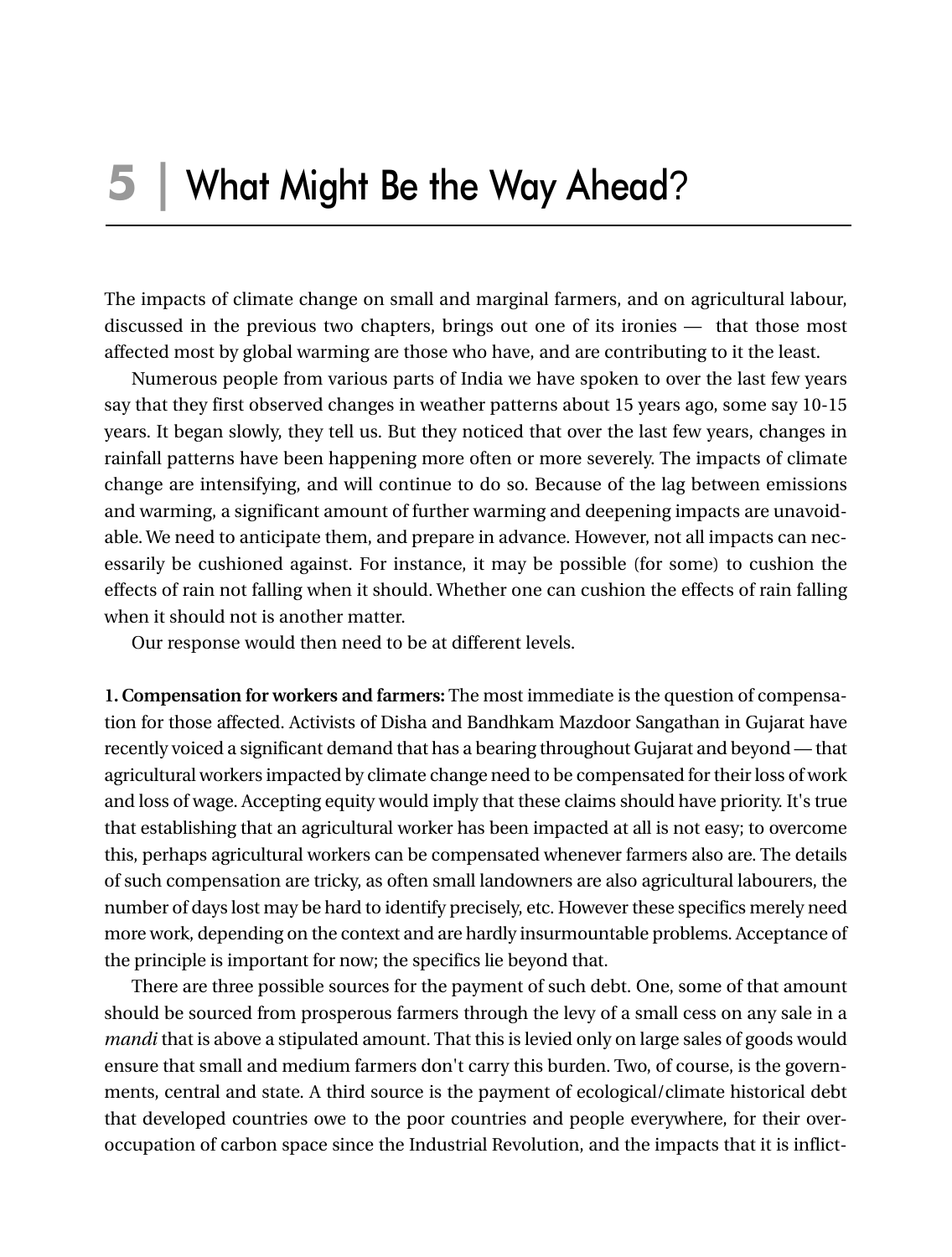The impacts of climate change on small and marginal farmers, and on agricultural labour, discussed in the previous two chapters, brings out one of its ironies — that those most affected most by global warming are those who have, and are contributing to it the least.

Numerous people from various parts of India we have spoken to over the last few years say that they first observed changes in weather patterns about 15 years ago, some say 10-15 years. It began slowly, they tell us. But they noticed that over the last few years, changes in rainfall patterns have been happening more often or more severely. The impacts of climate change are intensifying, and will continue to do so. Because of the lag between emissions and warming, a significant amount of further warming and deepening impacts are unavoidable. We need to anticipate them, and prepare in advance. However, not all impacts can necessarily be cushioned against. For instance, it may be possible (for some) to cushion the effects of rain not falling when it should. Whether one can cushion the effects of rain falling when it should not is another matter.

Our response would then need to be at different levels.

**1. Compensation for workers and farmers:** The most immediate is the question of compensation for those affected. Activists of Disha and Bandhkam Mazdoor Sangathan in Gujarat have recently voiced a significant demand that has a bearing throughout Gujarat and beyond — that agricultural workers impacted by climate change need to be compensated for their loss of work and loss of wage. Accepting equity would imply that these claims should have priority. It's true that establishing that an agricultural worker has been impacted at all is not easy; to overcome this, perhaps agricultural workers can be compensated whenever farmers also are. The details of such compensation are tricky, as often small landowners are also agricultural labourers, the number of days lost may be hard to identify precisely, etc. However these specifics merely need more work, depending on the context and are hardly insurmountable problems. Acceptance of the principle is important for now; the specifics lie beyond that.

There are three possible sources for the payment of such debt. One, some of that amount should be sourced from prosperous farmers through the levy of a small cess on any sale in a *mandi* that is above a stipulated amount. That this is levied only on large sales of goods would ensure that small and medium farmers don't carry this burden. Two, of course, is the governments, central and state. A third source is the payment of ecological/climate historical debt that developed countries owe to the poor countries and people everywhere, for their overoccupation of carbon space since the Industrial Revolution, and the impacts that it is inflict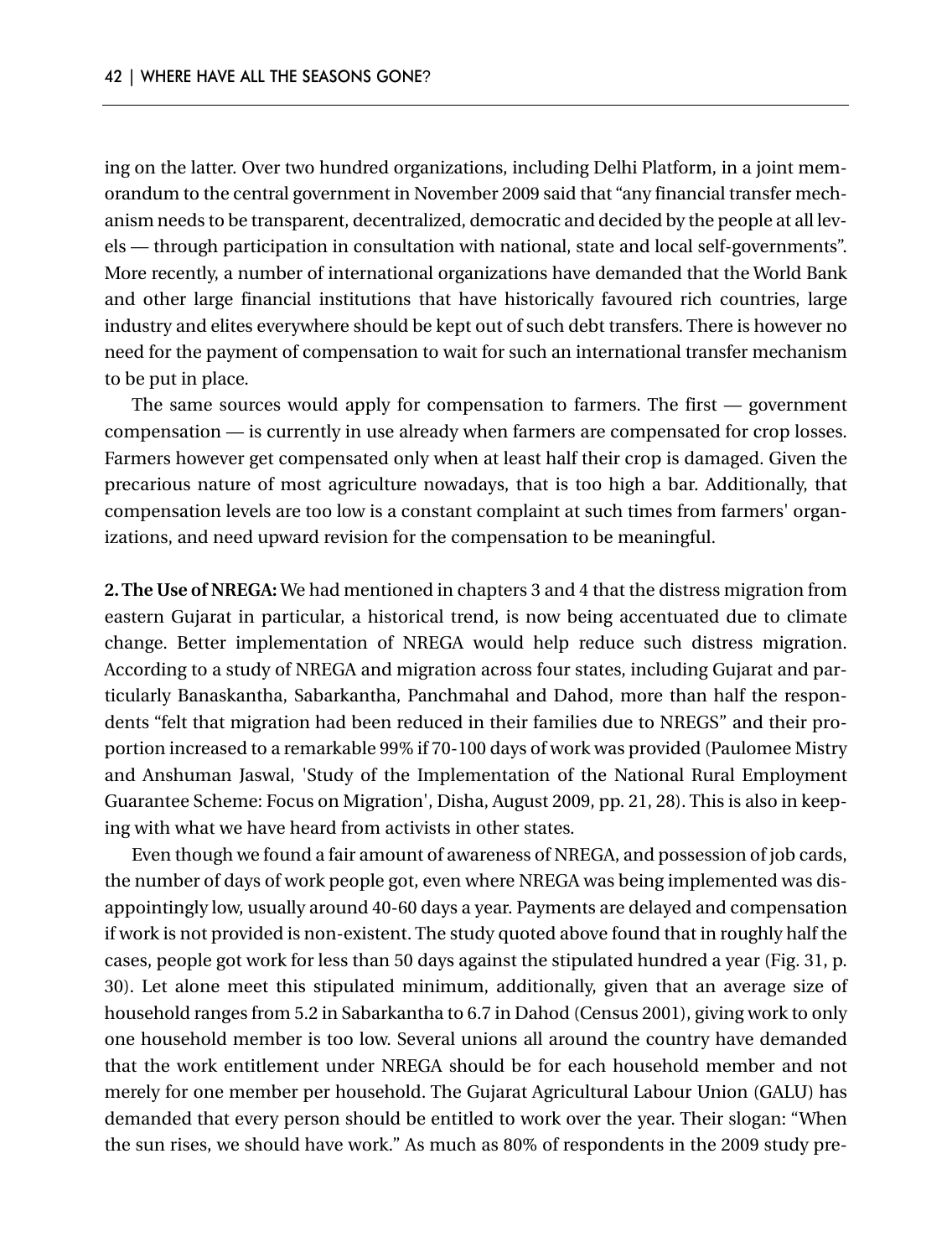ing on the latter. Over two hundred organizations, including Delhi Platform, in a joint memorandum to the central government in November 2009 said that "any financial transfer mechanism needs to be transparent, decentralized, democratic and decided by the people at all levels — through participation in consultation with national, state and local self-governments". More recently, a number of international organizations have demanded that the World Bank and other large financial institutions that have historically favoured rich countries, large industry and elites everywhere should be kept out of such debt transfers. There is however no need for the payment of compensation to wait for such an international transfer mechanism to be put in place.

The same sources would apply for compensation to farmers. The first — government compensation — is currently in use already when farmers are compensated for crop losses. Farmers however get compensated only when at least half their crop is damaged. Given the precarious nature of most agriculture nowadays, that is too high a bar. Additionally, that compensation levels are too low is a constant complaint at such times from farmers' organizations, and need upward revision for the compensation to be meaningful.

**2. The Use of NREGA:** We had mentioned in chapters 3 and 4 that the distress migration from eastern Gujarat in particular, a historical trend, is now being accentuated due to climate change. Better implementation of NREGA would help reduce such distress migration. According to a study of NREGA and migration across four states, including Gujarat and particularly Banaskantha, Sabarkantha, Panchmahal and Dahod, more than half the respondents "felt that migration had been reduced in their families due to NREGS" and their proportion increased to a remarkable 99% if 70-100 days of work was provided (Paulomee Mistry and Anshuman Jaswal, 'Study of the Implementation of the National Rural Employment Guarantee Scheme: Focus on Migration', Disha, August 2009, pp. 21, 28). This is also in keeping with what we have heard from activists in other states.

Even though we found a fair amount of awareness of NREGA, and possession of job cards, the number of days of work people got, even where NREGA was being implemented was disappointingly low, usually around 40-60 days a year. Payments are delayed and compensation if work is not provided is non-existent. The study quoted above found that in roughly half the cases, people got work for less than 50 days against the stipulated hundred a year (Fig. 31, p. 30). Let alone meet this stipulated minimum, additionally, given that an average size of household ranges from 5.2 in Sabarkantha to 6.7 in Dahod (Census 2001), giving work to only one household member is too low. Several unions all around the country have demanded that the work entitlement under NREGA should be for each household member and not merely for one member per household. The Gujarat Agricultural Labour Union (GALU) has demanded that every person should be entitled to work over the year. Their slogan: "When the sun rises, we should have work." As much as 80% of respondents in the 2009 study pre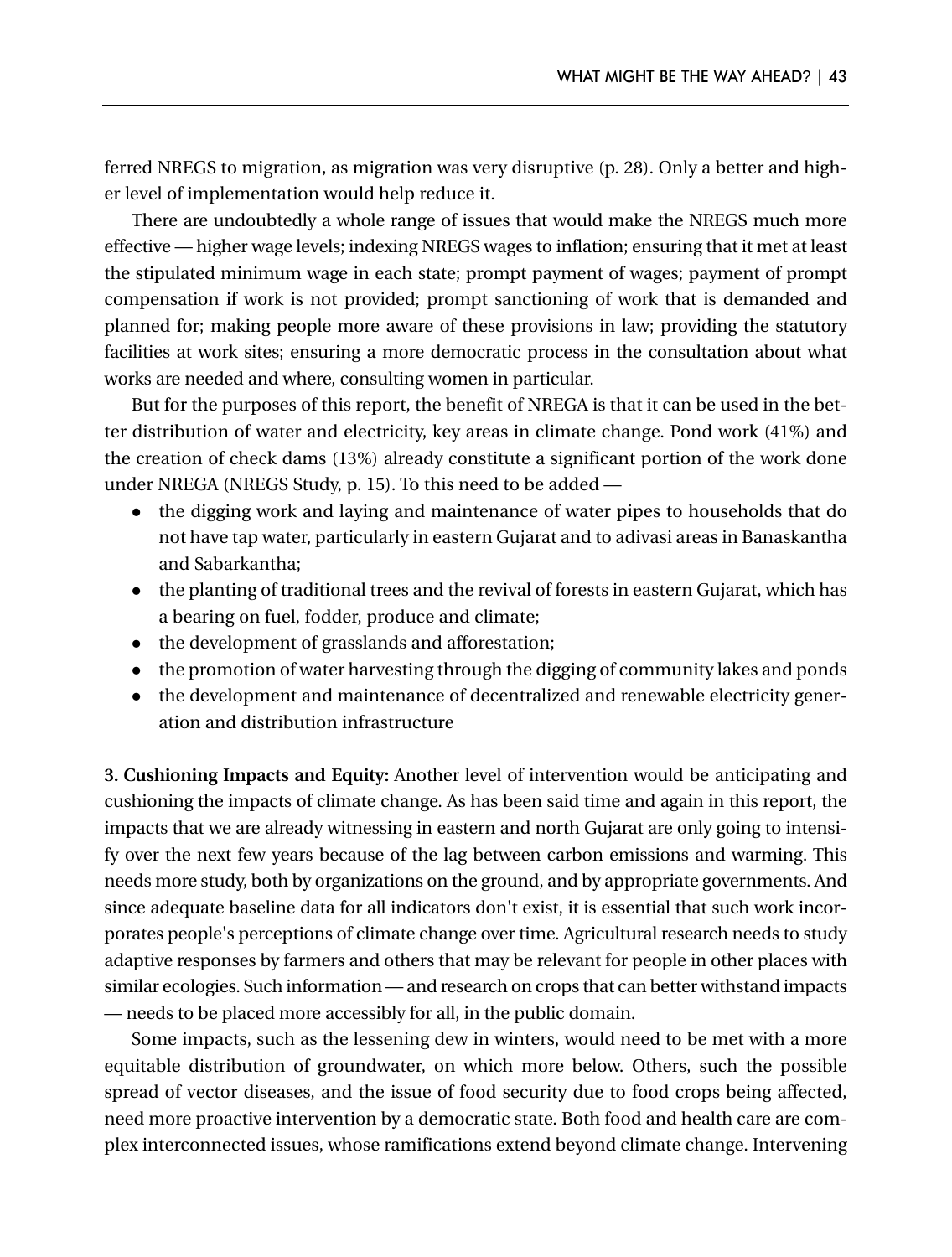ferred NREGS to migration, as migration was very disruptive (p. 28). Only a better and higher level of implementation would help reduce it.

There are undoubtedly a whole range of issues that would make the NREGS much more effective — higher wage levels; indexing NREGS wages to inflation; ensuring that it met at least the stipulated minimum wage in each state; prompt payment of wages; payment of prompt compensation if work is not provided; prompt sanctioning of work that is demanded and planned for; making people more aware of these provisions in law; providing the statutory facilities at work sites; ensuring a more democratic process in the consultation about what works are needed and where, consulting women in particular.

But for the purposes of this report, the benefit of NREGA is that it can be used in the better distribution of water and electricity, key areas in climate change. Pond work (41%) and the creation of check dams (13%) already constitute a significant portion of the work done under NREGA (NREGS Study, p. 15). To this need to be added —

- the digging work and laying and maintenance of water pipes to households that do not have tap water, particularly in eastern Gujarat and to adivasi areas in Banaskantha and Sabarkantha;
- $\bullet$  the planting of traditional trees and the revival of forests in eastern Gujarat, which has a bearing on fuel, fodder, produce and climate;
- the development of grasslands and afforestation;
- the promotion of water harvesting through the digging of community lakes and ponds
- the development and maintenance of decentralized and renewable electricity generation and distribution infrastructure

**3. Cushioning Impacts and Equity:** Another level of intervention would be anticipating and cushioning the impacts of climate change. As has been said time and again in this report, the impacts that we are already witnessing in eastern and north Gujarat are only going to intensify over the next few years because of the lag between carbon emissions and warming. This needs more study, both by organizations on the ground, and by appropriate governments. And since adequate baseline data for all indicators don't exist, it is essential that such work incorporates people's perceptions of climate change over time. Agricultural research needs to study adaptive responses by farmers and others that may be relevant for people in other places with similar ecologies. Such information — and research on crops that can better withstand impacts — needs to be placed more accessibly for all, in the public domain.

Some impacts, such as the lessening dew in winters, would need to be met with a more equitable distribution of groundwater, on which more below. Others, such the possible spread of vector diseases, and the issue of food security due to food crops being affected, need more proactive intervention by a democratic state. Both food and health care are complex interconnected issues, whose ramifications extend beyond climate change. Intervening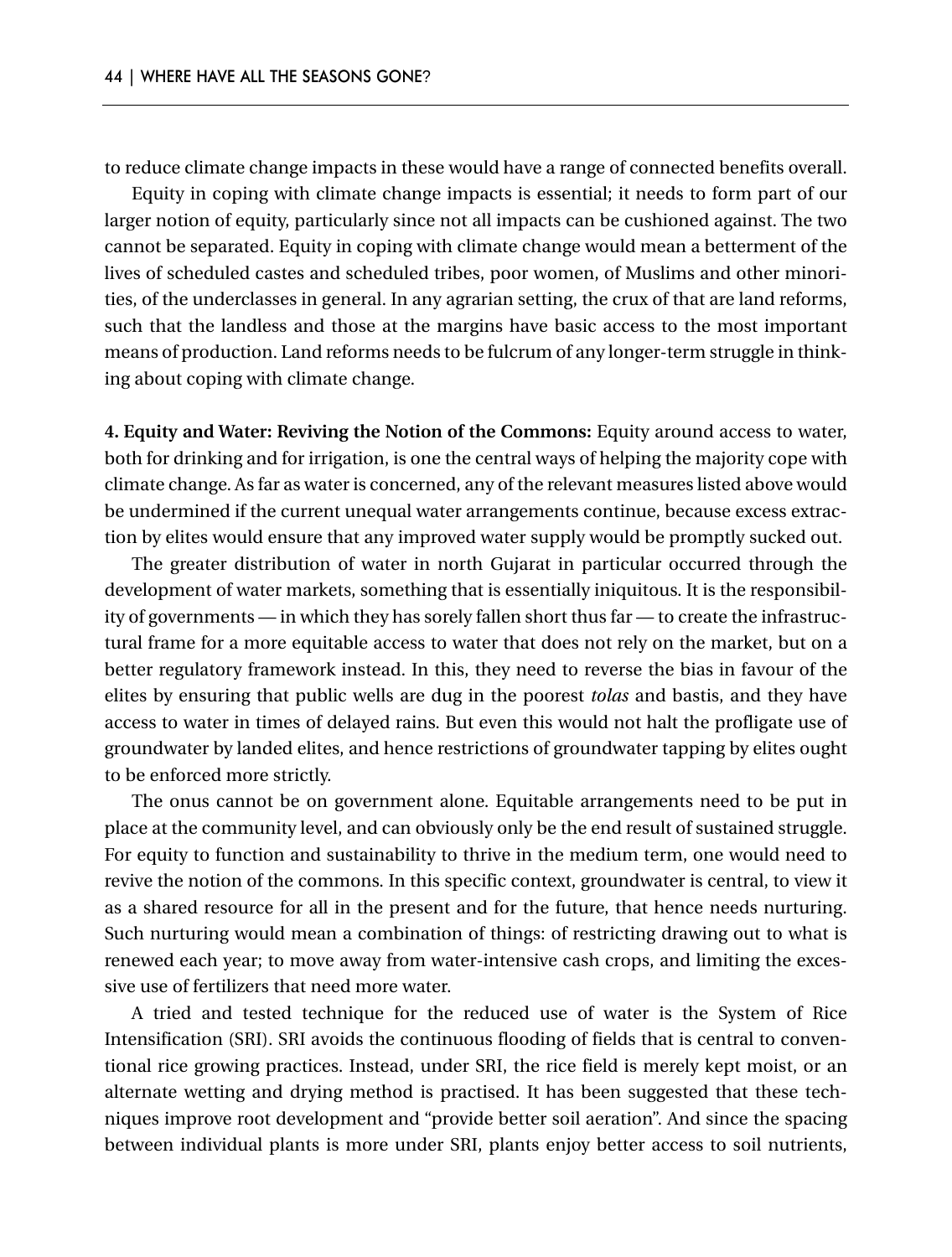to reduce climate change impacts in these would have a range of connected benefits overall.

Equity in coping with climate change impacts is essential; it needs to form part of our larger notion of equity, particularly since not all impacts can be cushioned against. The two cannot be separated. Equity in coping with climate change would mean a betterment of the lives of scheduled castes and scheduled tribes, poor women, of Muslims and other minorities, of the underclasses in general. In any agrarian setting, the crux of that are land reforms, such that the landless and those at the margins have basic access to the most important means of production. Land reforms needs to be fulcrum of any longer-term struggle in thinking about coping with climate change.

**4. Equity and Water: Reviving the Notion of the Commons:** Equity around access to water, both for drinking and for irrigation, is one the central ways of helping the majority cope with climate change. As far as water is concerned, any of the relevant measures listed above would be undermined if the current unequal water arrangements continue, because excess extraction by elites would ensure that any improved water supply would be promptly sucked out.

The greater distribution of water in north Gujarat in particular occurred through the development of water markets, something that is essentially iniquitous. It is the responsibility of governments — in which they has sorely fallen short thus far — to create the infrastructural frame for a more equitable access to water that does not rely on the market, but on a better regulatory framework instead. In this, they need to reverse the bias in favour of the elites by ensuring that public wells are dug in the poorest *tolas* and bastis, and they have access to water in times of delayed rains. But even this would not halt the profligate use of groundwater by landed elites, and hence restrictions of groundwater tapping by elites ought to be enforced more strictly.

The onus cannot be on government alone. Equitable arrangements need to be put in place at the community level, and can obviously only be the end result of sustained struggle. For equity to function and sustainability to thrive in the medium term, one would need to revive the notion of the commons. In this specific context, groundwater is central, to view it as a shared resource for all in the present and for the future, that hence needs nurturing. Such nurturing would mean a combination of things: of restricting drawing out to what is renewed each year; to move away from water-intensive cash crops, and limiting the excessive use of fertilizers that need more water.

A tried and tested technique for the reduced use of water is the System of Rice Intensification (SRI). SRI avoids the continuous flooding of fields that is central to conventional rice growing practices. Instead, under SRI, the rice field is merely kept moist, or an alternate wetting and drying method is practised. It has been suggested that these techniques improve root development and "provide better soil aeration". And since the spacing between individual plants is more under SRI, plants enjoy better access to soil nutrients,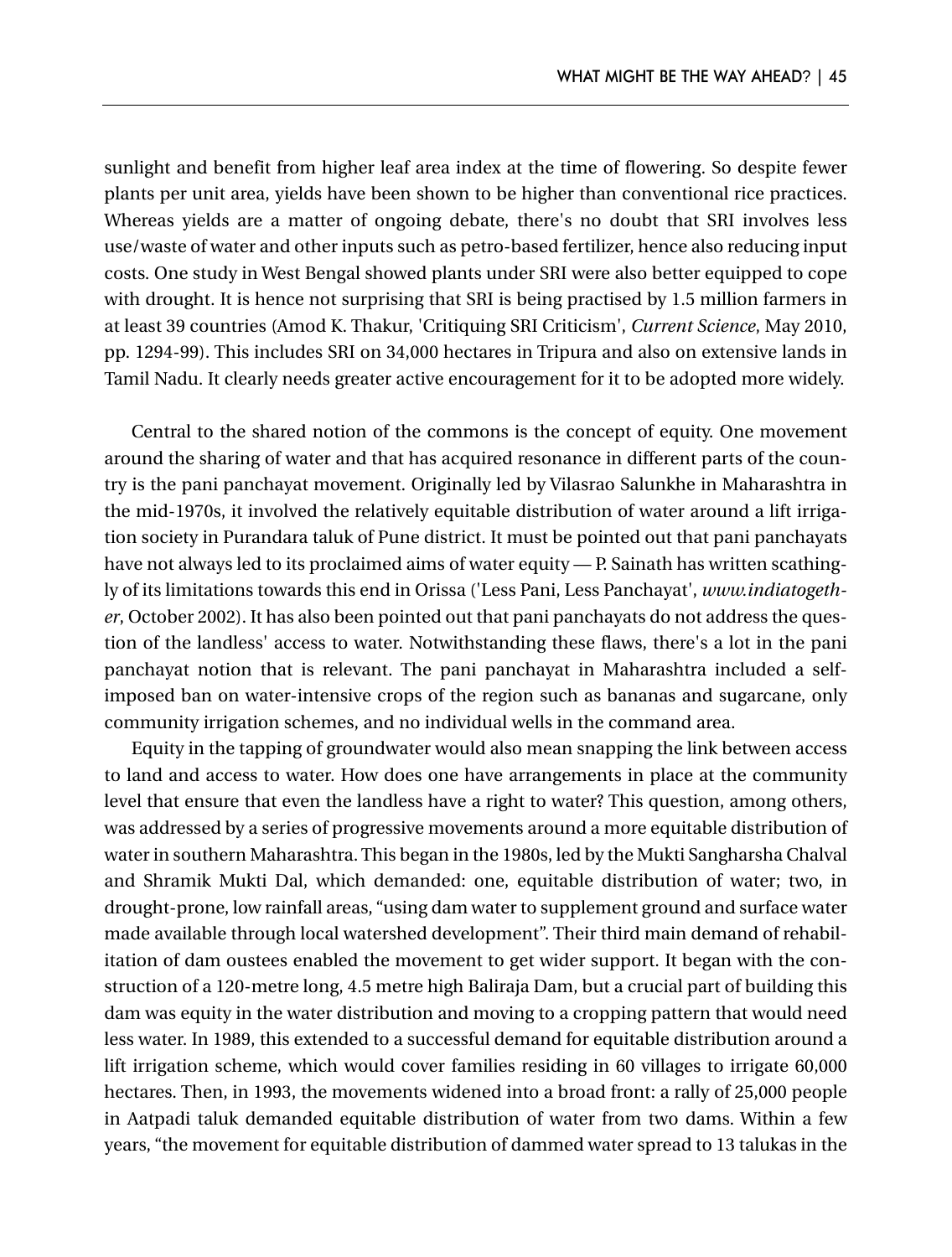sunlight and benefit from higher leaf area index at the time of flowering. So despite fewer plants per unit area, yields have been shown to be higher than conventional rice practices. Whereas yields are a matter of ongoing debate, there's no doubt that SRI involves less use/waste of water and other inputs such as petro-based fertilizer, hence also reducing input costs. One study in West Bengal showed plants under SRI were also better equipped to cope with drought. It is hence not surprising that SRI is being practised by 1.5 million farmers in at least 39 countries (Amod K. Thakur, 'Critiquing SRI Criticism', *Current Science*, May 2010, pp. 1294-99). This includes SRI on 34,000 hectares in Tripura and also on extensive lands in Tamil Nadu. It clearly needs greater active encouragement for it to be adopted more widely.

Central to the shared notion of the commons is the concept of equity. One movement around the sharing of water and that has acquired resonance in different parts of the country is the pani panchayat movement. Originally led by Vilasrao Salunkhe in Maharashtra in the mid-1970s, it involved the relatively equitable distribution of water around a lift irrigation society in Purandara taluk of Pune district. It must be pointed out that pani panchayats have not always led to its proclaimed aims of water equity — P. Sainath has written scathingly of its limitations towards this end in Orissa ('Less Pani, Less Panchayat', *www.indiatogether*, October 2002). It has also been pointed out that pani panchayats do not address the question of the landless' access to water. Notwithstanding these flaws, there's a lot in the pani panchayat notion that is relevant. The pani panchayat in Maharashtra included a selfimposed ban on water-intensive crops of the region such as bananas and sugarcane, only community irrigation schemes, and no individual wells in the command area.

Equity in the tapping of groundwater would also mean snapping the link between access to land and access to water. How does one have arrangements in place at the community level that ensure that even the landless have a right to water? This question, among others, was addressed by a series of progressive movements around a more equitable distribution of water in southern Maharashtra. This began in the 1980s, led by the Mukti Sangharsha Chalval and Shramik Mukti Dal, which demanded: one, equitable distribution of water; two, in drought-prone, low rainfall areas, "using dam water to supplement ground and surface water made available through local watershed development". Their third main demand of rehabilitation of dam oustees enabled the movement to get wider support. It began with the construction of a 120-metre long, 4.5 metre high Baliraja Dam, but a crucial part of building this dam was equity in the water distribution and moving to a cropping pattern that would need less water. In 1989, this extended to a successful demand for equitable distribution around a lift irrigation scheme, which would cover families residing in 60 villages to irrigate 60,000 hectares. Then, in 1993, the movements widened into a broad front: a rally of 25,000 people in Aatpadi taluk demanded equitable distribution of water from two dams. Within a few years, "the movement for equitable distribution of dammed water spread to 13 talukas in the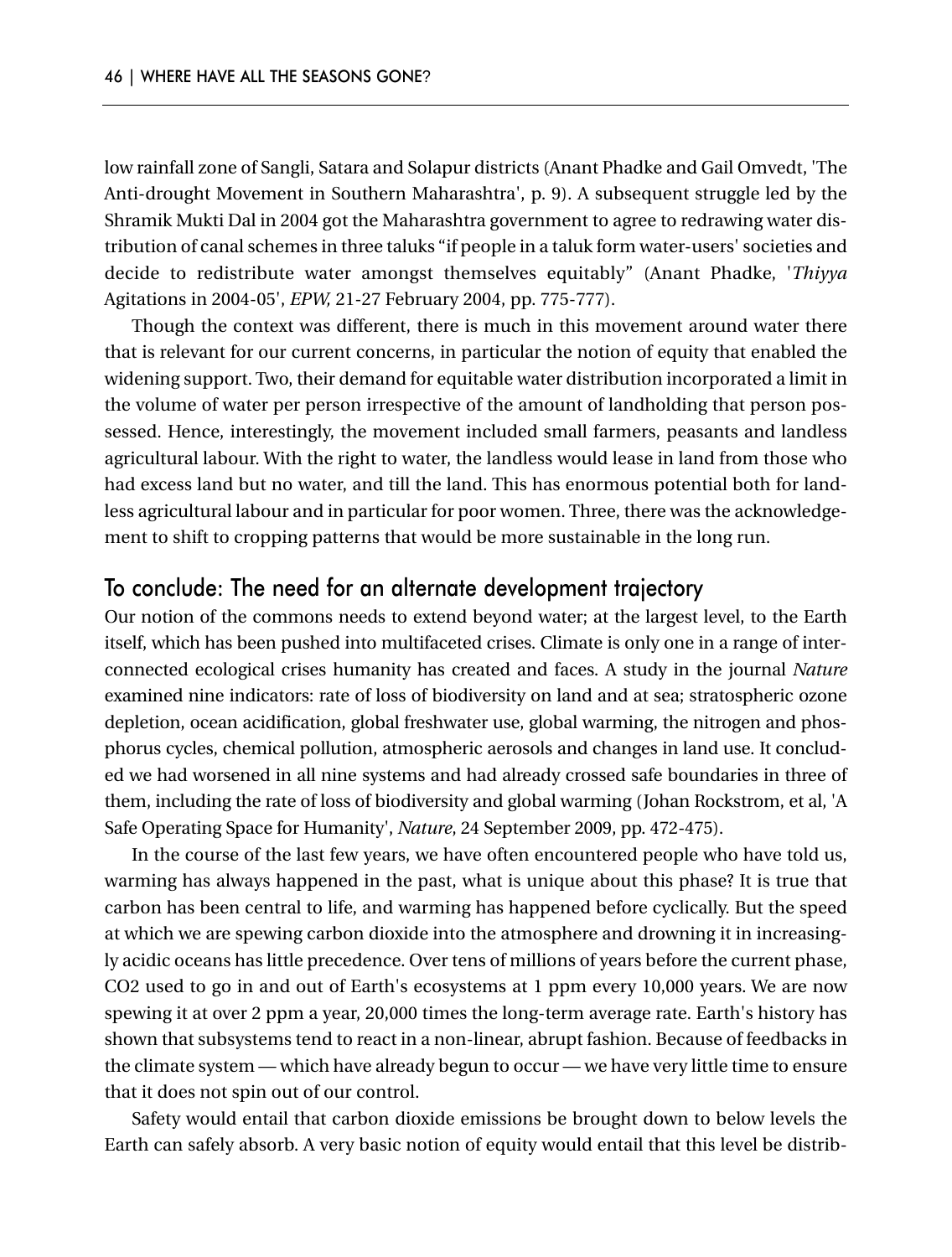low rainfall zone of Sangli, Satara and Solapur districts (Anant Phadke and Gail Omvedt, 'The Anti-drought Movement in Southern Maharashtra', p. 9). A subsequent struggle led by the Shramik Mukti Dal in 2004 got the Maharashtra government to agree to redrawing water distribution of canal schemes in three taluks "if people in a taluk form water-users' societies and decide to redistribute water amongst themselves equitably" (Anant Phadke, '*Thiyya* Agitations in 2004-05', *EPW,* 21-27 February 2004, pp. 775-777).

Though the context was different, there is much in this movement around water there that is relevant for our current concerns, in particular the notion of equity that enabled the widening support. Two, their demand for equitable water distribution incorporated a limit in the volume of water per person irrespective of the amount of landholding that person possessed. Hence, interestingly, the movement included small farmers, peasants and landless agricultural labour. With the right to water, the landless would lease in land from those who had excess land but no water, and till the land. This has enormous potential both for landless agricultural labour and in particular for poor women. Three, there was the acknowledgement to shift to cropping patterns that would be more sustainable in the long run.

#### To conclude: The need for an alternate development trajectory

Our notion of the commons needs to extend beyond water; at the largest level, to the Earth itself, which has been pushed into multifaceted crises. Climate is only one in a range of interconnected ecological crises humanity has created and faces. A study in the journal *Nature* examined nine indicators: rate of loss of biodiversity on land and at sea; stratospheric ozone depletion, ocean acidification, global freshwater use, global warming, the nitrogen and phosphorus cycles, chemical pollution, atmospheric aerosols and changes in land use. It concluded we had worsened in all nine systems and had already crossed safe boundaries in three of them, including the rate of loss of biodiversity and global warming (Johan Rockstrom, et al, 'A Safe Operating Space for Humanity', *Nature*, 24 September 2009, pp. 472-475).

In the course of the last few years, we have often encountered people who have told us, warming has always happened in the past, what is unique about this phase? It is true that carbon has been central to life, and warming has happened before cyclically. But the speed at which we are spewing carbon dioxide into the atmosphere and drowning it in increasingly acidic oceans has little precedence. Over tens of millions of years before the current phase, CO2 used to go in and out of Earth's ecosystems at 1 ppm every 10,000 years. We are now spewing it at over 2 ppm a year, 20,000 times the long-term average rate. Earth's history has shown that subsystems tend to react in a non-linear, abrupt fashion. Because of feedbacks in the climate system — which have already begun to occur — we have very little time to ensure that it does not spin out of our control.

Safety would entail that carbon dioxide emissions be brought down to below levels the Earth can safely absorb. A very basic notion of equity would entail that this level be distrib